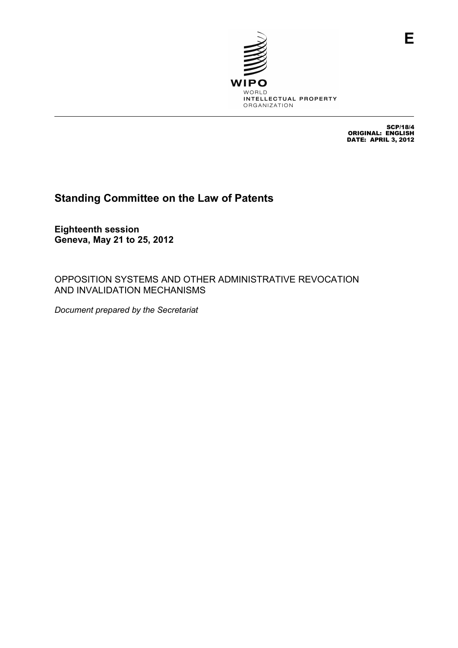

SCP/18/4 ORIGINAL: ENGLISH DATE: APRIL 3, 2012

**E**

# **Standing Committee on the Law of Patents**

**Eighteenth session Geneva, May 21 to 25, 2012** 

OPPOSITION SYSTEMS AND OTHER ADMINISTRATIVE REVOCATION AND INVALIDATION MECHANISMS

*Document prepared by the Secretariat*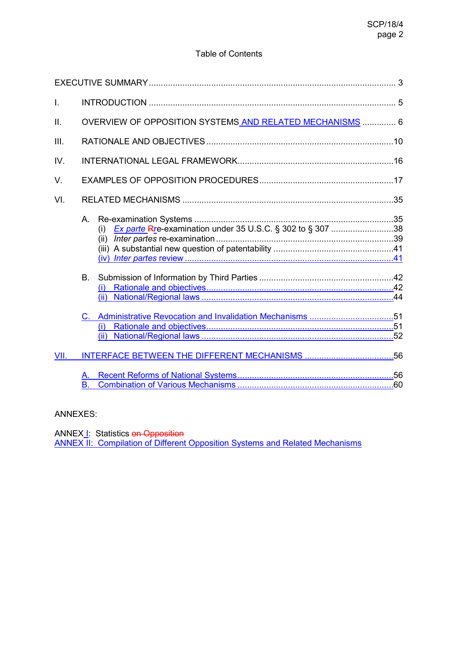## Table of Contents

| I.   |                                                          |  |
|------|----------------------------------------------------------|--|
| Ш.   | OVERVIEW OF OPPOSITION SYSTEMS AND RELATED MECHANISMS  6 |  |
| III. |                                                          |  |
| IV.  |                                                          |  |
| V.   |                                                          |  |
| VI.  |                                                          |  |
|      | (i)                                                      |  |
|      | B.<br>(i)                                                |  |
| VII. |                                                          |  |
|      | А.<br>Β.                                                 |  |

## ANNEXES:

ANNEX<sub>1</sub>: Statistics on Opposition

ANNEX II: Compilation of Different Opposition Systems and Related Mechanisms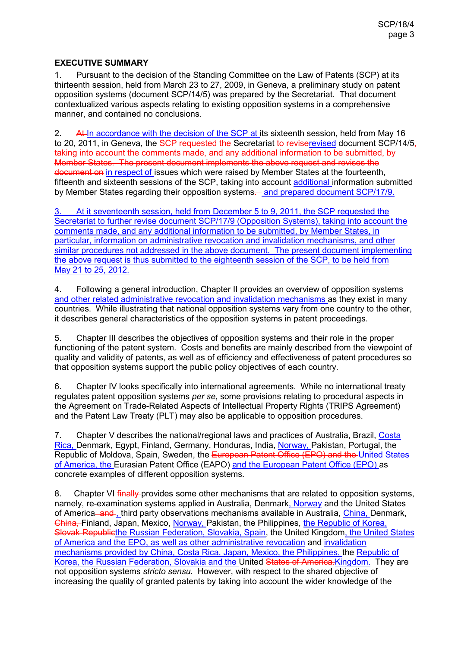## **EXECUTIVE SUMMARY**

1. Pursuant to the decision of the Standing Committee on the Law of Patents (SCP) at its thirteenth session, held from March 23 to 27, 2009, in Geneva, a preliminary study on patent opposition systems (document SCP/14/5) was prepared by the Secretariat. That document contextualized various aspects relating to existing opposition systems in a comprehensive manner, and contained no conclusions.

2. At In accordance with the decision of the SCP at its sixteenth session, held from May 16 to 20, 2011, in Geneva, the SCP requested the Secretariat to reviserevised document SCP/14/5. taking into account the comments made, and any additional information to be submitted, by Member States. The present document implements the above request and revises the document on in respect of issues which were raised by Member States at the fourteenth, fifteenth and sixteenth sessions of the SCP, taking into account additional information submitted by Member States regarding their opposition systems— and prepared document SCP/17/9.

3. At it seventeenth session, held from December 5 to 9, 2011, the SCP requested the Secretariat to further revise document SCP/17/9 (Opposition Systems), taking into account the comments made, and any additional information to be submitted, by Member States, in particular, information on administrative revocation and invalidation mechanisms, and other similar procedures not addressed in the above document. The present document implementing the above request is thus submitted to the eighteenth session of the SCP, to be held from May 21 to 25, 2012.

4. Following a general introduction, Chapter II provides an overview of opposition systems and other related administrative revocation and invalidation mechanisms as they exist in many countries. While illustrating that national opposition systems vary from one country to the other, it describes general characteristics of the opposition systems in patent proceedings.

5. Chapter III describes the objectives of opposition systems and their role in the proper functioning of the patent system. Costs and benefits are mainly described from the viewpoint of quality and validity of patents, as well as of efficiency and effectiveness of patent procedures so that opposition systems support the public policy objectives of each country.

6. Chapter IV looks specifically into international agreements. While no international treaty regulates patent opposition systems *per se*, some provisions relating to procedural aspects in the Agreement on Trade-Related Aspects of Intellectual Property Rights (TRIPS Agreement) and the Patent Law Treaty (PLT) may also be applicable to opposition procedures.

7. Chapter V describes the national/regional laws and practices of Australia, Brazil, Costa Rica, Denmark, Egypt, Finland, Germany, Honduras, India, Norway, Pakistan, Portugal, the Republic of Moldova, Spain, Sweden, the European Patent Office (EPO) and the United States of America, the Eurasian Patent Office (EAPO) and the European Patent Office (EPO) as concrete examples of different opposition systems.

8. Chapter VI finally-provides some other mechanisms that are related to opposition systems, namely, re-examination systems applied in Australia, Denmark, Norway and the United States of America and, third party observations mechanisms available in Australia, China, Denmark, China, Finland, Japan, Mexico, Norway, Pakistan, the Philippines, the Republic of Korea, Slovak Republicthe Russian Federation, Slovakia, Spain, the United Kingdom, the United States of America and the EPO, as well as other administrative revocation and invalidation mechanisms provided by China, Costa Rica, Japan, Mexico, the Philippines, the Republic of Korea, the Russian Federation, Slovakia and the United States of America.Kingdom. They are not opposition systems *stricto sensu*. However, with respect to the shared objective of increasing the quality of granted patents by taking into account the wider knowledge of the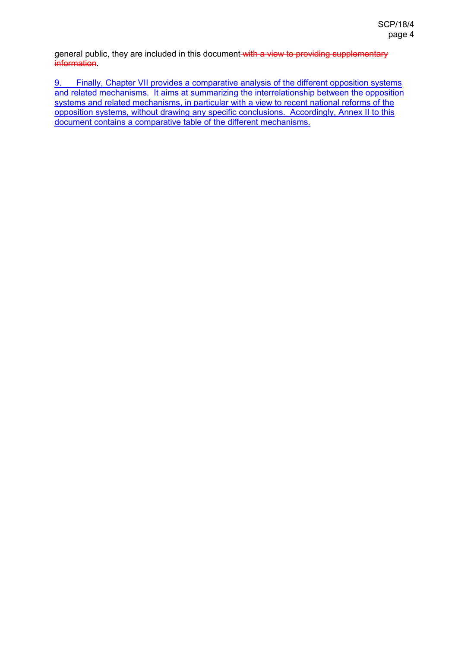general public, they are included in this document with a view to providing supplementary information.

9. Finally, Chapter VII provides a comparative analysis of the different opposition systems and related mechanisms. It aims at summarizing the interrelationship between the opposition systems and related mechanisms, in particular with a view to recent national reforms of the opposition systems, without drawing any specific conclusions. Accordingly, Annex II to this document contains a comparative table of the different mechanisms.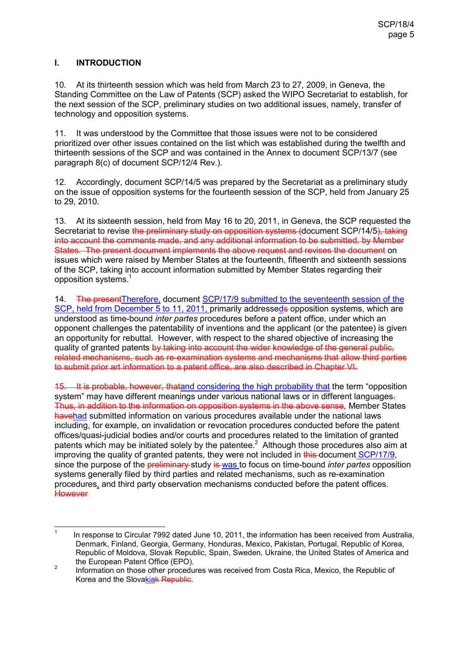## **I. INTRODUCTION**

10. At its thirteenth session which was held from March 23 to 27, 2009, in Geneva, the Standing Committee on the Law of Patents (SCP) asked the WIPO Secretariat to establish, for the next session of the SCP, preliminary studies on two additional issues, namely, transfer of technology and opposition systems.

11. It was understood by the Committee that those issues were not to be considered prioritized over other issues contained on the list which was established during the twelfth and thirteenth sessions of the SCP and was contained in the Annex to document SCP/13/7 (see paragraph 8(c) of document SCP/12/4 Rev.).

12. Accordingly, document SCP/14/5 was prepared by the Secretariat as a preliminary study on the issue of opposition systems for the fourteenth session of the SCP, held from January 25 to 29, 2010.

13. At its sixteenth session, held from May 16 to 20, 2011, in Geneva, the SCP requested the Secretariat to revise the preliminary study on opposition systems (document SCP/14/5), taking into account the comments made, and any additional information to be submitted, by Member States. The present document implements the above request and revises the document on issues which were raised by Member States at the fourteenth, fifteenth and sixteenth sessions of the SCP, taking into account information submitted by Member States regarding their opposition systems.<sup>1</sup>

14. The present Therefore, document SCP/17/9 submitted to the seventeenth session of the SCP, held from December 5 to 11, 2011, primarily addresseds opposition systems, which are understood as time-bound *inter partes* procedures before a patent office, under which an opponent challenges the patentability of inventions and the applicant (or the patentee) is given an opportunity for rebuttal. However, with respect to the shared objective of increasing the quality of granted patents by taking into account the wider knowledge of the general public. related mechanisms, such as re-examination systems and mechanisms that allow third parties to submit prior art information to a patent office, are also described in Chapter VI.

15. It is probable, however, thatand considering the high probability that the term "opposition system" may have different meanings under various national laws or in different languages-Thus, in addition to the information on opposition systems in the above sense, Member States havehad submitted information on various procedures available under the national laws including, for example, on invalidation or revocation procedures conducted before the patent offices/quasi-judicial bodies and/or courts and procedures related to the limitation of granted patents which may be initiated solely by the patentee.<sup>2</sup> Although those procedures also aim at improving the quality of granted patents, they were not included in this document SCP/17/9, since the purpose of the preliminary study is was to focus on time-bound *inter partes* opposition systems generally filed by third parties and related mechanisms, such as re-examination procedures, and third party observation mechanisms conducted before the patent offices. **However** 

<sup>-&</sup>lt;br>1 In response to Circular 7992 dated June 10, 2011, the information has been received from Australia, Denmark, Finland, Georgia, Germany, Honduras, Mexico, Pakistan, Portugal, Republic of Korea, Republic of Moldova, Slovak Republic, Spain, Sweden, Ukraine, the United States of America and the European Patent Office (EPO).

<sup>2</sup> Information on those other procedures was received from Costa Rica, Mexico, the Republic of Korea and the Slovakiak Republic.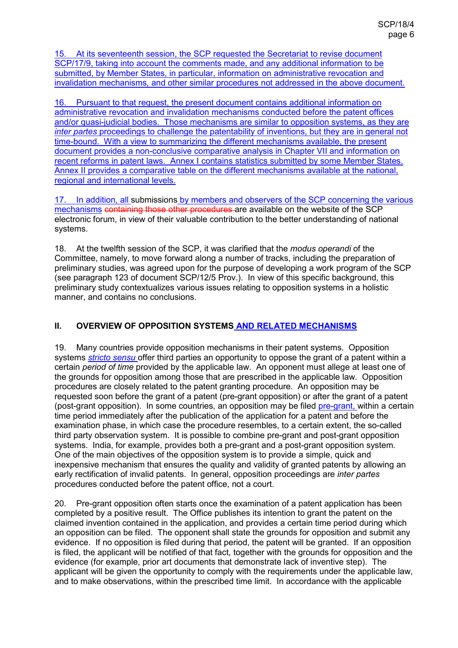15. At its seventeenth session, the SCP requested the Secretariat to revise document SCP/17/9, taking into account the comments made, and any additional information to be submitted, by Member States, in particular, information on administrative revocation and invalidation mechanisms, and other similar procedures not addressed in the above document.

16. Pursuant to that request, the present document contains additional information on administrative revocation and invalidation mechanisms conducted before the patent offices and/or quasi-judicial bodies. Those mechanisms are similar to opposition systems, as they are *inter partes* proceedings to challenge the patentability of inventions, but they are in general not time-bound. With a view to summarizing the different mechanisms available, the present document provides a non-conclusive comparative analysis in Chapter VII and information on recent reforms in patent laws. Annex I contains statistics submitted by some Member States. Annex II provides a comparative table on the different mechanisms available at the national, regional and international levels.

17. In addition, all submissions by members and observers of the SCP concerning the various mechanisms containing those other procedures are available on the website of the SCP electronic forum, in view of their valuable contribution to the better understanding of national systems.

18. At the twelfth session of the SCP, it was clarified that the *modus operandi* of the Committee, namely, to move forward along a number of tracks, including the preparation of preliminary studies, was agreed upon for the purpose of developing a work program of the SCP (see paragraph 123 of document SCP/12/5 Prov.). In view of this specific background, this preliminary study contextualizes various issues relating to opposition systems in a holistic manner, and contains no conclusions.

## **II. OVERVIEW OF OPPOSITION SYSTEMS AND RELATED MECHANISMS**

19. Many countries provide opposition mechanisms in their patent systems. Opposition systems *stricto sensu* offer third parties an opportunity to oppose the grant of a patent within a certain *period of time* provided by the applicable law. An opponent must allege at least one of the grounds for opposition among those that are prescribed in the applicable law. Opposition procedures are closely related to the patent granting procedure. An opposition may be requested soon before the grant of a patent (pre-grant opposition) or after the grant of a patent (post-grant opposition). In some countries, an opposition may be filed pre-grant, within a certain time period immediately after the publication of the application for a patent and before the examination phase, in which case the procedure resembles, to a certain extent, the so-called third party observation system. It is possible to combine pre-grant and post-grant opposition systems. India, for example, provides both a pre-grant and a post-grant opposition system. One of the main objectives of the opposition system is to provide a simple, quick and inexpensive mechanism that ensures the quality and validity of granted patents by allowing an early rectification of invalid patents. In general, opposition proceedings are *inter partes*  procedures conducted before the patent office, not a court.

20. Pre-grant opposition often starts once the examination of a patent application has been completed by a positive result. The Office publishes its intention to grant the patent on the claimed invention contained in the application, and provides a certain time period during which an opposition can be filed. The opponent shall state the grounds for opposition and submit any evidence. If no opposition is filed during that period, the patent will be granted. If an opposition is filed, the applicant will be notified of that fact, together with the grounds for opposition and the evidence (for example, prior art documents that demonstrate lack of inventive step). The applicant will be given the opportunity to comply with the requirements under the applicable law, and to make observations, within the prescribed time limit. In accordance with the applicable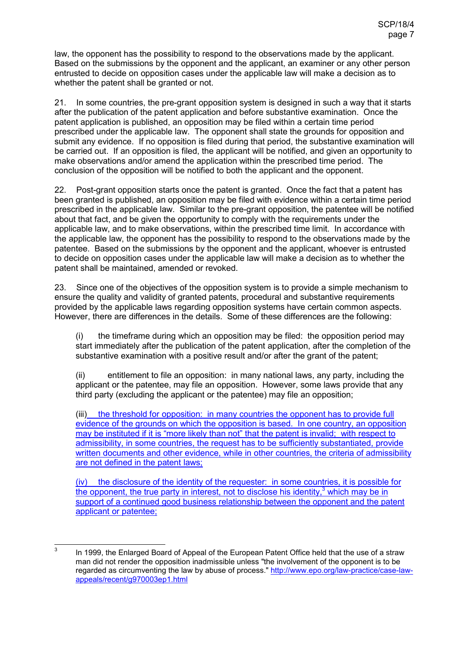law, the opponent has the possibility to respond to the observations made by the applicant. Based on the submissions by the opponent and the applicant, an examiner or any other person entrusted to decide on opposition cases under the applicable law will make a decision as to whether the patent shall be granted or not.

21. In some countries, the pre-grant opposition system is designed in such a way that it starts after the publication of the patent application and before substantive examination. Once the patent application is published, an opposition may be filed within a certain time period prescribed under the applicable law. The opponent shall state the grounds for opposition and submit any evidence. If no opposition is filed during that period, the substantive examination will be carried out. If an opposition is filed, the applicant will be notified, and given an opportunity to make observations and/or amend the application within the prescribed time period. The conclusion of the opposition will be notified to both the applicant and the opponent.

22. Post-grant opposition starts once the patent is granted. Once the fact that a patent has been granted is published, an opposition may be filed with evidence within a certain time period prescribed in the applicable law. Similar to the pre-grant opposition, the patentee will be notified about that fact, and be given the opportunity to comply with the requirements under the applicable law, and to make observations, within the prescribed time limit. In accordance with the applicable law, the opponent has the possibility to respond to the observations made by the patentee. Based on the submissions by the opponent and the applicant, whoever is entrusted to decide on opposition cases under the applicable law will make a decision as to whether the patent shall be maintained, amended or revoked.

23. Since one of the objectives of the opposition system is to provide a simple mechanism to ensure the quality and validity of granted patents, procedural and substantive requirements provided by the applicable laws regarding opposition systems have certain common aspects. However, there are differences in the details. Some of these differences are the following:

(i) the timeframe during which an opposition may be filed: the opposition period may start immediately after the publication of the patent application, after the completion of the substantive examination with a positive result and/or after the grant of the patent;

(ii) entitlement to file an opposition: in many national laws, any party, including the applicant or the patentee, may file an opposition. However, some laws provide that any third party (excluding the applicant or the patentee) may file an opposition;

(iii) the threshold for opposition: in many countries the opponent has to provide full evidence of the grounds on which the opposition is based. In one country, an opposition may be instituted if it is "more likely than not" that the patent is invalid; with respect to admissibility, in some countries, the request has to be sufficiently substantiated, provide written documents and other evidence, while in other countries, the criteria of admissibility are not defined in the patent laws;

(iv) the disclosure of the identity of the requester: in some countries, it is possible for the opponent, the true party in interest, not to disclose his identity,<sup>3</sup> which may be in support of a continued good business relationship between the opponent and the patent applicant or patentee;

 $\frac{1}{3}$  In 1999, the Enlarged Board of Appeal of the European Patent Office held that the use of a straw man did not render the opposition inadmissible unless "the involvement of the opponent is to be regarded as circumventing the law by abuse of process." http://www.epo.org/law-practice/case-lawappeals/recent/g970003ep1.html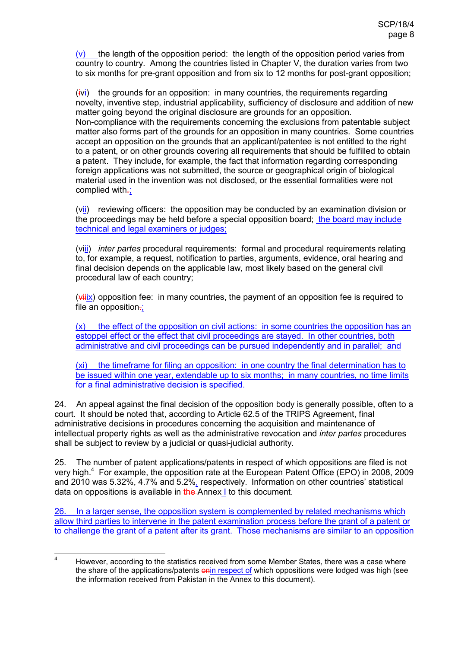$(v)$  the length of the opposition period: the length of the opposition period varies from country to country. Among the countries listed in Chapter V, the duration varies from two to six months for pre-grant opposition and from six to 12 months for post-grant opposition;

(ivi) the grounds for an opposition: in many countries, the requirements regarding novelty, inventive step, industrial applicability, sufficiency of disclosure and addition of new matter going beyond the original disclosure are grounds for an opposition. Non-compliance with the requirements concerning the exclusions from patentable subject matter also forms part of the grounds for an opposition in many countries. Some countries accept an opposition on the grounds that an applicant/patentee is not entitled to the right to a patent, or on other grounds covering all requirements that should be fulfilled to obtain a patent. They include, for example, the fact that information regarding corresponding foreign applications was not submitted, the source or geographical origin of biological material used in the invention was not disclosed, or the essential formalities were not complied with-;

(vii) reviewing officers: the opposition may be conducted by an examination division or the proceedings may be held before a special opposition board; the board may include technical and legal examiners or judges;

(viii) *inter partes* procedural requirements: formal and procedural requirements relating to, for example, a request, notification to parties, arguments, evidence, oral hearing and final decision depends on the applicable law, most likely based on the general civil procedural law of each country;

 $(v\frac{v\hat{H}X}{x})$  opposition fee: in many countries, the payment of an opposition fee is required to file an opposition $\frac{1}{x}$ ;

(x) the effect of the opposition on civil actions: in some countries the opposition has an estoppel effect or the effect that civil proceedings are stayed. In other countries, both administrative and civil proceedings can be pursued independently and in parallel; and

(xi) the timeframe for filing an opposition: in one country the final determination has to be issued within one year, extendable up to six months; in many countries, no time limits for a final administrative decision is specified.

24. An appeal against the final decision of the opposition body is generally possible, often to a court. It should be noted that, according to Article 62.5 of the TRIPS Agreement, final administrative decisions in procedures concerning the acquisition and maintenance of intellectual property rights as well as the administrative revocation and *inter partes* procedures shall be subject to review by a judicial or quasi-judicial authority.

25. The number of patent applications/patents in respect of which oppositions are filed is not very high.<sup>4</sup> For example, the opposition rate at the European Patent Office (EPO) in 2008, 2009 and 2010 was 5.32%, 4.7% and 5.2%, respectively. Information on other countries' statistical data on oppositions is available in the Annex I to this document.

26. In a larger sense, the opposition system is complemented by related mechanisms which allow third parties to intervene in the patent examination process before the grant of a patent or to challenge the grant of a patent after its grant. Those mechanisms are similar to an opposition

 $\frac{1}{4}$  However, according to the statistics received from some Member States, there was a case where the share of the applications/patents only respect of which oppositions were lodged was high (see the information received from Pakistan in the Annex to this document).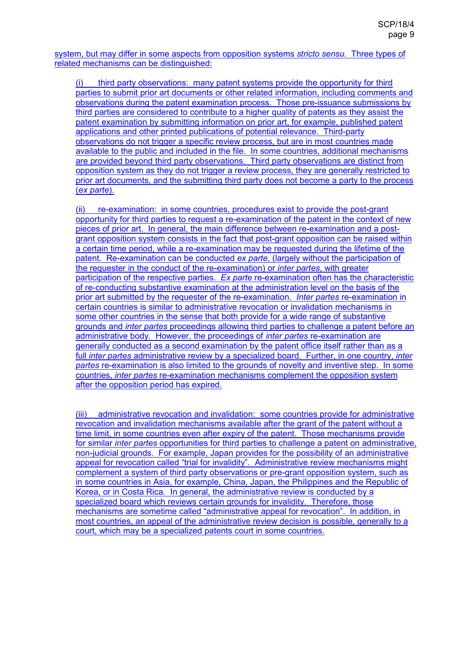system, but may differ in some aspects from opposition systems *stricto sensu*. Three types of related mechanisms can be distinguished:

(i) third party observations: many patent systems provide the opportunity for third parties to submit prior art documents or other related information, including comments and observations during the patent examination process. Those pre-issuance submissions by third parties are considered to contribute to a higher quality of patents as they assist the patent examination by submitting information on prior art, for example, published patent applications and other printed publications of potential relevance. Third-party observations do not trigger a specific review process, but are in most countries made available to the public and included in the file. In some countries, additional mechanisms are provided beyond third party observations. Third party observations are distinct from opposition system as they do not trigger a review process, they are generally restricted to prior art documents, and the submitting third party does not become a party to the process (*ex parte*).

(ii) re-examination: in some countries, procedures exist to provide the post-grant opportunity for third parties to request a re-examination of the patent in the context of new pieces of prior art. In general, the main difference between re-examination and a postgrant opposition system consists in the fact that post-grant opposition can be raised within a certain time period, while a re-examination may be requested during the lifetime of the patent. Re-examination can be conducted *ex parte*, (largely without the participation of the requester in the conduct of the re-examination) or *inter partes*, with greater participation of the respective parties. *Ex parte* re-examination often has the characteristic of re-conducting substantive examination at the administration level on the basis of the prior art submitted by the requester of the re-examination. *Inter partes* re-examination in certain countries is similar to administrative revocation or invalidation mechanisms in some other countries in the sense that both provide for a wide range of substantive grounds and *inter partes* proceedings allowing third parties to challenge a patent before an administrative body. However, the proceedings of *inter partes* re-examination are generally conducted as a second examination by the patent office itself rather than as a full *inter partes* administrative review by a specialized board. Further, in one country, *inter partes* re-examination is also limited to the grounds of novelty and inventive step. In some countries, *inter partes* re-examination mechanisms complement the opposition system after the opposition period has expired.

(iii) administrative revocation and invalidation: some countries provide for administrative revocation and invalidation mechanisms available after the grant of the patent without a time limit, in some countries even after expiry of the patent. Those mechanisms provide for similar *inter partes* opportunities for third parties to challenge a patent on administrative, non-judicial grounds. For example, Japan provides for the possibility of an administrative appeal for revocation called "trial for invalidity". Administrative review mechanisms might complement a system of third party observations or pre-grant opposition system, such as in some countries in Asia, for example, China, Japan, the Philippines and the Republic of Korea, or in Costa Rica. In general, the administrative review is conducted by a specialized board which reviews certain grounds for invalidity. Therefore, those mechanisms are sometime called "administrative appeal for revocation". In addition, in most countries, an appeal of the administrative review decision is possible, generally to a court, which may be a specialized patents court in some countries.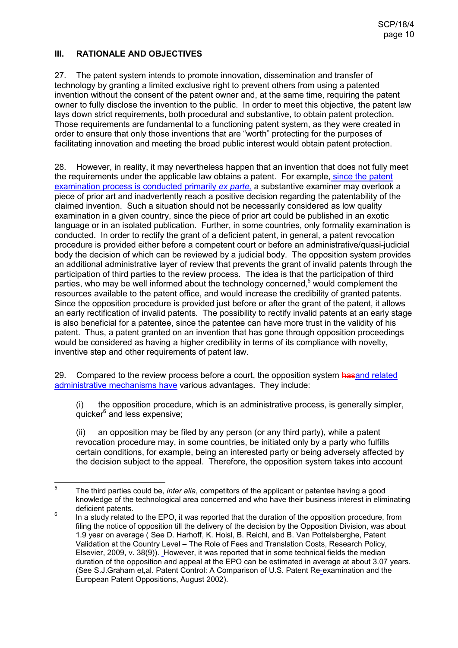## **III. RATIONALE AND OBJECTIVES**

27. The patent system intends to promote innovation, dissemination and transfer of technology by granting a limited exclusive right to prevent others from using a patented invention without the consent of the patent owner and, at the same time, requiring the patent owner to fully disclose the invention to the public. In order to meet this objective, the patent law lays down strict requirements, both procedural and substantive, to obtain patent protection. Those requirements are fundamental to a functioning patent system, as they were created in order to ensure that only those inventions that are "worth" protecting for the purposes of facilitating innovation and meeting the broad public interest would obtain patent protection.

28. However, in reality, it may nevertheless happen that an invention that does not fully meet the requirements under the applicable law obtains a patent. For example, since the patent examination process is conducted primarily *ex parte,* a substantive examiner may overlook a piece of prior art and inadvertently reach a positive decision regarding the patentability of the claimed invention. Such a situation should not be necessarily considered as low quality examination in a given country, since the piece of prior art could be published in an exotic language or in an isolated publication. Further, in some countries, only formality examination is conducted. In order to rectify the grant of a deficient patent, in general, a patent revocation procedure is provided either before a competent court or before an administrative/quasi-judicial body the decision of which can be reviewed by a judicial body. The opposition system provides an additional administrative layer of review that prevents the grant of invalid patents through the participation of third parties to the review process. The idea is that the participation of third parties, who may be well informed about the technology concerned, $5$  would complement the resources available to the patent office, and would increase the credibility of granted patents. Since the opposition procedure is provided just before or after the grant of the patent, it allows an early rectification of invalid patents. The possibility to rectify invalid patents at an early stage is also beneficial for a patentee, since the patentee can have more trust in the validity of his patent. Thus, a patent granted on an invention that has gone through opposition proceedings would be considered as having a higher credibility in terms of its compliance with novelty, inventive step and other requirements of patent law.

29. Compared to the review process before a court, the opposition system has and related administrative mechanisms have various advantages. They include:

(i) the opposition procedure, which is an administrative process, is generally simpler, quicker<sup>6</sup> and less expensive;

(ii) an opposition may be filed by any person (or any third party), while a patent revocation procedure may, in some countries, be initiated only by a party who fulfills certain conditions, for example, being an interested party or being adversely affected by the decision subject to the appeal. Therefore, the opposition system takes into account

 $\frac{1}{5}$  The third parties could be, *inter alia*, competitors of the applicant or patentee having a good knowledge of the technological area concerned and who have their business interest in eliminating deficient patents.

<sup>6</sup> In a study related to the EPO, it was reported that the duration of the opposition procedure, from filing the notice of opposition till the delivery of the decision by the Opposition Division, was about 1.9 year on average ( See D. Harhoff, K. Hoisl, B. Reichl, and B. Van Pottelsberghe, Patent Validation at the Country Level – The Role of Fees and Translation Costs, Research Policy, Elsevier, 2009, v. 38(9)). However, it was reported that in some technical fields the median duration of the opposition and appeal at the EPO can be estimated in average at about 3.07 years. (See S.J.Graham et,al. Patent Control: A Comparison of U.S. Patent Re-examination and the European Patent Oppositions, August 2002).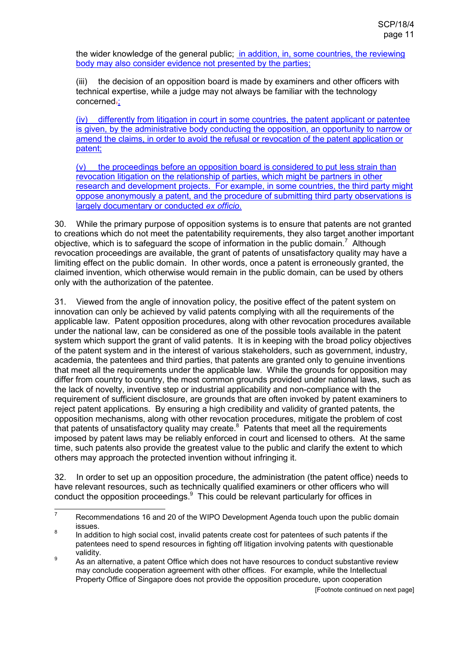the wider knowledge of the general public; in addition, in, some countries, the reviewing body may also consider evidence not presented by the parties;

(iii) the decision of an opposition board is made by examiners and other officers with technical expertise, while a judge may not always be familiar with the technology concerned-:

(iv) differently from litigation in court in some countries, the patent applicant or patentee is given, by the administrative body conducting the opposition, an opportunity to narrow or amend the claims, in order to avoid the refusal or revocation of the patent application or patent;

(v) the proceedings before an opposition board is considered to put less strain than revocation litigation on the relationship of parties, which might be partners in other research and development projects. For example, in some countries, the third party might oppose anonymously a patent, and the procedure of submitting third party observations is largely documentary or conducted *ex officio*.

30. While the primary purpose of opposition systems is to ensure that patents are not granted to creations which do not meet the patentability requirements, they also target another important objective, which is to safeguard the scope of information in the public domain.<sup>7</sup> Although revocation proceedings are available, the grant of patents of unsatisfactory quality may have a limiting effect on the public domain. In other words, once a patent is erroneously granted, the claimed invention, which otherwise would remain in the public domain, can be used by others only with the authorization of the patentee.

31. Viewed from the angle of innovation policy, the positive effect of the patent system on innovation can only be achieved by valid patents complying with all the requirements of the applicable law. Patent opposition procedures, along with other revocation procedures available under the national law, can be considered as one of the possible tools available in the patent system which support the grant of valid patents. It is in keeping with the broad policy objectives of the patent system and in the interest of various stakeholders, such as government, industry, academia, the patentees and third parties, that patents are granted only to genuine inventions that meet all the requirements under the applicable law. While the grounds for opposition may differ from country to country, the most common grounds provided under national laws, such as the lack of novelty, inventive step or industrial applicability and non-compliance with the requirement of sufficient disclosure, are grounds that are often invoked by patent examiners to reject patent applications. By ensuring a high credibility and validity of granted patents, the opposition mechanisms, along with other revocation procedures, mitigate the problem of cost that patents of unsatisfactory quality may create.<sup>8</sup> Patents that meet all the requirements imposed by patent laws may be reliably enforced in court and licensed to others. At the same time, such patents also provide the greatest value to the public and clarify the extent to which others may approach the protected invention without infringing it.

32. In order to set up an opposition procedure, the administration (the patent office) needs to have relevant resources, such as technically qualified examiners or other officers who will conduct the opposition proceedings. $9$  This could be relevant particularly for offices in

 $\frac{1}{7}$  Recommendations 16 and 20 of the WIPO Development Agenda touch upon the public domain issues.

<sup>8</sup> In addition to high social cost, invalid patents create cost for patentees of such patents if the patentees need to spend resources in fighting off litigation involving patents with questionable validity.

 $\overline{9}$  As an alternative, a patent Office which does not have resources to conduct substantive review may conclude cooperation agreement with other offices. For example, while the Intellectual Property Office of Singapore does not provide the opposition procedure, upon cooperation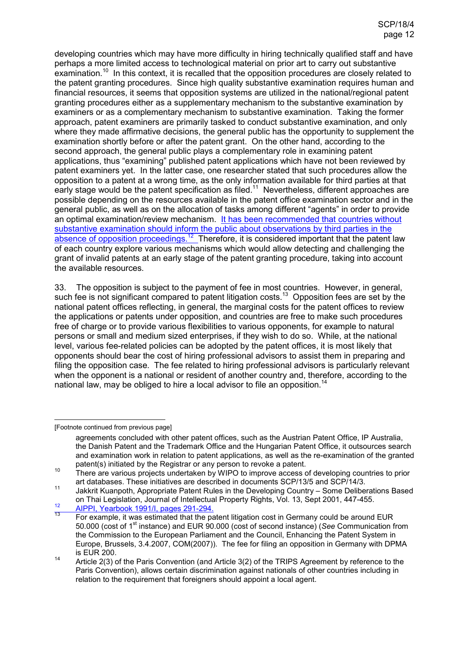developing countries which may have more difficulty in hiring technically qualified staff and have perhaps a more limited access to technological material on prior art to carry out substantive examination.<sup>10</sup> In this context, it is recalled that the opposition procedures are closely related to the patent granting procedures. Since high quality substantive examination requires human and financial resources, it seems that opposition systems are utilized in the national/regional patent granting procedures either as a supplementary mechanism to the substantive examination by examiners or as a complementary mechanism to substantive examination. Taking the former approach, patent examiners are primarily tasked to conduct substantive examination, and only where they made affirmative decisions, the general public has the opportunity to supplement the examination shortly before or after the patent grant. On the other hand, according to the second approach, the general public plays a complementary role in examining patent applications, thus "examining" published patent applications which have not been reviewed by patent examiners yet. In the latter case, one researcher stated that such procedures allow the opposition to a patent at a wrong time, as the only information available for third parties at that early stage would be the patent specification as filed.<sup>11</sup> Nevertheless, different approaches are possible depending on the resources available in the patent office examination sector and in the general public, as well as on the allocation of tasks among different "agents" in order to provide an optimal examination/review mechanism. It has been recommended that countries without substantive examination should inform the public about observations by third parties in the absence of opposition proceedings.<sup>12</sup> Therefore, it is considered important that the patent law of each country explore various mechanisms which would allow detecting and challenging the grant of invalid patents at an early stage of the patent granting procedure, taking into account the available resources.

33. The opposition is subject to the payment of fee in most countries. However, in general, such fee is not significant compared to patent litigation costs.<sup>13</sup> Opposition fees are set by the national patent offices reflecting, in general, the marginal costs for the patent offices to review the applications or patents under opposition, and countries are free to make such procedures free of charge or to provide various flexibilities to various opponents, for example to natural persons or small and medium sized enterprises, if they wish to do so. While, at the national level, various fee-related policies can be adopted by the patent offices, it is most likely that opponents should bear the cost of hiring professional advisors to assist them in preparing and filing the opposition case. The fee related to hiring professional advisors is particularly relevant when the opponent is a national or resident of another country and, therefore, according to the national law, may be obliged to hire a local advisor to file an opposition.<sup>14</sup>

-[Footnote continued from previous page]

<sup>12</sup> AIPPI, Yearbook 1991/I, pages 291-294.

agreements concluded with other patent offices, such as the Austrian Patent Office, IP Australia, the Danish Patent and the Trademark Office and the Hungarian Patent Office, it outsources search and examination work in relation to patent applications, as well as the re-examination of the granted patent(s) initiated by the Registrar or any person to revoke a patent.

<sup>&</sup>lt;sup>10</sup> There are various projects undertaken by WIPO to improve access of developing countries to prior art databases. These initiatives are described in documents SCP/13/5 and SCP/14/3.

<sup>11</sup> Jakkrit Kuanpoth, Appropriate Patent Rules in the Developing Country – Some Deliberations Based on Thai Legislation, Journal of Intellectual Property Rights, Vol. 13, Sept 2001, 447-455.

For example, it was estimated that the patent litigation cost in Germany could be around EUR 50.000 (cost of 1st instance) and EUR 90.000 (cost of second instance) (*See* Communication from the Commission to the European Parliament and the Council, Enhancing the Patent System in Europe, Brussels, 3.4.2007, COM(2007)). The fee for filing an opposition in Germany with DPMA is EUR 200.

<sup>14</sup> Article 2(3) of the Paris Convention (and Article 3(2) of the TRIPS Agreement by reference to the Paris Convention), allows certain discrimination against nationals of other countries including in relation to the requirement that foreigners should appoint a local agent.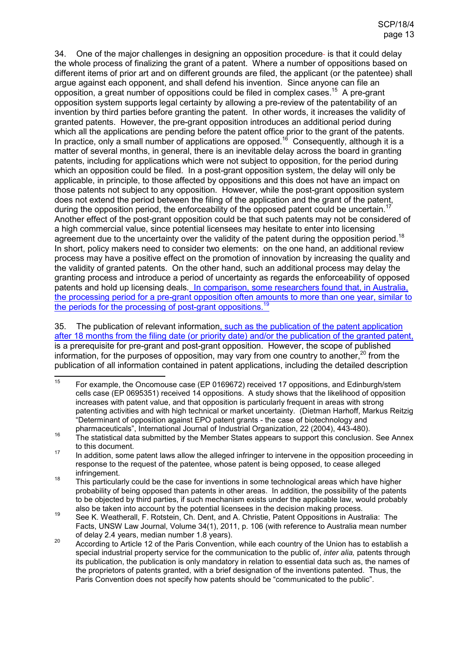34. One of the major challenges in designing an opposition procedure- is that it could delay the whole process of finalizing the grant of a patent. Where a number of oppositions based on different items of prior art and on different grounds are filed, the applicant (or the patentee) shall argue against each opponent, and shall defend his invention. Since anyone can file an opposition, a great number of oppositions could be filed in complex cases.<sup>15</sup> A pre-grant opposition system supports legal certainty by allowing a pre-review of the patentability of an invention by third parties before granting the patent. In other words, it increases the validity of granted patents. However, the pre-grant opposition introduces an additional period during which all the applications are pending before the patent office prior to the grant of the patents. In practice, only a small number of applications are opposed.<sup>16</sup> Consequently, although it is a matter of several months, in general, there is an inevitable delay across the board in granting patents, including for applications which were not subject to opposition, for the period during which an opposition could be filed. In a post-grant opposition system, the delay will only be applicable, in principle, to those affected by oppositions and this does not have an impact on those patents not subject to any opposition. However, while the post-grant opposition system does not extend the period between the filing of the application and the grant of the patent, during the opposition period, the enforceability of the opposed patent could be uncertain.<sup>17</sup> Another effect of the post-grant opposition could be that such patents may not be considered of a high commercial value, since potential licensees may hesitate to enter into licensing agreement due to the uncertainty over the validity of the patent during the opposition period.<sup>18</sup> In short, policy makers need to consider two elements: on the one hand, an additional review process may have a positive effect on the promotion of innovation by increasing the quality and the validity of granted patents. On the other hand, such an additional process may delay the granting process and introduce a period of uncertainty as regards the enforceability of opposed patents and hold up licensing deals. In comparison, some researchers found that, in Australia, the processing period for a pre-grant opposition often amounts to more than one year, similar to the periods for the processing of post-grant oppositions.<sup>19</sup>

35. The publication of relevant information, such as the publication of the patent application after 18 months from the filing date (or priority date) and/or the publication of the granted patent, is a prerequisite for pre-grant and post-grant opposition. However, the scope of published information, for the purposes of opposition, may vary from one country to another, $20$  from the publication of all information contained in patent applications, including the detailed description

 $15<sup>15</sup>$ <sup>15</sup> For example, the Oncomouse case (EP 0169672) received 17 oppositions, and Edinburgh/stem cells case (EP 0695351) received 14 oppositions. A study shows that the likelihood of opposition increases with patent value, and that opposition is particularly frequent in areas with strong patenting activities and with high technical or market uncertainty. (Dietman Harhoff, Markus Reitzig "Determinant of opposition against EPO patent grants - the case of biotechnology and pharmaceuticals", International Journal of Industrial Organization, 22 (2004), 443-480).

<sup>16</sup> The statistical data submitted by the Member States appears to support this conclusion. See Annex to this document.

<sup>&</sup>lt;sup>17</sup> In addition, some patent laws allow the alleged infringer to intervene in the opposition proceeding in response to the request of the patentee, whose patent is being opposed, to cease alleged infringement.

<sup>&</sup>lt;sup>18</sup> This particularly could be the case for inventions in some technological areas which have higher probability of being opposed than patents in other areas. In addition, the possibility of the patents to be objected by third parties, if such mechanism exists under the applicable law, would probably also be taken into account by the potential licensees in the decision making process.

<sup>19</sup> See K. Weatherall, F. Rotstein, Ch. Dent, and A. Christie, Patent Oppositions in Australia: The Facts, UNSW Law Journal, Volume 34(1), 2011, p. 106 (with reference to Australia mean number of delay 2.4 years, median number 1.8 years).

 $20$  According to Article 12 of the Paris Convention, while each country of the Union has to establish a special industrial property service for the communication to the public of, *inter alia,* patents through its publication, the publication is only mandatory in relation to essential data such as, the names of the proprietors of patents granted, with a brief designation of the inventions patented. Thus, the Paris Convention does not specify how patents should be "communicated to the public".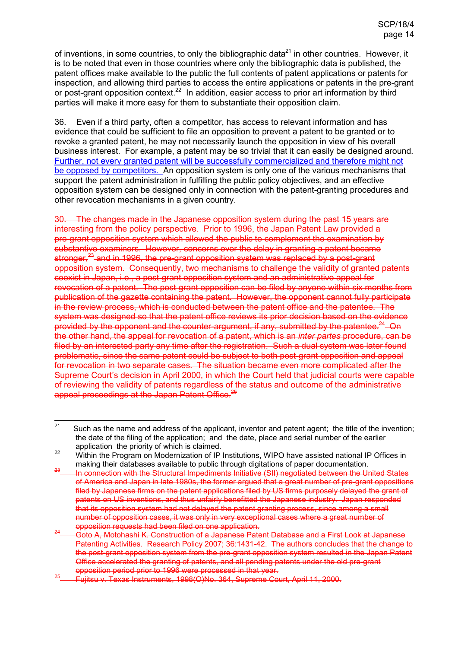of inventions, in some countries, to only the bibliographic data<sup>21</sup> in other countries. However, it is to be noted that even in those countries where only the bibliographic data is published, the patent offices make available to the public the full contents of patent applications or patents for inspection, and allowing third parties to access the entire applications or patents in the pre-grant or post-grant opposition context.<sup>22</sup> In addition, easier access to prior art information by third parties will make it more easy for them to substantiate their opposition claim.

36. Even if a third party, often a competitor, has access to relevant information and has evidence that could be sufficient to file an opposition to prevent a patent to be granted or to revoke a granted patent, he may not necessarily launch the opposition in view of his overall business interest. For example, a patent may be so trivial that it can easily be designed around. Further, not every granted patent will be successfully commercialized and therefore might not be opposed by competitors. An opposition system is only one of the various mechanisms that support the patent administration in fulfilling the public policy objectives, and an effective opposition system can be designed only in connection with the patent-granting procedures and other revocation mechanisms in a given country.

30. The changes made in the Japanese opposition system during the past 15 years are interesting from the policy perspective. Prior to 1996, the Japan Patent Law provided a pre-grant opposition system which allowed the public to complement the examination by substantive examiners. However, concerns over the delay in granting a patent became stronger, $^{23}$  and in 1996, the pre-grant opposition system was replaced by a post-grant opposition system. Consequently, two mechanisms to challenge the validity of granted patents coexist in Japan, i.e., a post-grant opposition system and an administrative appeal for revocation of a patent. The post-grant opposition can be filed by anyone within six months from publication of the gazette containing the patent. However, the opponent cannot fully participate in the review process, which is conducted between the patent office and the patentee. The system was designed so that the patent office reviews its prior decision based on the evidence provided by the opponent and the counter-argument, if any, submitted by the patentee. $24$ -On the other hand, the appeal for revocation of a patent, which is an *inter partes* procedure, can be filed by an interested party any time after the registration. Such a dual system was later found problematic, since the same patent could be subject to both post-grant opposition and appeal for revocation in two separate cases. The situation became even more complicated after the Supreme Court's decision in April 2000, in which the Court held that judicial courts were capable of reviewing the validity of patents regardless of the status and outcome of the administrative appeal proceedings at the Japan Patent Office.<sup>25</sup>

 $21$ Such as the name and address of the applicant, inventor and patent agent; the title of the invention; the date of the filing of the application; and the date, place and serial number of the earlier application the priority of which is claimed.

<sup>&</sup>lt;sup>22</sup> Within the Program on Modernization of IP Institutions, WIPO have assisted national IP Offices in making their databases available to public through digitations of paper documentation.

In connection with the Structural Impediments Initiative (SII) negotiated between the United States of America and Japan in late 1980s, the former argued that a great number of pre-grant oppositions filed by Japanese firms on the patent applications filed by US firms purposely delayed the grant of patents on US inventions, and thus unfairly benefitted the Japanese industry. Japan responded that its opposition system had not delayed the patent granting process, since among a small number of opposition cases, it was only in very exceptional cases where a great number of opposition requests had been filed on one application.

<sup>24</sup> Goto A, Motohashi K. Construction of a Japanese Patent Database and a First Look at Japanese Patenting Activities. Research Policy 2007; 36:1431-42. The authors concludes that the change to the post-grant opposition system from the pre-grant opposition system resulted in the Japan Patent Office accelerated the granting of patents, and all pending patents under the old pre-grant opposition period prior to 1996 were processed in that year.

<sup>25</sup> Fujitsu v. Texas Instruments, 1998(O)No. 364, Supreme Court, April 11, 2000.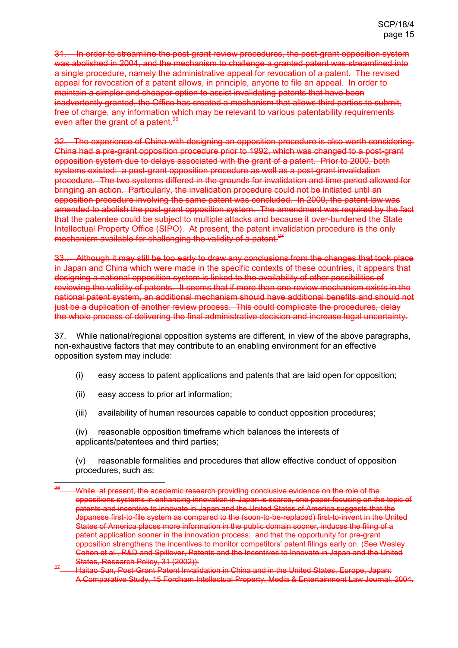31. In order to streamline the post-grant review procedures, the post-grant opposition system was abolished in 2004, and the mechanism to challenge a granted patent was streamlined into a single procedure, namely the administrative appeal for revocation of a patent. The revised appeal for revocation of a patent allows, in principle, anyone to file an appeal. In order to maintain a simpler and cheaper option to assist invalidating patents that have been inadvertently granted, the Office has created a mechanism that allows third parties to submit, free of charge, any information which may be relevant to various patentability requirements even after the grant of a patent.<sup>26</sup>

32. The experience of China with designing an opposition procedure is also worth considering. China had a pre-grant opposition procedure prior to 1992, which was changed to a post-grant opposition system due to delays associated with the grant of a patent. Prior to 2000, both systems existed: a post-grant opposition procedure as well as a post-grant invalidation procedure. The two systems differed in the grounds for invalidation and time period allowed for bringing an action. Particularly, the invalidation procedure could not be initiated until an opposition procedure involving the same patent was concluded. In 2000, the patent law was amended to abolish the post-grant opposition system. The amendment was required by the fact that the patentee could be subject to multiple attacks and because it over-burdened the State Intellectual Property Office (SIPO). At present, the patent invalidation procedure is the only mechanism available for challenging the validity of a patent.<sup>27</sup>

33.. Although it may still be too early to draw any conclusions from the changes that took place in Japan and China which were made in the specific contexts of these countries, it appears that designing a national opposition system is linked to the availability of other possibilities of reviewing the validity of patents. It seems that if more than one review mechanism exists in the national patent system, an additional mechanism should have additional benefits and should not just be a duplication of another review process. This could complicate the procedures, delay the whole process of delivering the final administrative decision and increase legal uncertainty.

37. While national/regional opposition systems are different, in view of the above paragraphs, non-exhaustive factors that may contribute to an enabling environment for an effective opposition system may include:

- (i) easy access to patent applications and patents that are laid open for opposition;
- (ii) easy access to prior art information;
- (iii) availability of human resources capable to conduct opposition procedures;

(iv) reasonable opposition timeframe which balances the interests of applicants/patentees and third parties;

(v) reasonable formalities and procedures that allow effective conduct of opposition procedures, such as:

 $26$ While, at present, the academic research providing conclusive evidence on the role of the oppositions systems in enhancing innovation in Japan is scarce, one paper focusing on the topic of patents and incentive to innovate in Japan and the United States of America suggests that the Japanese first-to-file system as compared to the (soon-to-be-replaced) first-to-invent in the United States of America places more information in the public domain sooner, induces the filing of a patent application sooner in the innovation process; and that the opportunity for pre-grant opposition strengthens the incentives to monitor competitors' patent filings early on. (See Wesley Cohen et al., R&D and Spillover, Patents and the Incentives to Innovate in Japan and the United States, Research Policy, 31 (2002)).

<sup>27</sup> Haitao Sun, Post-Grant Patent Invalidation in China and in the United States, Europe, Japan: A Comparative Study, 15 Fordham Intellectual Property, Media & Entertainment Law Journal, 2004.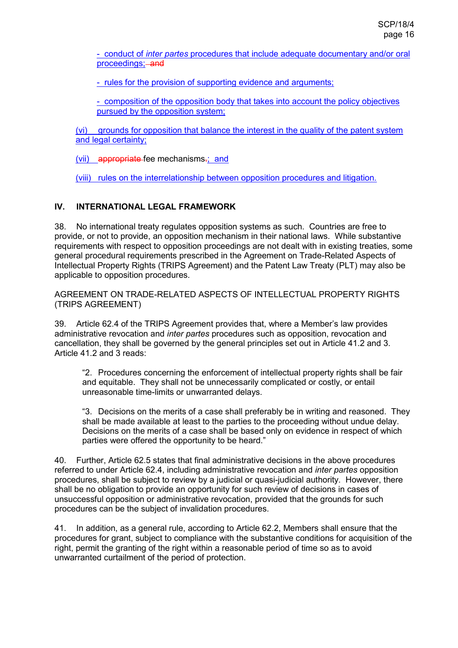- conduct of *inter partes* procedures that include adequate documentary and/or oral proceedings; and

- rules for the provision of supporting evidence and arguments;

- composition of the opposition body that takes into account the policy objectives pursued by the opposition system;

(vi) grounds for opposition that balance the interest in the quality of the patent system and legal certainty:

(vii) appropriate fee mechanisms-; and

(viii) rules on the interrelationship between opposition procedures and litigation.

## **IV. INTERNATIONAL LEGAL FRAMEWORK**

38. No international treaty regulates opposition systems as such. Countries are free to provide, or not to provide, an opposition mechanism in their national laws. While substantive requirements with respect to opposition proceedings are not dealt with in existing treaties, some general procedural requirements prescribed in the Agreement on Trade-Related Aspects of Intellectual Property Rights (TRIPS Agreement) and the Patent Law Treaty (PLT) may also be applicable to opposition procedures.

AGREEMENT ON TRADE-RELATED ASPECTS OF INTELLECTUAL PROPERTY RIGHTS (TRIPS AGREEMENT)

39. Article 62.4 of the TRIPS Agreement provides that, where a Member's law provides administrative revocation and *inter partes* procedures such as opposition, revocation and cancellation, they shall be governed by the general principles set out in Article 41.2 and 3. Article 41.2 and 3 reads:

"2. Procedures concerning the enforcement of intellectual property rights shall be fair and equitable. They shall not be unnecessarily complicated or costly, or entail unreasonable time-limits or unwarranted delays.

"3. Decisions on the merits of a case shall preferably be in writing and reasoned. They shall be made available at least to the parties to the proceeding without undue delay. Decisions on the merits of a case shall be based only on evidence in respect of which parties were offered the opportunity to be heard."

40. Further, Article 62.5 states that final administrative decisions in the above procedures referred to under Article 62.4, including administrative revocation and *inter partes* opposition procedures, shall be subject to review by a judicial or quasi-judicial authority. However, there shall be no obligation to provide an opportunity for such review of decisions in cases of unsuccessful opposition or administrative revocation, provided that the grounds for such procedures can be the subject of invalidation procedures.

41. In addition, as a general rule, according to Article 62.2, Members shall ensure that the procedures for grant, subject to compliance with the substantive conditions for acquisition of the right, permit the granting of the right within a reasonable period of time so as to avoid unwarranted curtailment of the period of protection.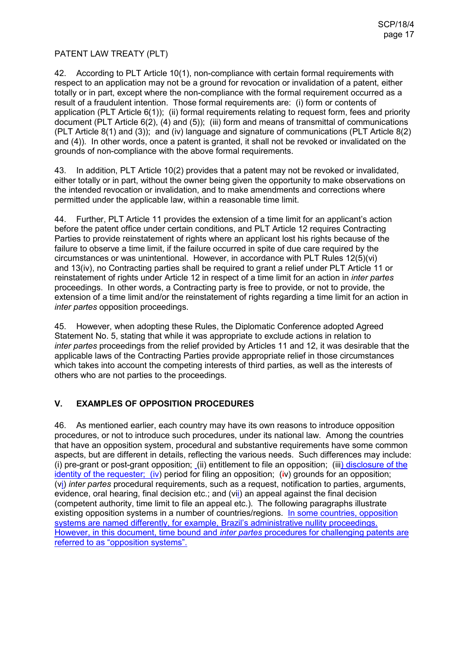## PATENT LAW TREATY (PLT)

42. According to PLT Article 10(1), non-compliance with certain formal requirements with respect to an application may not be a ground for revocation or invalidation of a patent, either totally or in part, except where the non-compliance with the formal requirement occurred as a result of a fraudulent intention. Those formal requirements are: (i) form or contents of application (PLT Article 6(1)); (ii) formal requirements relating to request form, fees and priority document (PLT Article 6(2), (4) and (5)); (iii) form and means of transmittal of communications (PLT Article 8(1) and (3)); and (iv) language and signature of communications (PLT Article 8(2) and (4)). In other words, once a patent is granted, it shall not be revoked or invalidated on the grounds of non-compliance with the above formal requirements.

43. In addition, PLT Article 10(2) provides that a patent may not be revoked or invalidated, either totally or in part, without the owner being given the opportunity to make observations on the intended revocation or invalidation, and to make amendments and corrections where permitted under the applicable law, within a reasonable time limit.

44. Further, PLT Article 11 provides the extension of a time limit for an applicant's action before the patent office under certain conditions, and PLT Article 12 requires Contracting Parties to provide reinstatement of rights where an applicant lost his rights because of the failure to observe a time limit, if the failure occurred in spite of due care required by the circumstances or was unintentional. However, in accordance with PLT Rules 12(5)(vi) and 13(iv), no Contracting parties shall be required to grant a relief under PLT Article 11 or reinstatement of rights under Article 12 in respect of a time limit for an action in *inter partes* proceedings. In other words, a Contracting party is free to provide, or not to provide, the extension of a time limit and/or the reinstatement of rights regarding a time limit for an action in *inter partes* opposition proceedings.

45. However, when adopting these Rules, the Diplomatic Conference adopted Agreed Statement No. 5, stating that while it was appropriate to exclude actions in relation to *inter partes* proceedings from the relief provided by Articles 11 and 12, it was desirable that the applicable laws of the Contracting Parties provide appropriate relief in those circumstances which takes into account the competing interests of third parties, as well as the interests of others who are not parties to the proceedings.

## **V. EXAMPLES OF OPPOSITION PROCEDURES**

46. As mentioned earlier, each country may have its own reasons to introduce opposition procedures, or not to introduce such procedures, under its national law. Among the countries that have an opposition system, procedural and substantive requirements have some common aspects, but are different in details, reflecting the various needs. Such differences may include: (i) pre-grant or post-grant opposition; (ii) entitlement to file an opposition; (iii) disclosure of the identity of the requester; (iv) period for filing an opposition; (iv) grounds for an opposition; (vi) *inter partes* procedural requirements, such as a request, notification to parties, arguments, evidence, oral hearing, final decision etc.; and (vii) an appeal against the final decision (competent authority, time limit to file an appeal etc.). The following paragraphs illustrate existing opposition systems in a number of countries/regions. In some countries, opposition systems are named differently, for example, Brazil's administrative nullity proceedings. However, in this document, time bound and *inter partes* procedures for challenging patents are referred to as "opposition systems".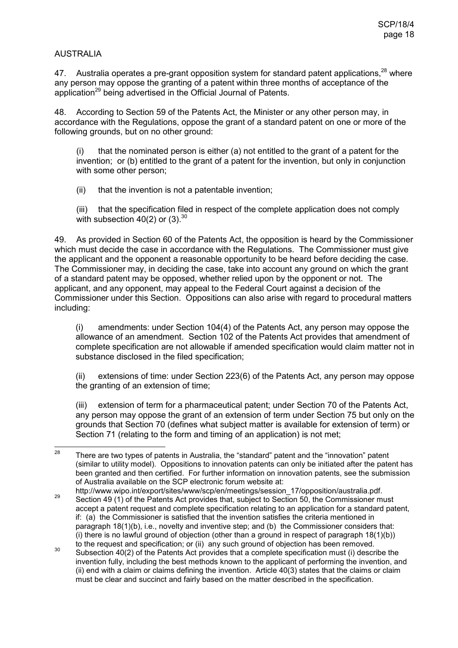## AUSTRALIA

47. Australia operates a pre-grant opposition system for standard patent applications.<sup>28</sup> where any person may oppose the granting of a patent within three months of acceptance of the application<sup>29</sup> being advertised in the Official Journal of Patents.

48. According to Section 59 of the Patents Act, the Minister or any other person may, in accordance with the Regulations, oppose the grant of a standard patent on one or more of the following grounds, but on no other ground:

 $(i)$  that the nominated person is either (a) not entitled to the grant of a patent for the invention; or (b) entitled to the grant of a patent for the invention, but only in conjunction with some other person;

(ii) that the invention is not a patentable invention;

(iii) that the specification filed in respect of the complete application does not comply with subsection 40(2) or  $(3).^{30}$ 

49. As provided in Section 60 of the Patents Act, the opposition is heard by the Commissioner which must decide the case in accordance with the Regulations. The Commissioner must give the applicant and the opponent a reasonable opportunity to be heard before deciding the case. The Commissioner may, in deciding the case, take into account any ground on which the grant of a standard patent may be opposed, whether relied upon by the opponent or not. The applicant, and any opponent, may appeal to the Federal Court against a decision of the Commissioner under this Section. Oppositions can also arise with regard to procedural matters including:

(i) amendments: under Section 104(4) of the Patents Act, any person may oppose the allowance of an amendment. Section 102 of the Patents Act provides that amendment of complete specification are not allowable if amended specification would claim matter not in substance disclosed in the filed specification;

(ii) extensions of time: under Section 223(6) of the Patents Act, any person may oppose the granting of an extension of time;

(iii) extension of term for a pharmaceutical patent; under Section 70 of the Patents Act, any person may oppose the grant of an extension of term under Section 75 but only on the grounds that Section 70 (defines what subject matter is available for extension of term) or Section 71 (relating to the form and timing of an application) is not met:

<sup>28</sup> <sup>28</sup> There are two types of patents in Australia, the "standard" patent and the "innovation" patent (similar to utility model). Oppositions to innovation patents can only be initiated after the patent has been granted and then certified. For further information on innovation patents, see the submission of Australia available on the SCP electronic forum website at:

http://www.wipo.int/export/sites/www/scp/en/meetings/session\_17/opposition/australia.pdf. <sup>29</sup> Section 49 (1) of the Patents Act provides that, subject to Section 50, the Commissioner must accept a patent request and complete specification relating to an application for a standard patent, if: (a) the Commissioner is satisfied that the invention satisfies the criteria mentioned in paragraph 18(1)(b), i.e., novelty and inventive step; and (b) the Commissioner considers that: (i) there is no lawful ground of objection (other than a ground in respect of paragraph  $18(1)(b)$ ) to the request and specification; or (ii) any such ground of objection has been removed.

<sup>&</sup>lt;sup>30</sup> Subsection 40(2) of the Patents Act provides that a complete specification must (i) describe the invention fully, including the best methods known to the applicant of performing the invention, and (ii) end with a claim or claims defining the invention. Article 40(3) states that the claims or claim must be clear and succinct and fairly based on the matter described in the specification.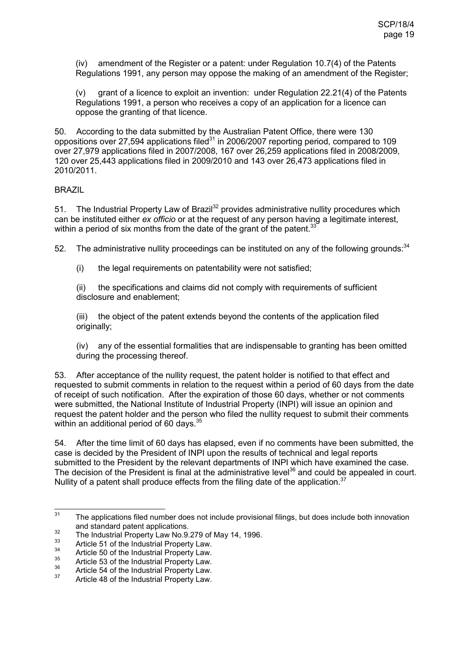(iv) amendment of the Register or a patent: under Regulation 10.7(4) of the Patents Regulations 1991, any person may oppose the making of an amendment of the Register;

(v) grant of a licence to exploit an invention: under Regulation 22.21(4) of the Patents Regulations 1991, a person who receives a copy of an application for a licence can oppose the granting of that licence.

50. According to the data submitted by the Australian Patent Office, there were 130 oppositions over 27,594 applications filed $31$  in 2006/2007 reporting period, compared to 109 over 27,979 applications filed in 2007/2008, 167 over 26,259 applications filed in 2008/2009, 120 over 25,443 applications filed in 2009/2010 and 143 over 26,473 applications filed in 2010/2011.

### BRAZIL

51. The Industrial Property Law of Brazil<sup>32</sup> provides administrative nullity procedures which can be instituted either *ex officio* or at the request of any person having a legitimate interest, within a period of six months from the date of the grant of the patent.<sup>33</sup>

52. The administrative nullity proceedings can be instituted on any of the following grounds:<sup>34</sup>

(i) the legal requirements on patentability were not satisfied;

(ii) the specifications and claims did not comply with requirements of sufficient disclosure and enablement;

(iii) the object of the patent extends beyond the contents of the application filed originally;

(iv) any of the essential formalities that are indispensable to granting has been omitted during the processing thereof.

53. After acceptance of the nullity request, the patent holder is notified to that effect and requested to submit comments in relation to the request within a period of 60 days from the date of receipt of such notification. After the expiration of those 60 days, whether or not comments were submitted, the National Institute of Industrial Property (INPI) will issue an opinion and request the patent holder and the person who filed the nullity request to submit their comments within an additional period of 60 days.<sup>35</sup>

54. After the time limit of 60 days has elapsed, even if no comments have been submitted, the case is decided by the President of INPI upon the results of technical and legal reports submitted to the President by the relevant departments of INPI which have examined the case. The decision of the President is final at the administrative level<sup>36</sup> and could be appealed in court. Nullity of a patent shall produce effects from the filing date of the application.<sup>37</sup>

 $31$ The applications filed number does not include provisional filings, but does include both innovation and standard patent applications.

<sup>&</sup>lt;sup>32</sup> The Industrial Property Law No.9.279 of May 14, 1996.

 $33$  Article 51 of the Industrial Property Law.

 $34$  Article 50 of the Industrial Property Law.

 $\frac{35}{36}$  Article 53 of the Industrial Property Law.

 $\frac{36}{37}$  Article 54 of the Industrial Property Law.

Article 48 of the Industrial Property Law.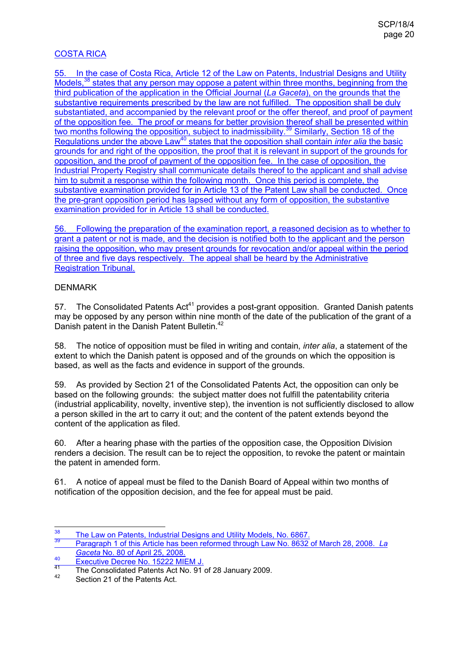## COSTA RICA

55. In the case of Costa Rica, Article 12 of the Law on Patents, Industrial Designs and Utility Models,<sup>38</sup> states that any person may oppose a patent within three months, beginning from the third publication of the application in the Official Journal (*La Gaceta*), on the grounds that the substantive requirements prescribed by the law are not fulfilled. The opposition shall be duly substantiated, and accompanied by the relevant proof or the offer thereof, and proof of payment of the opposition fee. The proof or means for better provision thereof shall be presented within two months following the opposition, subject to inadmissibility.<sup>39</sup> Similarly, Section 18 of the Regulations under the above Law<sup>40</sup> states that the opposition shall contain *inter alia* the basic grounds for and right of the opposition, the proof that it is relevant in support of the grounds for opposition, and the proof of payment of the opposition fee. In the case of opposition, the Industrial Property Registry shall communicate details thereof to the applicant and shall advise him to submit a response within the following month. Once this period is complete, the substantive examination provided for in Article 13 of the Patent Law shall be conducted. Once the pre-grant opposition period has lapsed without any form of opposition, the substantive examination provided for in Article 13 shall be conducted.

56. Following the preparation of the examination report, a reasoned decision as to whether to grant a patent or not is made, and the decision is notified both to the applicant and the person raising the opposition, who may present grounds for revocation and/or appeal within the period of three and five days respectively. The appeal shall be heard by the Administrative Registration Tribunal.

## DENMARK

57. The Consolidated Patents Act<sup>41</sup> provides a post-grant opposition. Granted Danish patents may be opposed by any person within nine month of the date of the publication of the grant of a Danish patent in the Danish Patent Bulletin.<sup>42</sup>

58. The notice of opposition must be filed in writing and contain, *inter alia*, a statement of the extent to which the Danish patent is opposed and of the grounds on which the opposition is based, as well as the facts and evidence in support of the grounds.

59. As provided by Section 21 of the Consolidated Patents Act, the opposition can only be based on the following grounds: the subject matter does not fulfill the patentability criteria (industrial applicability, novelty, inventive step), the invention is not sufficiently disclosed to allow a person skilled in the art to carry it out; and the content of the patent extends beyond the content of the application as filed.

60. After a hearing phase with the parties of the opposition case, the Opposition Division renders a decision. The result can be to reject the opposition, to revoke the patent or maintain the patent in amended form.

61. A notice of appeal must be filed to the Danish Board of Appeal within two months of notification of the opposition decision, and the fee for appeal must be paid.

<sup>38</sup> <sup>38</sup> The Law on Patents, Industrial Designs and Utility Models, No. 6867.

<sup>39</sup> Paragraph 1 of this Article has been reformed through Law No. 8632 of March 28, 2008. *La Gaceta* No. 80 of April 25, 2008.

<sup>40</sup> Executive Decree No. 15222 MIEM J.<br>41 The Concelled Detrice No. 15222 MIEM J.

<sup>&</sup>lt;sup>41</sup> The Consolidated Patents Act No. 91 of 28 January 2009.<br><sup>42</sup> Section 21 of the Patents Act

Section 21 of the Patents Act.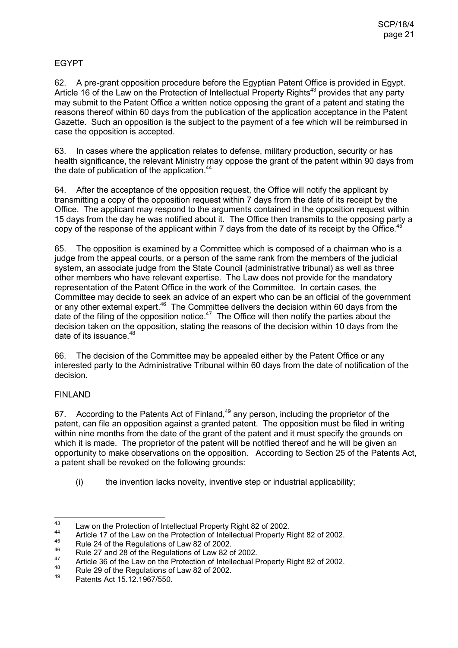## EGYPT

62. A pre-grant opposition procedure before the Egyptian Patent Office is provided in Egypt. Article 16 of the Law on the Protection of Intellectual Property Rights<sup>43</sup> provides that any party may submit to the Patent Office a written notice opposing the grant of a patent and stating the reasons thereof within 60 days from the publication of the application acceptance in the Patent Gazette. Such an opposition is the subject to the payment of a fee which will be reimbursed in case the opposition is accepted.

63. In cases where the application relates to defense, military production, security or has health significance, the relevant Ministry may oppose the grant of the patent within 90 days from the date of publication of the application.<sup>44</sup>

64. After the acceptance of the opposition request, the Office will notify the applicant by transmitting a copy of the opposition request within 7 days from the date of its receipt by the Office. The applicant may respond to the arguments contained in the opposition request within 15 days from the day he was notified about it. The Office then transmits to the opposing party a copy of the response of the applicant within 7 days from the date of its receipt by the Office.<sup>45</sup>  $\overline{a}$ 

65. The opposition is examined by a Committee which is composed of a chairman who is a judge from the appeal courts, or a person of the same rank from the members of the judicial system, an associate judge from the State Council (administrative tribunal) as well as three other members who have relevant expertise. The Law does not provide for the mandatory representation of the Patent Office in the work of the Committee. In certain cases, the Committee may decide to seek an advice of an expert who can be an official of the government or any other external expert.<sup>46</sup> The Committee delivers the decision within 60 days from the date of the filing of the opposition notice.<sup>47</sup> The Office will then notify the parties about the decision taken on the opposition, stating the reasons of the decision within 10 days from the date of its issuance.<sup>48</sup>

66. The decision of the Committee may be appealed either by the Patent Office or any interested party to the Administrative Tribunal within 60 days from the date of notification of the decision.

## FINLAND

67. According to the Patents Act of Finland, $49$  any person, including the proprietor of the patent, can file an opposition against a granted patent. The opposition must be filed in writing within nine months from the date of the grant of the patent and it must specify the grounds on which it is made. The proprietor of the patent will be notified thereof and he will be given an opportunity to make observations on the opposition. According to Section 25 of the Patents Act, a patent shall be revoked on the following grounds:

(i) the invention lacks novelty, inventive step or industrial applicability;

<sup>43</sup> <sup>43</sup> Law on the Protection of Intellectual Property Right 82 of 2002.

<sup>&</sup>lt;sup>44</sup> Article 17 of the Law on the Protection of Intellectual Property Right 82 of 2002.

 $^{45}$  Rule 24 of the Regulations of Law 82 of 2002.

<sup>&</sup>lt;sup>46</sup> Rule 27 and 28 of the Regulations of Law 82 of 2002.

<sup>47</sup> Article 36 of the Law on the Protection of Intellectual Property Right 82 of 2002.

<sup>&</sup>lt;sup>48</sup> Rule 29 of the Regulations of Law 82 of 2002.

Patents Act 15.12.1967/550.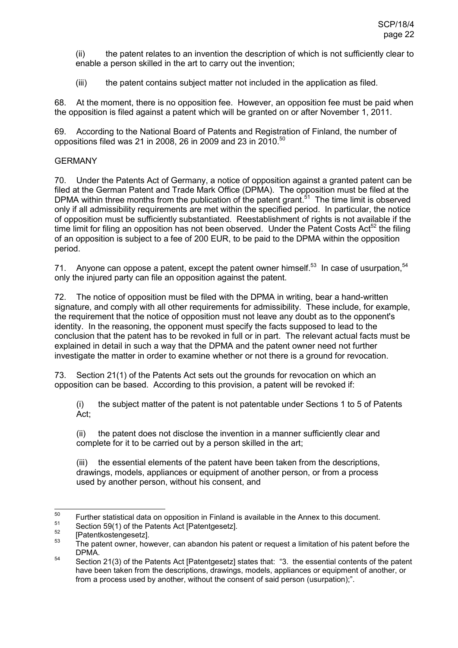(ii) the patent relates to an invention the description of which is not sufficiently clear to enable a person skilled in the art to carry out the invention;

(iii) the patent contains subject matter not included in the application as filed.

68. At the moment, there is no opposition fee. However, an opposition fee must be paid when the opposition is filed against a patent which will be granted on or after November 1, 2011.

69. According to the National Board of Patents and Registration of Finland, the number of oppositions filed was 21 in 2008, 26 in 2009 and 23 in 2010.<sup>50</sup>

### **GERMANY**

70. Under the Patents Act of Germany, a notice of opposition against a granted patent can be filed at the German Patent and Trade Mark Office (DPMA). The opposition must be filed at the DPMA within three months from the publication of the patent grant.<sup>51</sup> The time limit is observed only if all admissibility requirements are met within the specified period. In particular, the notice of opposition must be sufficiently substantiated. Reestablishment of rights is not available if the time limit for filing an opposition has not been observed. Under the Patent Costs Act<sup>52</sup> the filing of an opposition is subject to a fee of 200 EUR, to be paid to the DPMA within the opposition period.

71. Anyone can oppose a patent, except the patent owner himself.<sup>53</sup> In case of usurpation.<sup>54</sup> only the injured party can file an opposition against the patent.

72. The notice of opposition must be filed with the DPMA in writing, bear a hand-written signature, and comply with all other requirements for admissibility. These include, for example, the requirement that the notice of opposition must not leave any doubt as to the opponent's identity. In the reasoning, the opponent must specify the facts supposed to lead to the conclusion that the patent has to be revoked in full or in part. The relevant actual facts must be explained in detail in such a way that the DPMA and the patent owner need not further investigate the matter in order to examine whether or not there is a ground for revocation.

73. Section 21(1) of the Patents Act sets out the grounds for revocation on which an opposition can be based. According to this provision, a patent will be revoked if:

(i) the subject matter of the patent is not patentable under Sections 1 to 5 of Patents Act;

(ii) the patent does not disclose the invention in a manner sufficiently clear and complete for it to be carried out by a person skilled in the art;

(iii) the essential elements of the patent have been taken from the descriptions, drawings, models, appliances or equipment of another person, or from a process used by another person, without his consent, and

<sup>50</sup> <sup>50</sup> Further statistical data on opposition in Finland is available in the Annex to this document.

 $^{51}$  Section 59(1) of the Patents Act [Patentgesetz].

 $53$  [Patentkostengesetz].

The patent owner, however, can abandon his patent or request a limitation of his patent before the DPMA.

 $\frac{54}{100}$  Section 21(3) of the Patents Act [Patentgesetz] states that: "3. the essential contents of the patent have been taken from the descriptions, drawings, models, appliances or equipment of another, or from a process used by another, without the consent of said person (usurpation);".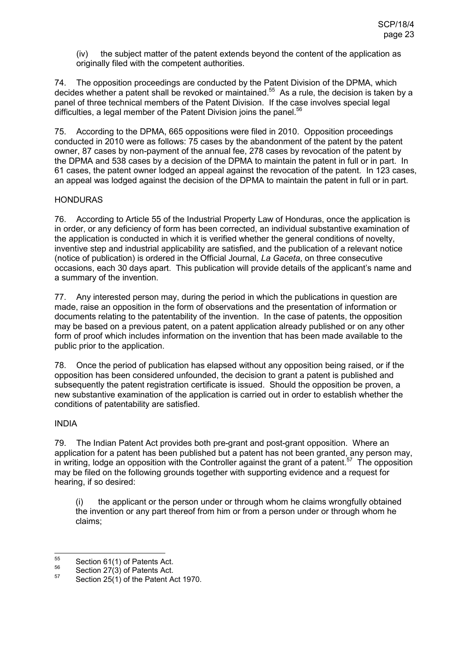(iv) the subject matter of the patent extends beyond the content of the application as originally filed with the competent authorities.

74. The opposition proceedings are conducted by the Patent Division of the DPMA, which decides whether a patent shall be revoked or maintained.<sup>55</sup> As a rule, the decision is taken by a panel of three technical members of the Patent Division. If the case involves special legal difficulties, a legal member of the Patent Division joins the panel.<sup>56</sup>

75. According to the DPMA, 665 oppositions were filed in 2010. Opposition proceedings conducted in 2010 were as follows: 75 cases by the abandonment of the patent by the patent owner, 87 cases by non-payment of the annual fee, 278 cases by revocation of the patent by the DPMA and 538 cases by a decision of the DPMA to maintain the patent in full or in part. In 61 cases, the patent owner lodged an appeal against the revocation of the patent. In 123 cases, an appeal was lodged against the decision of the DPMA to maintain the patent in full or in part.

#### HONDURAS

76. According to Article 55 of the Industrial Property Law of Honduras, once the application is in order, or any deficiency of form has been corrected, an individual substantive examination of the application is conducted in which it is verified whether the general conditions of novelty, inventive step and industrial applicability are satisfied, and the publication of a relevant notice (notice of publication) is ordered in the Official Journal, *La Gaceta*, on three consecutive occasions, each 30 days apart. This publication will provide details of the applicant's name and a summary of the invention.

77. Any interested person may, during the period in which the publications in question are made, raise an opposition in the form of observations and the presentation of information or documents relating to the patentability of the invention. In the case of patents, the opposition may be based on a previous patent, on a patent application already published or on any other form of proof which includes information on the invention that has been made available to the public prior to the application.

78. Once the period of publication has elapsed without any opposition being raised, or if the opposition has been considered unfounded, the decision to grant a patent is published and subsequently the patent registration certificate is issued. Should the opposition be proven, a new substantive examination of the application is carried out in order to establish whether the conditions of patentability are satisfied.

#### INDIA

79. The Indian Patent Act provides both pre-grant and post-grant opposition. Where an application for a patent has been published but a patent has not been granted, any person may, in writing, lodge an opposition with the Controller against the grant of a patent.<sup>57</sup> The opposition may be filed on the following grounds together with supporting evidence and a request for hearing, if so desired:

(i) the applicant or the person under or through whom he claims wrongfully obtained the invention or any part thereof from him or from a person under or through whom he claims;

<sup>55</sup>  $^{55}$  Section 61(1) of Patents Act.<br> $^{56}$  Section 27(2) of Patents Act.

 $^{56}$  Section 27(3) of Patents Act.

Section 25(1) of the Patent Act 1970.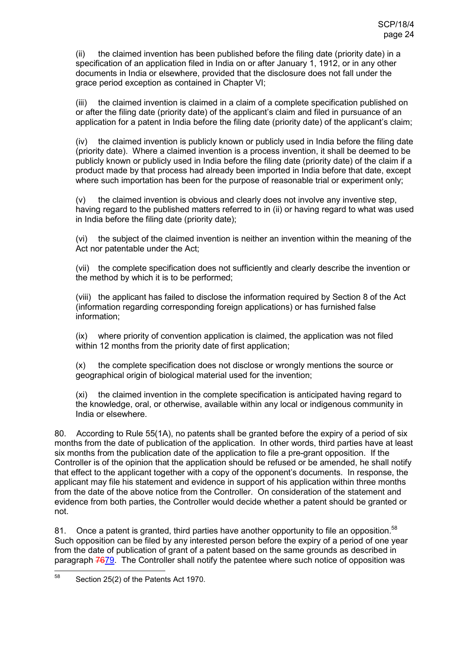(ii) the claimed invention has been published before the filing date (priority date) in a specification of an application filed in India on or after January 1, 1912, or in any other documents in India or elsewhere, provided that the disclosure does not fall under the grace period exception as contained in Chapter VI;

(iii) the claimed invention is claimed in a claim of a complete specification published on or after the filing date (priority date) of the applicant's claim and filed in pursuance of an application for a patent in India before the filing date (priority date) of the applicant's claim;

(iv) the claimed invention is publicly known or publicly used in India before the filing date (priority date). Where a claimed invention is a process invention, it shall be deemed to be publicly known or publicly used in India before the filing date (priority date) of the claim if a product made by that process had already been imported in India before that date, except where such importation has been for the purpose of reasonable trial or experiment only;

(v) the claimed invention is obvious and clearly does not involve any inventive step, having regard to the published matters referred to in (ii) or having regard to what was used in India before the filing date (priority date);

(vi) the subject of the claimed invention is neither an invention within the meaning of the Act nor patentable under the Act;

(vii) the complete specification does not sufficiently and clearly describe the invention or the method by which it is to be performed;

(viii) the applicant has failed to disclose the information required by Section 8 of the Act (information regarding corresponding foreign applications) or has furnished false information;

(ix) where priority of convention application is claimed, the application was not filed within 12 months from the priority date of first application;

(x) the complete specification does not disclose or wrongly mentions the source or geographical origin of biological material used for the invention;

(xi) the claimed invention in the complete specification is anticipated having regard to the knowledge, oral, or otherwise, available within any local or indigenous community in India or elsewhere.

80. According to Rule 55(1A), no patents shall be granted before the expiry of a period of six months from the date of publication of the application. In other words, third parties have at least six months from the publication date of the application to file a pre-grant opposition. If the Controller is of the opinion that the application should be refused or be amended, he shall notify that effect to the applicant together with a copy of the opponent's documents. In response, the applicant may file his statement and evidence in support of his application within three months from the date of the above notice from the Controller. On consideration of the statement and evidence from both parties, the Controller would decide whether a patent should be granted or not.

81. Once a patent is granted, third parties have another opportunity to file an opposition.<sup>58</sup> Such opposition can be filed by any interested person before the expiry of a period of one year from the date of publication of grant of a patent based on the same grounds as described in paragraph 7679. The Controller shall notify the patentee where such notice of opposition was

<sup>58</sup> Section 25(2) of the Patents Act 1970.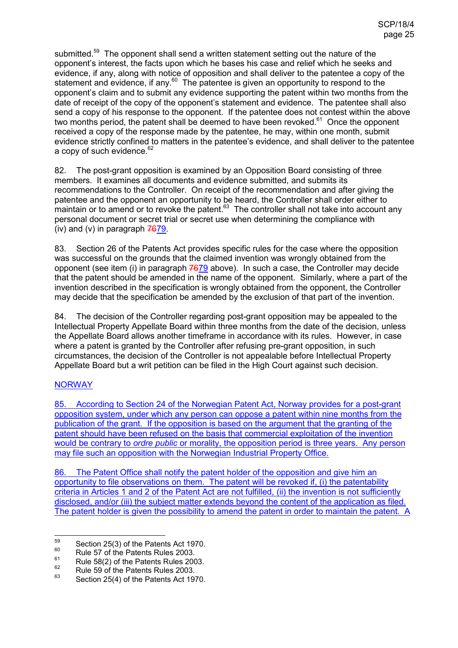submitted.<sup>59</sup> The opponent shall send a written statement setting out the nature of the opponent's interest, the facts upon which he bases his case and relief which he seeks and evidence, if any, along with notice of opposition and shall deliver to the patentee a copy of the statement and evidence, if any.<sup>60</sup> The patentee is given an opportunity to respond to the opponent's claim and to submit any evidence supporting the patent within two months from the date of receipt of the copy of the opponent's statement and evidence. The patentee shall also send a copy of his response to the opponent. If the patentee does not contest within the above two months period, the patent shall be deemed to have been revoked. $61$  Once the opponent received a copy of the response made by the patentee, he may, within one month, submit evidence strictly confined to matters in the patentee's evidence, and shall deliver to the patentee a copy of such evidence.<sup>62</sup>

82. The post-grant opposition is examined by an Opposition Board consisting of three members. It examines all documents and evidence submitted, and submits its recommendations to the Controller. On receipt of the recommendation and after giving the patentee and the opponent an opportunity to be heard, the Controller shall order either to maintain or to amend or to revoke the patent.<sup>63</sup> The controller shall not take into account any personal document or secret trial or secret use when determining the compliance with (iv) and (v) in paragraph  $7679$ .

83. Section 26 of the Patents Act provides specific rules for the case where the opposition was successful on the grounds that the claimed invention was wrongly obtained from the opponent (see item (i) in paragraph  $7679$  above). In such a case, the Controller may decide that the patent should be amended in the name of the opponent. Similarly, where a part of the invention described in the specification is wrongly obtained from the opponent, the Controller may decide that the specification be amended by the exclusion of that part of the invention.

84. The decision of the Controller regarding post-grant opposition may be appealed to the Intellectual Property Appellate Board within three months from the date of the decision, unless the Appellate Board allows another timeframe in accordance with its rules. However, in case where a patent is granted by the Controller after refusing pre-grant opposition, in such circumstances, the decision of the Controller is not appealable before Intellectual Property Appellate Board but a writ petition can be filed in the High Court against such decision.

## **NORWAY**

85. According to Section 24 of the Norwegian Patent Act, Norway provides for a post-grant opposition system, under which any person can oppose a patent within nine months from the publication of the grant. If the opposition is based on the argument that the granting of the patent should have been refused on the basis that commercial exploitation of the invention would be contrary to *ordre public* or morality, the opposition period is three years. Any person may file such an opposition with the Norwegian Industrial Property Office.

86. The Patent Office shall notify the patent holder of the opposition and give him an opportunity to file observations on them. The patent will be revoked if, (i) the patentability criteria in Articles 1 and 2 of the Patent Act are not fulfilled, (ii) the invention is not sufficiently disclosed, and/or (iii) the subject matter extends beyond the content of the application as filed. The patent holder is given the possibility to amend the patent in order to maintain the patent. A

<sup>59</sup>  $^{59}$  Section 25(3) of the Patents Act 1970.

 $^{60}$  Rule 57 of the Patents Rules 2003.

 $^{61}$  Rule 58(2) of the Patents Rules 2003.<br> $^{62}$  Bule 50 of the Patents Bulge 2003.

 $^{62}$  Rule 59 of the Patents Rules 2003.

Section 25(4) of the Patents Act 1970.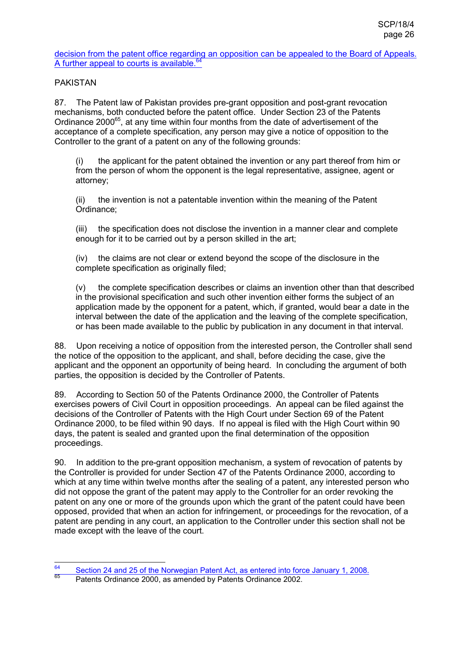decision from the patent office regarding an opposition can be appealed to the Board of Appeals. A further appeal to courts is available. $64$ 

## PAKISTAN

87. The Patent law of Pakistan provides pre-grant opposition and post-grant revocation mechanisms, both conducted before the patent office. Under Section 23 of the Patents Ordinance  $2000^{65}$ , at any time within four months from the date of advertisement of the acceptance of a complete specification, any person may give a notice of opposition to the Controller to the grant of a patent on any of the following grounds:

(i) the applicant for the patent obtained the invention or any part thereof from him or from the person of whom the opponent is the legal representative, assignee, agent or attorney;

(ii) the invention is not a patentable invention within the meaning of the Patent Ordinance;

(iii) the specification does not disclose the invention in a manner clear and complete enough for it to be carried out by a person skilled in the art;

(iv) the claims are not clear or extend beyond the scope of the disclosure in the complete specification as originally filed;

(v) the complete specification describes or claims an invention other than that described in the provisional specification and such other invention either forms the subject of an application made by the opponent for a patent, which, if granted, would bear a date in the interval between the date of the application and the leaving of the complete specification, or has been made available to the public by publication in any document in that interval.

88. Upon receiving a notice of opposition from the interested person, the Controller shall send the notice of the opposition to the applicant, and shall, before deciding the case, give the applicant and the opponent an opportunity of being heard. In concluding the argument of both parties, the opposition is decided by the Controller of Patents.

89. According to Section 50 of the Patents Ordinance 2000, the Controller of Patents exercises powers of Civil Court in opposition proceedings. An appeal can be filed against the decisions of the Controller of Patents with the High Court under Section 69 of the Patent Ordinance 2000, to be filed within 90 days. If no appeal is filed with the High Court within 90 days, the patent is sealed and granted upon the final determination of the opposition proceedings.

90. In addition to the pre-grant opposition mechanism, a system of revocation of patents by the Controller is provided for under Section 47 of the Patents Ordinance 2000, according to which at any time within twelve months after the sealing of a patent, any interested person who did not oppose the grant of the patent may apply to the Controller for an order revoking the patent on any one or more of the grounds upon which the grant of the patent could have been opposed, provided that when an action for infringement, or proceedings for the revocation, of a patent are pending in any court, an application to the Controller under this section shall not be made except with the leave of the court.

<sup>64</sup>  $\frac{64}{65}$  Section 24 and 25 of the Norwegian Patent Act, as entered into force January 1, 2008.

Patents Ordinance 2000, as amended by Patents Ordinance 2002.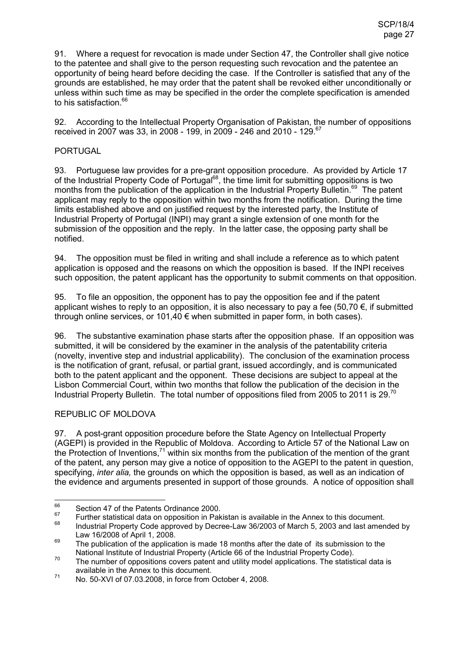91. Where a request for revocation is made under Section 47, the Controller shall give notice to the patentee and shall give to the person requesting such revocation and the patentee an opportunity of being heard before deciding the case. If the Controller is satisfied that any of the grounds are established, he may order that the patent shall be revoked either unconditionally or unless within such time as may be specified in the order the complete specification is amended to his satisfaction.<sup>66</sup>

92. According to the Intellectual Property Organisation of Pakistan, the number of oppositions received in 2007 was 33, in 2008 - 199, in 2009 - 246 and 2010 - 129.<sup>67</sup>

## PORTUGAL

93. Portuguese law provides for a pre-grant opposition procedure. As provided by Article 17 of the Industrial Property Code of Portugal<sup>68</sup>, the time limit for submitting oppositions is two months from the publication of the application in the Industrial Property Bulletin.<sup>69</sup> The patent applicant may reply to the opposition within two months from the notification. During the time limits established above and on justified request by the interested party, the Institute of Industrial Property of Portugal (INPI) may grant a single extension of one month for the submission of the opposition and the reply. In the latter case, the opposing party shall be notified.

94. The opposition must be filed in writing and shall include a reference as to which patent application is opposed and the reasons on which the opposition is based. If the INPI receives such opposition, the patent applicant has the opportunity to submit comments on that opposition.

95. To file an opposition, the opponent has to pay the opposition fee and if the patent applicant wishes to reply to an opposition, it is also necessary to pay a fee (50,70  $\epsilon$ , if submitted through online services, or 101,40  $\epsilon$  when submitted in paper form, in both cases).

96. The substantive examination phase starts after the opposition phase. If an opposition was submitted, it will be considered by the examiner in the analysis of the patentability criteria (novelty, inventive step and industrial applicability). The conclusion of the examination process is the notification of grant, refusal, or partial grant, issued accordingly, and is communicated both to the patent applicant and the opponent. These decisions are subject to appeal at the Lisbon Commercial Court, within two months that follow the publication of the decision in the Industrial Property Bulletin. The total number of oppositions filed from 2005 to 2011 is 29.<sup>70</sup>

## REPUBLIC OF MOLDOVA

97. A post-grant opposition procedure before the State Agency on Intellectual Property (AGEPI) is provided in the Republic of Moldova. According to Article 57 of the National Law on the Protection of Inventions,<sup>71</sup> within six months from the publication of the mention of the grant of the patent, any person may give a notice of opposition to the AGEPI to the patent in question, specifying, *inter alia,* the grounds on which the opposition is based, as well as an indication of the evidence and arguments presented in support of those grounds. A notice of opposition shall

<sup>66</sup>  $^{66}$  Section 47 of the Patents Ordinance 2000.

<sup>&</sup>lt;sup>67</sup> Further statistical data on opposition in Pakistan is available in the Annex to this document.

<sup>68</sup> Industrial Property Code approved by Decree-Law 36/2003 of March 5, 2003 and last amended by Law 16/2008 of April 1, 2008.

 $\frac{69}{100}$  The publication of the application is made 18 months after the date of its submission to the National Institute of Industrial Property (Article 66 of the Industrial Property Code).

The number of oppositions covers patent and utility model applications. The statistical data is available in the Annex to this document.

<sup>71</sup> No. 50-XVI of 07.03.2008, in force from October 4, 2008.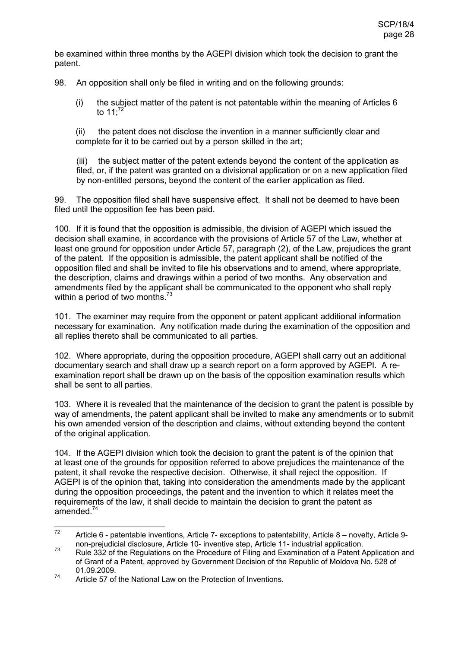be examined within three months by the AGEPI division which took the decision to grant the patent.

98. An opposition shall only be filed in writing and on the following grounds:

(i) the subject matter of the patent is not patentable within the meaning of Articles 6 to  $11^{.72}$ 

(ii) the patent does not disclose the invention in a manner sufficiently clear and complete for it to be carried out by a person skilled in the art;

(iii) the subject matter of the patent extends beyond the content of the application as filed, or, if the patent was granted on a divisional application or on a new application filed by non-entitled persons, beyond the content of the earlier application as filed.

99. The opposition filed shall have suspensive effect. It shall not be deemed to have been filed until the opposition fee has been paid.

100. If it is found that the opposition is admissible, the division of AGEPI which issued the decision shall examine, in accordance with the provisions of Article 57 of the Law, whether at least one ground for opposition under Article 57, paragraph (2), of the Law, prejudices the grant of the patent. If the opposition is admissible, the patent applicant shall be notified of the opposition filed and shall be invited to file his observations and to amend, where appropriate, the description, claims and drawings within a period of two months. Any observation and amendments filed by the applicant shall be communicated to the opponent who shall reply within a period of two months. $^{73}$ 

101. The examiner may require from the opponent or patent applicant additional information necessary for examination. Any notification made during the examination of the opposition and all replies thereto shall be communicated to all parties.

102. Where appropriate, during the opposition procedure, AGEPI shall carry out an additional documentary search and shall draw up a search report on a form approved by AGEPI. A reexamination report shall be drawn up on the basis of the opposition examination results which shall be sent to all parties.

103. Where it is revealed that the maintenance of the decision to grant the patent is possible by way of amendments, the patent applicant shall be invited to make any amendments or to submit his own amended version of the description and claims, without extending beyond the content of the original application.

104. If the AGEPI division which took the decision to grant the patent is of the opinion that at least one of the grounds for opposition referred to above prejudices the maintenance of the patent, it shall revoke the respective decision. Otherwise, it shall reject the opposition. If AGEPI is of the opinion that, taking into consideration the amendments made by the applicant during the opposition proceedings, the patent and the invention to which it relates meet the requirements of the law, it shall decide to maintain the decision to grant the patent as amended.<sup>74</sup>

 $72$ Article 6 - patentable inventions, Article 7- exceptions to patentability, Article 8 – novelty, Article 9non-prejudicial disclosure, Article 10- inventive step, Article 11- industrial application.

 $73$  Rule 332 of the Regulations on the Procedure of Filing and Examination of a Patent Application and of Grant of a Patent, approved by Government Decision of the Republic of Moldova No. 528 of 01.09.2009.

<sup>&</sup>lt;sup>74</sup> Article 57 of the National Law on the Protection of Inventions.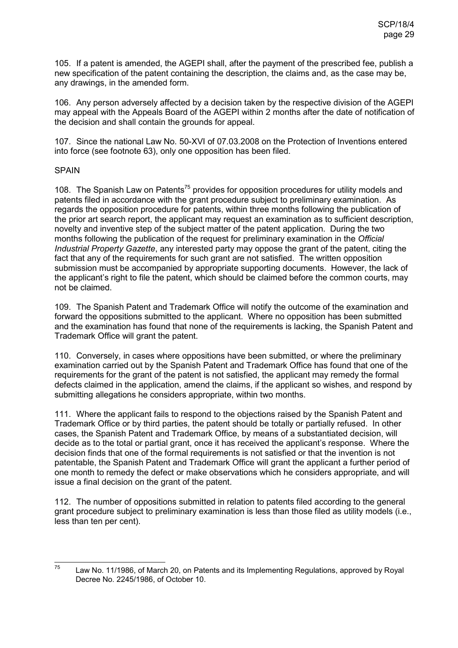105. If a patent is amended, the AGEPI shall, after the payment of the prescribed fee, publish a new specification of the patent containing the description, the claims and, as the case may be, any drawings, in the amended form.

106. Any person adversely affected by a decision taken by the respective division of the AGEPI may appeal with the Appeals Board of the AGEPI within 2 months after the date of notification of the decision and shall contain the grounds for appeal.

107. Since the national Law No. 50-XVI of 07.03.2008 on the Protection of Inventions entered into force (see footnote 63), only one opposition has been filed.

### **SPAIN**

108. The Spanish Law on Patents<sup>75</sup> provides for opposition procedures for utility models and patents filed in accordance with the grant procedure subject to preliminary examination. As regards the opposition procedure for patents, within three months following the publication of the prior art search report, the applicant may request an examination as to sufficient description, novelty and inventive step of the subject matter of the patent application. During the two months following the publication of the request for preliminary examination in the *Official Industrial Property Gazette*, any interested party may oppose the grant of the patent, citing the fact that any of the requirements for such grant are not satisfied. The written opposition submission must be accompanied by appropriate supporting documents. However, the lack of the applicant's right to file the patent, which should be claimed before the common courts, may not be claimed.

109. The Spanish Patent and Trademark Office will notify the outcome of the examination and forward the oppositions submitted to the applicant. Where no opposition has been submitted and the examination has found that none of the requirements is lacking, the Spanish Patent and Trademark Office will grant the patent.

110. Conversely, in cases where oppositions have been submitted, or where the preliminary examination carried out by the Spanish Patent and Trademark Office has found that one of the requirements for the grant of the patent is not satisfied, the applicant may remedy the formal defects claimed in the application, amend the claims, if the applicant so wishes, and respond by submitting allegations he considers appropriate, within two months.

111. Where the applicant fails to respond to the objections raised by the Spanish Patent and Trademark Office or by third parties, the patent should be totally or partially refused. In other cases, the Spanish Patent and Trademark Office, by means of a substantiated decision, will decide as to the total or partial grant, once it has received the applicant's response. Where the decision finds that one of the formal requirements is not satisfied or that the invention is not patentable, the Spanish Patent and Trademark Office will grant the applicant a further period of one month to remedy the defect or make observations which he considers appropriate, and will issue a final decision on the grant of the patent.

112. The number of oppositions submitted in relation to patents filed according to the general grant procedure subject to preliminary examination is less than those filed as utility models (i.e., less than ten per cent).

<sup>75</sup> Law No. 11/1986, of March 20, on Patents and its Implementing Regulations, approved by Royal Decree No. 2245/1986, of October 10.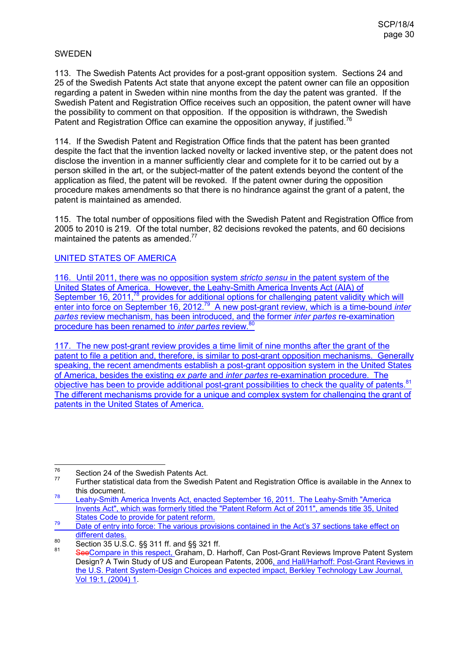### SWEDEN

113. The Swedish Patents Act provides for a post-grant opposition system. Sections 24 and 25 of the Swedish Patents Act state that anyone except the patent owner can file an opposition regarding a patent in Sweden within nine months from the day the patent was granted. If the Swedish Patent and Registration Office receives such an opposition, the patent owner will have the possibility to comment on that opposition. If the opposition is withdrawn, the Swedish Patent and Registration Office can examine the opposition anyway, if justified.<sup>76</sup>

114. If the Swedish Patent and Registration Office finds that the patent has been granted despite the fact that the invention lacked novelty or lacked inventive step, or the patent does not disclose the invention in a manner sufficiently clear and complete for it to be carried out by a person skilled in the art, or the subject-matter of the patent extends beyond the content of the application as filed, the patent will be revoked. If the patent owner during the opposition procedure makes amendments so that there is no hindrance against the grant of a patent, the patent is maintained as amended.

115. The total number of oppositions filed with the Swedish Patent and Registration Office from 2005 to 2010 is 219. Of the total number, 82 decisions revoked the patents, and 60 decisions maintained the patents as amended. $77$ 

## UNITED STATES OF AMERICA

116. Until 2011, there was no opposition system *stricto sensu* in the patent system of the United States of America. However, the Leahy-Smith America Invents Act (AIA) of September 16, 2011,<sup>78</sup> provides for additional options for challenging patent validity which will enter into force on September 16, 2012.<sup>79</sup> A new post-grant review, which is a time-bound *inter partes* review mechanism, has been introduced, and the former *inter partes* re-examination procedure has been renamed to *inter partes* review.<sup>80</sup>

117. The new post-grant review provides a time limit of nine months after the grant of the patent to file a petition and, therefore, is similar to post-grant opposition mechanisms. Generally speaking, the recent amendments establish a post-grant opposition system in the United States of America, besides the existing *ex parte* and *inter partes* re-examination procedure. The objective has been to provide additional post-grant possibilities to check the quality of patents.<sup>81</sup> The different mechanisms provide for a unique and complex system for challenging the grant of patents in the United States of America.

<sup>76</sup>  $^{76}$  Section 24 of the Swedish Patents Act.

Further statistical data from the Swedish Patent and Registration Office is available in the Annex to this document.

<sup>78</sup> Leahy-Smith America Invents Act, enacted September 16, 2011. The Leahy-Smith "America Invents Act", which was formerly titled the "Patent Reform Act of 2011", amends title 35, United States Code to provide for patent reform.

<sup>&</sup>lt;sup>79</sup> Date of entry into force: The various provisions contained in the Act's 37 sections take effect on different dates.

<sup>80</sup> Section 35 U.S.C. §§ 311 ff. and §§ 321 ff.

<sup>81</sup> SeeCompare in this respect, Graham, D. Harhoff, Can Post-Grant Reviews Improve Patent System Design? A Twin Study of US and European Patents, 2006, and Hall/Harhoff: Post-Grant Reviews in the U.S. Patent System-Design Choices and expected impact, Berkley Technology Law Journal, Vol 19:1, (2004) 1.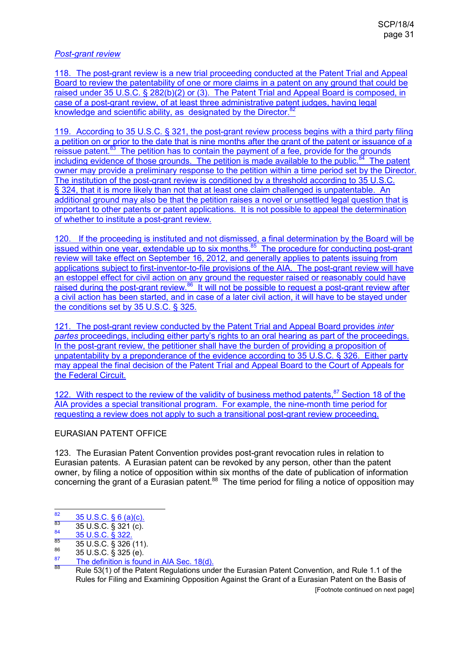## *Post-grant review*

118. The post-grant review is a new trial proceeding conducted at the Patent Trial and Appeal Board to review the patentability of one or more claims in a patent on any ground that could be raised under 35 U.S.C. § 282(b)(2) or (3). The Patent Trial and Appeal Board is composed, in case of a post-grant review, of at least three administrative patent judges, having legal knowledge and scientific ability, as designated by the Director.<sup>8</sup> l.

119. According to 35 U.S.C. § 321, the post-grant review process begins with a third party filing a petition on or prior to the date that is nine months after the grant of the patent or issuance of a reissue patent. $83$  The petition has to contain the payment of a fee, provide for the grounds including evidence of those grounds. The petition is made available to the public.<sup>84</sup> The patent owner may provide a preliminary response to the petition within a time period set by the Director. The institution of the post-grant review is conditioned by a threshold according to 35 U.S.C. § 324, that it is more likely than not that at least one claim challenged is unpatentable. An additional ground may also be that the petition raises a novel or unsettled legal question that is important to other patents or patent applications. It is not possible to appeal the determination of whether to institute a post-grant review.

120. If the proceeding is instituted and not dismissed, a final determination by the Board will be issued within one year, extendable up to six months.<sup>85</sup> The procedure for conducting post-grant review will take effect on September 16, 2012, and generally applies to patents issuing from applications subject to first-inventor-to-file provisions of the AIA. The post-grant review will have an estoppel effect for civil action on any ground the requester raised or reasonably could have raised during the post-grant review.<sup>86</sup> It will not be possible to request a post-grant review after a civil action has been started, and in case of a later civil action, it will have to be stayed under the conditions set by 35 U.S.C. § 325.

121. The post-grant review conducted by the Patent Trial and Appeal Board provides *inter partes* proceedings, including either party's rights to an oral hearing as part of the proceedings. In the post-grant review, the petitioner shall have the burden of providing a proposition of unpatentability by a preponderance of the evidence according to 35 U.S.C. § 326. Either party may appeal the final decision of the Patent Trial and Appeal Board to the Court of Appeals for the Federal Circuit.

122. With respect to the review of the validity of business method patents.<sup>87</sup> Section 18 of the AIA provides a special transitional program. For example, the nine-month time period for requesting a review does not apply to such a transitional post-grant review proceeding.

### EURASIAN PATENT OFFICE

123. The Eurasian Patent Convention provides post-grant revocation rules in relation to Eurasian patents. A Eurasian patent can be revoked by any person, other than the patent owner, by filing a notice of opposition within six months of the date of publication of information concerning the grant of a Eurasian patent.<sup>88</sup> The time period for filing a notice of opposition may

[Footnote continued on next page]

<sup>82</sup>  $\frac{82}{83}$  35 U.S.C. § 6 (a)(c).

 $\frac{83}{84}$  35 U.S.C. § 321 (c).

 $\frac{84}{85}$  35 U.S.C. § 322

 $\frac{85}{86}$  35 U.S.C. § 326 (11).

 $\frac{86}{87}$  35 U.S.C. § 325 (e).

 $\frac{87}{88}$  The definition is found in AIA Sec. 18(d).

<sup>88</sup> Rule 53(1) of the Patent Regulations under the Eurasian Patent Convention, and Rule 1.1 of the Rules for Filing and Examining Opposition Against the Grant of a Eurasian Patent on the Basis of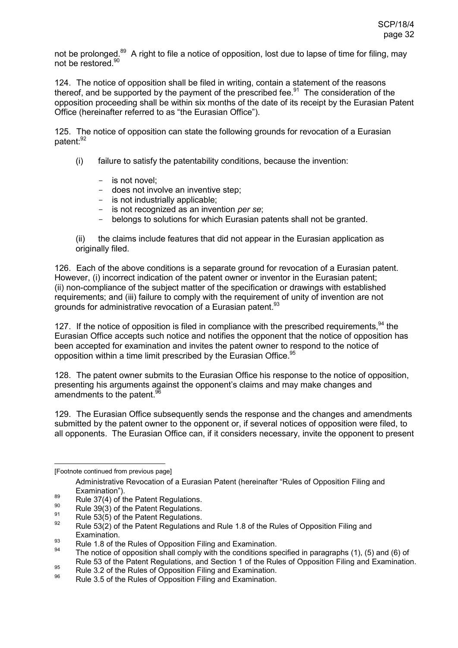not be prolonged.<sup>89</sup> A right to file a notice of opposition, lost due to lapse of time for filing, may not be restored.<sup>90</sup>

124. The notice of opposition shall be filed in writing, contain a statement of the reasons thereof, and be supported by the payment of the prescribed fee.<sup>91</sup> The consideration of the opposition proceeding shall be within six months of the date of its receipt by the Eurasian Patent Office (hereinafter referred to as "the Eurasian Office").

125. The notice of opposition can state the following grounds for revocation of a Eurasian patent:<sup>92</sup>

- (i) failure to satisfy the patentability conditions, because the invention:
	- is not novel;
	- does not involve an inventive step;
	- is not industrially applicable;
	- is not recognized as an invention *per se*;
	- belongs to solutions for which Eurasian patents shall not be granted.

(ii) the claims include features that did not appear in the Eurasian application as originally filed.

126. Each of the above conditions is a separate ground for revocation of a Eurasian patent. However, (i) incorrect indication of the patent owner or inventor in the Eurasian patent; (ii) non-compliance of the subject matter of the specification or drawings with established requirements; and (iii) failure to comply with the requirement of unity of invention are not grounds for administrative revocation of a Eurasian patent.<sup>93</sup>

127. If the notice of opposition is filed in compliance with the prescribed requirements,  $94$  the Eurasian Office accepts such notice and notifies the opponent that the notice of opposition has been accepted for examination and invites the patent owner to respond to the notice of opposition within a time limit prescribed by the Eurasian Office.<sup>95</sup>

128. The patent owner submits to the Eurasian Office his response to the notice of opposition, presenting his arguments against the opponent's claims and may make changes and amendments to the patent.<sup>9</sup>

129. The Eurasian Office subsequently sends the response and the changes and amendments submitted by the patent owner to the opponent or, if several notices of opposition were filed, to all opponents. The Eurasian Office can, if it considers necessary, invite the opponent to present

<sup>91</sup> Rule 53(5) of the Patent Regulations.

<sup>-</sup>[Footnote continued from previous page]

Administrative Revocation of a Eurasian Patent (hereinafter "Rules of Opposition Filing and Examination").

<sup>&</sup>lt;sup>89</sup> Rule 37(4) of the Patent Regulations.

<sup>&</sup>lt;sup>90</sup> Rule 39(3) of the Patent Regulations.

Rule 53(2) of the Patent Regulations and Rule 1.8 of the Rules of Opposition Filing and Examination.

<sup>93</sup> Rule 1.8 of the Rules of Opposition Filing and Examination.

The notice of opposition shall comply with the conditions specified in paragraphs (1), (5) and (6) of Rule 53 of the Patent Regulations, and Section 1 of the Rules of Opposition Filing and Examination.

<sup>95</sup> Rule 3.2 of the Rules of Opposition Filing and Examination.<br>Rule 3.2 of the Rules of Opposition Filing and Examination.

Rule 3.5 of the Rules of Opposition Filing and Examination.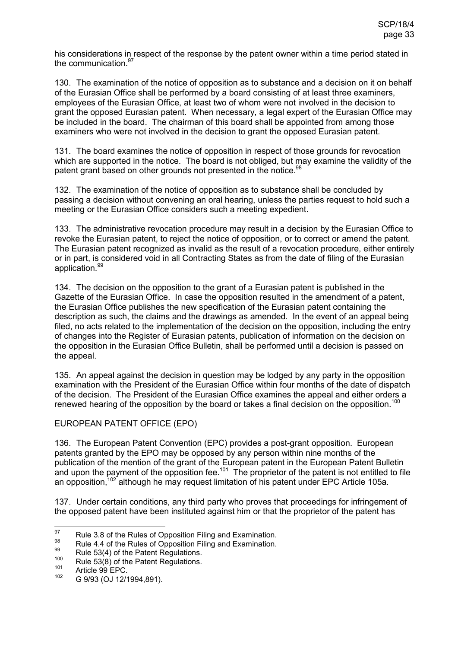his considerations in respect of the response by the patent owner within a time period stated in the communication  $97$ 

130. The examination of the notice of opposition as to substance and a decision on it on behalf of the Eurasian Office shall be performed by a board consisting of at least three examiners, employees of the Eurasian Office, at least two of whom were not involved in the decision to grant the opposed Eurasian patent. When necessary, a legal expert of the Eurasian Office may be included in the board. The chairman of this board shall be appointed from among those examiners who were not involved in the decision to grant the opposed Eurasian patent.

131. The board examines the notice of opposition in respect of those grounds for revocation which are supported in the notice. The board is not obliged, but may examine the validity of the patent grant based on other grounds not presented in the notice.<sup>98</sup>

132. The examination of the notice of opposition as to substance shall be concluded by passing a decision without convening an oral hearing, unless the parties request to hold such a meeting or the Eurasian Office considers such a meeting expedient.

133. The administrative revocation procedure may result in a decision by the Eurasian Office to revoke the Eurasian patent, to reject the notice of opposition, or to correct or amend the patent. The Eurasian patent recognized as invalid as the result of a revocation procedure, either entirely or in part, is considered void in all Contracting States as from the date of filing of the Eurasian application.<sup>99</sup>

134. The decision on the opposition to the grant of a Eurasian patent is published in the Gazette of the Eurasian Office. In case the opposition resulted in the amendment of a patent, the Eurasian Office publishes the new specification of the Eurasian patent containing the description as such, the claims and the drawings as amended. In the event of an appeal being filed, no acts related to the implementation of the decision on the opposition, including the entry of changes into the Register of Eurasian patents, publication of information on the decision on the opposition in the Eurasian Office Bulletin, shall be performed until a decision is passed on the appeal.

135. An appeal against the decision in question may be lodged by any party in the opposition examination with the President of the Eurasian Office within four months of the date of dispatch of the decision. The President of the Eurasian Office examines the appeal and either orders a renewed hearing of the opposition by the board or takes a final decision on the opposition.<sup>100</sup>

## EUROPEAN PATENT OFFICE (EPO)

136. The European Patent Convention (EPC) provides a post-grant opposition. European patents granted by the EPO may be opposed by any person within nine months of the publication of the mention of the grant of the European patent in the European Patent Bulletin and upon the payment of the opposition fee.<sup>101</sup> The proprietor of the patent is not entitled to file an opposition,<sup>102</sup> although he may request limitation of his patent under EPC Article 105a.

137. Under certain conditions, any third party who proves that proceedings for infringement of the opposed patent have been instituted against him or that the proprietor of the patent has

<sup>97</sup> <sup>97</sup> Rule 3.8 of the Rules of Opposition Filing and Examination.

<sup>&</sup>lt;sup>98</sup> Rule 4.4 of the Rules of Opposition Filing and Examination.

<sup>&</sup>lt;sup>99</sup> Rule 53(4) of the Patent Regulations.

 $100$  Rule 53(8) of the Patent Regulations.

 $101$  Article 99 EPC.

G 9/93 (OJ 12/1994,891).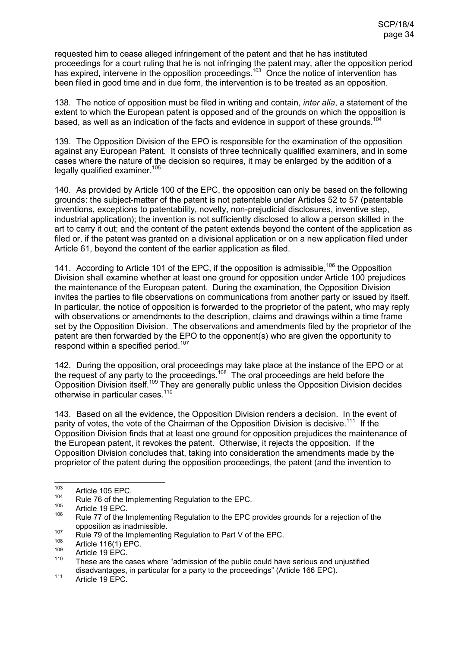requested him to cease alleged infringement of the patent and that he has instituted proceedings for a court ruling that he is not infringing the patent may, after the opposition period has expired, intervene in the opposition proceedings.<sup>103</sup> Once the notice of intervention has been filed in good time and in due form, the intervention is to be treated as an opposition.

138. The notice of opposition must be filed in writing and contain, *inter alia*, a statement of the extent to which the European patent is opposed and of the grounds on which the opposition is based, as well as an indication of the facts and evidence in support of these grounds.<sup>104</sup>

139. The Opposition Division of the EPO is responsible for the examination of the opposition against any European Patent. It consists of three technically qualified examiners, and in some cases where the nature of the decision so requires, it may be enlarged by the addition of a legally qualified examiner.<sup>105</sup>

140. As provided by Article 100 of the EPC, the opposition can only be based on the following grounds: the subject-matter of the patent is not patentable under Articles 52 to 57 (patentable inventions, exceptions to patentability, novelty, non-prejudicial disclosures, inventive step, industrial application); the invention is not sufficiently disclosed to allow a person skilled in the art to carry it out; and the content of the patent extends beyond the content of the application as filed or, if the patent was granted on a divisional application or on a new application filed under Article 61, beyond the content of the earlier application as filed.

141. According to Article 101 of the EPC, if the opposition is admissible, <sup>106</sup> the Opposition Division shall examine whether at least one ground for opposition under Article 100 prejudices the maintenance of the European patent. During the examination, the Opposition Division invites the parties to file observations on communications from another party or issued by itself. In particular, the notice of opposition is forwarded to the proprietor of the patent, who may reply with observations or amendments to the description, claims and drawings within a time frame set by the Opposition Division. The observations and amendments filed by the proprietor of the patent are then forwarded by the EPO to the opponent(s) who are given the opportunity to respond within a specified period.<sup>107</sup>

142. During the opposition, oral proceedings may take place at the instance of the EPO or at the request of any party to the proceedings.<sup>108</sup> The oral proceedings are held before the Opposition Division itself.<sup>109</sup> They are generally public unless the Opposition Division decides otherwise in particular cases.<sup>110</sup>

143. Based on all the evidence, the Opposition Division renders a decision. In the event of parity of votes, the vote of the Chairman of the Opposition Division is decisive.<sup>111</sup> If the Opposition Division finds that at least one ground for opposition prejudices the maintenance of the European patent, it revokes the patent. Otherwise, it rejects the opposition. If the Opposition Division concludes that, taking into consideration the amendments made by the proprietor of the patent during the opposition proceedings, the patent (and the invention to

 $103$  $103$  Article 105 EPC.

<sup>&</sup>lt;sup>104</sup> Rule 76 of the Implementing Regulation to the EPC.

 $^{105}$  Article 19 EPC.

Rule 77 of the Implementing Regulation to the EPC provides grounds for a rejection of the opposition as inadmissible.

<sup>&</sup>lt;sup>107</sup> Rule 79 of the Implementing Regulation to Part V of the EPC.

 $^{108}$  Article 116(1) EPC.

 $\frac{109}{110}$  Article 19 EPC.

These are the cases where "admission of the public could have serious and uniustified disadvantages, in particular for a party to the proceedings" (Article 166 EPC).

<sup>&</sup>lt;sup>111</sup> Article 19 EPC.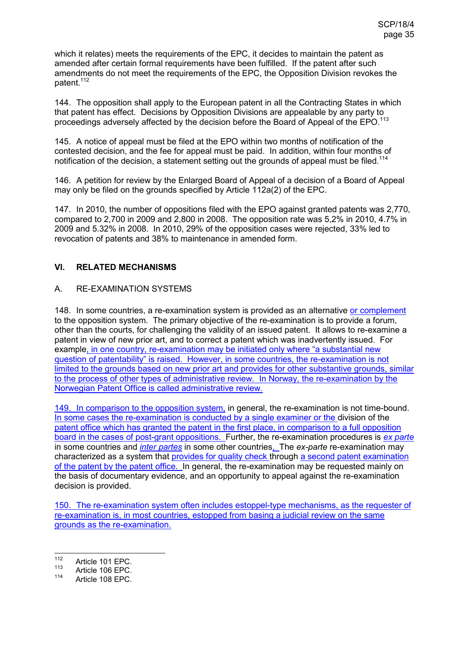which it relates) meets the requirements of the EPC, it decides to maintain the patent as amended after certain formal requirements have been fulfilled. If the patent after such amendments do not meet the requirements of the EPC, the Opposition Division revokes the patent.<sup>112</sup>

144. The opposition shall apply to the European patent in all the Contracting States in which that patent has effect. Decisions by Opposition Divisions are appealable by any party to proceedings adversely affected by the decision before the Board of Appeal of the EPO.<sup>113</sup>

145. A notice of appeal must be filed at the EPO within two months of notification of the contested decision, and the fee for appeal must be paid. In addition, within four months of notification of the decision, a statement setting out the grounds of appeal must be filed.<sup>114</sup>

146. A petition for review by the Enlarged Board of Appeal of a decision of a Board of Appeal may only be filed on the grounds specified by Article 112a(2) of the EPC.

147. In 2010, the number of oppositions filed with the EPO against granted patents was 2,770, compared to 2,700 in 2009 and 2,800 in 2008. The opposition rate was 5,2% in 2010, 4.7% in 2009 and 5.32% in 2008. In 2010, 29% of the opposition cases were rejected, 33% led to revocation of patents and 38% to maintenance in amended form.

## **VI. RELATED MECHANISMS**

## A. RE-EXAMINATION SYSTEMS

148. In some countries, a re-examination system is provided as an alternative or complement to the opposition system. The primary objective of the re-examination is to provide a forum, other than the courts, for challenging the validity of an issued patent. It allows to re-examine a patent in view of new prior art, and to correct a patent which was inadvertently issued. For example, in one country, re-examination may be initiated only where "a substantial new question of patentability" is raised. However, in some countries, the re-examination is not limited to the grounds based on new prior art and provides for other substantive grounds, similar to the process of other types of administrative review. In Norway, the re-examination by the Norwegian Patent Office is called administrative review.

149. In comparison to the opposition system, in general, the re-examination is not time-bound. In some cases the re-examination is conducted by a single examiner or the division of the patent office which has granted the patent in the first place, in comparison to a full opposition board in the cases of post-grant oppositions. Further, the re-examination procedures is *ex parte* in some countries and *inter partes* in some other countries, The *ex-parte* re-examination may characterized as a system that provides for quality check through a second patent examination of the patent by the patent office. In general, the re-examination may be requested mainly on the basis of documentary evidence, and an opportunity to appeal against the re-examination decision is provided.

150. The re-examination system often includes estoppel-type mechanisms, as the requester of re-examination is, in most countries, estopped from basing a judicial review on the same grounds as the re-examination.

<sup>112</sup>  $\frac{112}{113}$  Article 101 EPC.

 $113$  Article 106 EPC.<br> $114$  Article 108 EPC.

Article 108 EPC.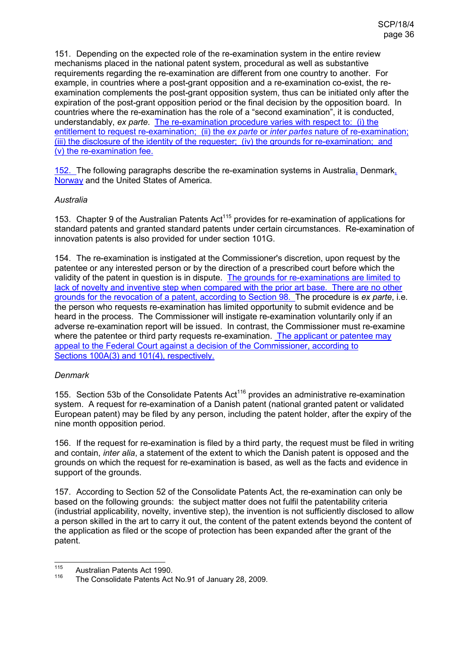151. Depending on the expected role of the re-examination system in the entire review mechanisms placed in the national patent system, procedural as well as substantive requirements regarding the re-examination are different from one country to another. For example, in countries where a post-grant opposition and a re-examination co-exist, the reexamination complements the post-grant opposition system, thus can be initiated only after the expiration of the post-grant opposition period or the final decision by the opposition board. In countries where the re-examination has the role of a "second examination", it is conducted, understandably, *ex parte*. The re-examination procedure varies with respect to: (i) the entitlement to request re-examination; (ii) the *ex parte* or *inter partes* nature of re-examination; (iii) the disclosure of the identity of the requester; (iv) the grounds for re-examination; and (v) the re-examination fee.

152. The following paragraphs describe the re-examination systems in Australia, Denmark, Norway and the United States of America.

### *Australia*

153. Chapter 9 of the Australian Patents Act<sup>115</sup> provides for re-examination of applications for standard patents and granted standard patents under certain circumstances. Re-examination of innovation patents is also provided for under section 101G.

154. The re-examination is instigated at the Commissioner's discretion, upon request by the patentee or any interested person or by the direction of a prescribed court before which the validity of the patent in question is in dispute. The grounds for re-examinations are limited to lack of novelty and inventive step when compared with the prior art base. There are no other grounds for the revocation of a patent, according to Section 98. The procedure is *ex parte*, i.e. the person who requests re-examination has limited opportunity to submit evidence and be heard in the process. The Commissioner will instigate re-examination voluntarily only if an adverse re-examination report will be issued. In contrast, the Commissioner must re-examine where the patentee or third party requests re-examination. The applicant or patentee may appeal to the Federal Court against a decision of the Commissioner, according to Sections 100A(3) and 101(4), respectively.

### *Denmark*

155. Section 53b of the Consolidate Patents  $Act^{116}$  provides an administrative re-examination system. A request for re-examination of a Danish patent (national granted patent or validated European patent) may be filed by any person, including the patent holder, after the expiry of the nine month opposition period.

156. If the request for re-examination is filed by a third party, the request must be filed in writing and contain, *inter alia*, a statement of the extent to which the Danish patent is opposed and the grounds on which the request for re-examination is based, as well as the facts and evidence in support of the grounds.

157. According to Section 52 of the Consolidate Patents Act, the re-examination can only be based on the following grounds: the subject matter does not fulfil the patentability criteria (industrial applicability, novelty, inventive step), the invention is not sufficiently disclosed to allow a person skilled in the art to carry it out, the content of the patent extends beyond the content of the application as filed or the scope of protection has been expanded after the grant of the patent.

<sup>115</sup>  $^{115}$  Australian Patents Act 1990.

The Consolidate Patents Act No.91 of January 28, 2009.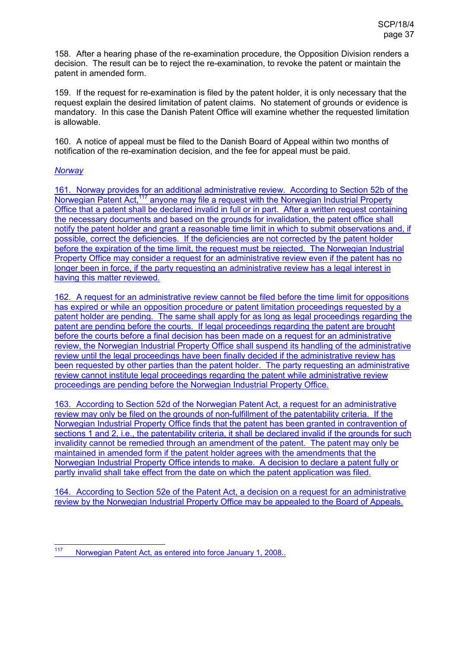158. After a hearing phase of the re-examination procedure, the Opposition Division renders a decision. The result can be to reject the re-examination, to revoke the patent or maintain the patent in amended form.

159. If the request for re-examination is filed by the patent holder, it is only necessary that the request explain the desired limitation of patent claims. No statement of grounds or evidence is mandatory. In this case the Danish Patent Office will examine whether the requested limitation is allowable.

160. A notice of appeal must be filed to the Danish Board of Appeal within two months of notification of the re-examination decision, and the fee for appeal must be paid.

#### *Norway*

161. Norway provides for an additional administrative review. According to Section 52b of the Norwegian Patent Act.<sup>117</sup> anyone may file a request with the Norwegian Industrial Property Office that a patent shall be declared invalid in full or in part. After a written request containing the necessary documents and based on the grounds for invalidation, the patent office shall notify the patent holder and grant a reasonable time limit in which to submit observations and, if possible, correct the deficiencies. If the deficiencies are not corrected by the patent holder before the expiration of the time limit, the request must be rejected. The Norwegian Industrial Property Office may consider a request for an administrative review even if the patent has no longer been in force, if the party requesting an administrative review has a legal interest in having this matter reviewed.

162. A request for an administrative review cannot be filed before the time limit for oppositions has expired or while an opposition procedure or patent limitation proceedings requested by a patent holder are pending. The same shall apply for as long as legal proceedings regarding the patent are pending before the courts. If legal proceedings regarding the patent are brought before the courts before a final decision has been made on a request for an administrative review, the Norwegian Industrial Property Office shall suspend its handling of the administrative review until the legal proceedings have been finally decided if the administrative review has been requested by other parties than the patent holder. The party requesting an administrative review cannot institute legal proceedings regarding the patent while administrative review proceedings are pending before the Norwegian Industrial Property Office.

163. According to Section 52d of the Norwegian Patent Act, a request for an administrative review may only be filed on the grounds of non-fulfillment of the patentability criteria. If the Norwegian Industrial Property Office finds that the patent has been granted in contravention of sections 1 and 2, i.e., the patentability criteria, it shall be declared invalid if the grounds for such invalidity cannot be remedied through an amendment of the patent. The patent may only be maintained in amended form if the patent holder agrees with the amendments that the Norwegian Industrial Property Office intends to make. A decision to declare a patent fully or partly invalid shall take effect from the date on which the patent application was filed.

164. According to Section 52e of the Patent Act, a decision on a request for an administrative review by the Norwegian Industrial Property Office may be appealed to the Board of Appeals.

<sup>117</sup> Norwegian Patent Act, as entered into force January 1, 2008...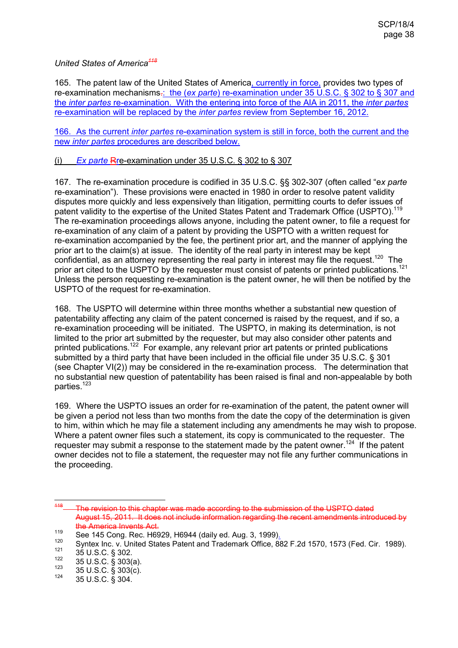*United States of America<sup>118</sup>*

165. The patent law of the United States of America, currently in force, provides two types of re-examination mechanisms.: the (*ex parte*) re-examination under 35 U.S.C. § 302 to § 307 and the *inter partes* re-examination. With the entering into force of the AIA in 2011, the *inter partes* re-examination will be replaced by the *inter partes* review from September 16, 2012.

166. As the current *inter partes* re-examination system is still in force, both the current and the new *inter partes* procedures are described below.

### (i) *Ex parte* Rre-examination under 35 U.S.C. § 302 to § 307

167. The re-examination procedure is codified in 35 U.S.C. §§ 302-307 (often called "e*x parte* re-examination"). These provisions were enacted in 1980 in order to resolve patent validity disputes more quickly and less expensively than litigation, permitting courts to defer issues of patent validity to the expertise of the United States Patent and Trademark Office (USPTO).<sup>119</sup> The re-examination proceedings allows anyone, including the patent owner, to file a request for re-examination of any claim of a patent by providing the USPTO with a written request for re-examination accompanied by the fee, the pertinent prior art, and the manner of applying the prior art to the claim(s) at issue. The identity of the real party in interest may be kept confidential, as an attorney representing the real party in interest may file the request.<sup>120</sup> The prior art cited to the USPTO by the requester must consist of patents or printed publications.<sup>121</sup> Unless the person requesting re-examination is the patent owner, he will then be notified by the USPTO of the request for re-examination.

168. The USPTO will determine within three months whether a substantial new question of patentability affecting any claim of the patent concerned is raised by the request, and if so, a re-examination proceeding will be initiated. The USPTO, in making its determination, is not limited to the prior art submitted by the requester, but may also consider other patents and printed publications.<sup>122</sup> For example, any relevant prior art patents or printed publications submitted by a third party that have been included in the official file under 35 U.S.C. § 301 (see Chapter VI(2)) may be considered in the re-examination process. The determination that no substantial new question of patentability has been raised is final and non-appealable by both parties.<sup>123</sup>

169. Where the USPTO issues an order for re-examination of the patent, the patent owner will be given a period not less than two months from the date the copy of the determination is given to him, within which he may file a statement including any amendments he may wish to propose. Where a patent owner files such a statement, its copy is communicated to the requester. The requester may submit a response to the statement made by the patent owner.<sup>124</sup> If the patent owner decides not to file a statement, the requester may not file any further communications in the proceeding.

 $118$ The revision to this chapter was made according to the submission of the USPTO dated August 15, 2011. It does not include information regarding the recent amendments introduced by the America Invents Act.

<sup>119</sup> See 145 Cong. Rec. H6929, H6944 (daily ed. Aug. 3, 1999).

<sup>&</sup>lt;sup>120</sup> Syntex Inc. v. United States Patent and Trademark Office, 882 F.2d 1570, 1573 (Fed. Cir. 1989).

 $^{121}$  35 U.S.C. § 302.

 $122$  35 U.S.C. § 303(a).

 $123$  35 U.S.C. § 303(c).

 $124$  35 U.S.C. § 304.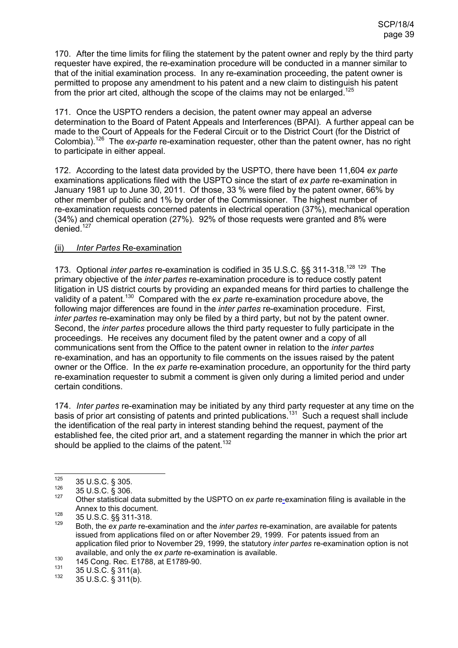170. After the time limits for filing the statement by the patent owner and reply by the third party requester have expired, the re-examination procedure will be conducted in a manner similar to that of the initial examination process. In any re-examination proceeding, the patent owner is permitted to propose any amendment to his patent and a new claim to distinguish his patent from the prior art cited, although the scope of the claims may not be enlarged.<sup>125</sup>

171. Once the USPTO renders a decision, the patent owner may appeal an adverse determination to the Board of Patent Appeals and Interferences (BPAI). A further appeal can be made to the Court of Appeals for the Federal Circuit or to the District Court (for the District of Colombia).<sup>126</sup> The *ex-parte* re-examination requester, other than the patent owner, has no right to participate in either appeal.

172. According to the latest data provided by the USPTO, there have been 11,604 *ex parte* examinations applications filed with the USPTO since the start of *ex parte* re-examination in January 1981 up to June 30, 2011. Of those, 33 % were filed by the patent owner, 66% by other member of public and 1% by order of the Commissioner. The highest number of re-examination requests concerned patents in electrical operation (37%), mechanical operation (34%) and chemical operation (27%). 92% of those requests were granted and 8% were denied. $127$ 

### (ii) *Inter Partes* Re-examination

173. Optional *inter partes* re-examination is codified in 35 U.S.C. §§ 311-318.<sup>128 129</sup> The primary objective of the *inter partes* re-examination procedure is to reduce costly patent litigation in US district courts by providing an expanded means for third parties to challenge the validity of a patent.<sup>130</sup> Compared with the *ex parte* re-examination procedure above, the following major differences are found in the *inter partes* re-examination procedure. First, *inter partes* re-examination may only be filed by a third party, but not by the patent owner. Second, the *inter partes* procedure allows the third party requester to fully participate in the proceedings. He receives any document filed by the patent owner and a copy of all communications sent from the Office to the patent owner in relation to the *inter partes* re-examination, and has an opportunity to file comments on the issues raised by the patent owner or the Office. In the *ex parte* re-examination procedure, an opportunity for the third party re-examination requester to submit a comment is given only during a limited period and under certain conditions.

174. *Inter partes* re-examination may be initiated by any third party requester at any time on the basis of prior art consisting of patents and printed publications.<sup>131</sup> Such a request shall include the identification of the real party in interest standing behind the request, payment of the established fee, the cited prior art, and a statement regarding the manner in which the prior art should be applied to the claims of the patent.<sup>132</sup>

<sup>125</sup>  $\frac{125}{126}$  35 U.S.C. § 305.

 $\frac{126}{127}$  35 U.S.C. § 306.

<sup>127</sup> Other statistical data submitted by the USPTO on *ex parte* re-examination filing is available in the Annex to this document.

<sup>128 35</sup> U.S.C. §§ 311-318.

<sup>129</sup>Both, the *ex parte* re-examination and the *inter partes* re-examination, are available for patents issued from applications filed on or after November 29, 1999. For patents issued from an application filed prior to November 29, 1999, the statutory *inter partes* re-examination option is not available, and only the *ex parte* re-examination is available.

<sup>130 145</sup> Cong. Rec. E1788, at E1789-90.<br>1<sup>31</sup> 25 U S C 8 211(s)

 $^{131}$  35 U.S.C. § 311(a).

<sup>132</sup> 35 U.S.C. § 311(b).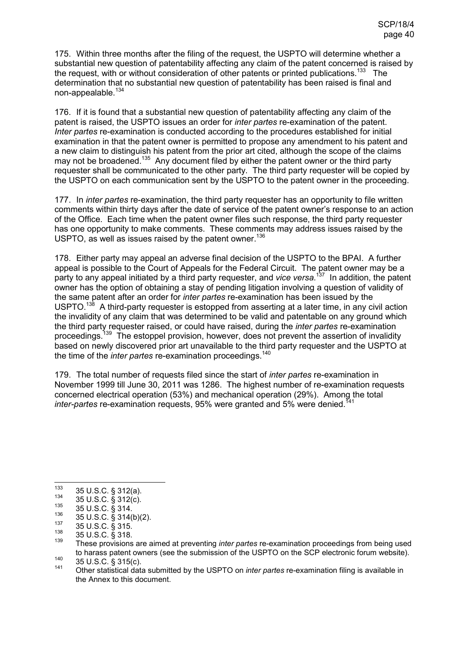175. Within three months after the filing of the request, the USPTO will determine whether a substantial new question of patentability affecting any claim of the patent concerned is raised by the request, with or without consideration of other patents or printed publications.<sup>133</sup> The determination that no substantial new question of patentability has been raised is final and non-appealable.<sup>134</sup>

176. If it is found that a substantial new question of patentability affecting any claim of the patent is raised, the USPTO issues an order for *inter partes* re-examination of the patent. *Inter partes* re-examination is conducted according to the procedures established for initial examination in that the patent owner is permitted to propose any amendment to his patent and a new claim to distinguish his patent from the prior art cited, although the scope of the claims may not be broadened.<sup>135</sup> Any document filed by either the patent owner or the third party requester shall be communicated to the other party. The third party requester will be copied by the USPTO on each communication sent by the USPTO to the patent owner in the proceeding.

177. In *inter partes* re-examination, the third party requester has an opportunity to file written comments within thirty days after the date of service of the patent owner's response to an action of the Office. Each time when the patent owner files such response, the third party requester has one opportunity to make comments. These comments may address issues raised by the USPTO, as well as issues raised by the patent owner.<sup>136</sup>

178. Either party may appeal an adverse final decision of the USPTO to the BPAI. A further appeal is possible to the Court of Appeals for the Federal Circuit. The patent owner may be a party to any appeal initiated by a third party requester, and *vice versa*. <sup>137</sup> In addition, the patent owner has the option of obtaining a stay of pending litigation involving a question of validity of the same patent after an order for *inter partes* re-examination has been issued by the USPTO.<sup>138</sup> A third-party requester is estopped from asserting at a later time, in any civil action the invalidity of any claim that was determined to be valid and patentable on any ground which the third party requester raised, or could have raised, during the *inter partes* re-examination proceedings.<sup>139</sup> The estoppel provision, however, does not prevent the assertion of invalidity based on newly discovered prior art unavailable to the third party requester and the USPTO at the time of the *inter partes* re-examination proceedings.<sup>140</sup>

179. The total number of requests filed since the start of *inter partes* re-examination in November 1999 till June 30, 2011 was 1286. The highest number of re-examination requests concerned electrical operation (53%) and mechanical operation (29%). Among the total *inter-partes* re-examination requests, 95% were granted and 5% were denied.<sup>141</sup>

<sup>133</sup>  $^{133}$  35 U.S.C. § 312(a).

 $^{134}$  35 U.S.C. § 312(c).

 $\frac{135}{136}$  35 U.S.C. § 314.

 $^{136}$  35 U.S.C. § 314(b)(2).

 $^{137}$  35 U.S.C. § 315.

 $\frac{138}{139}$  35 U.S.C. § 318.

<sup>139</sup> These provisions are aimed at preventing *inter partes* re-examination proceedings from being used to harass patent owners (see the submission of the USPTO on the SCP electronic forum website).

 $^{140}$  35 U.S.C. § 315(c).

<sup>141</sup> Other statistical data submitted by the USPTO on *inter partes* re-examination filing is available in the Annex to this document.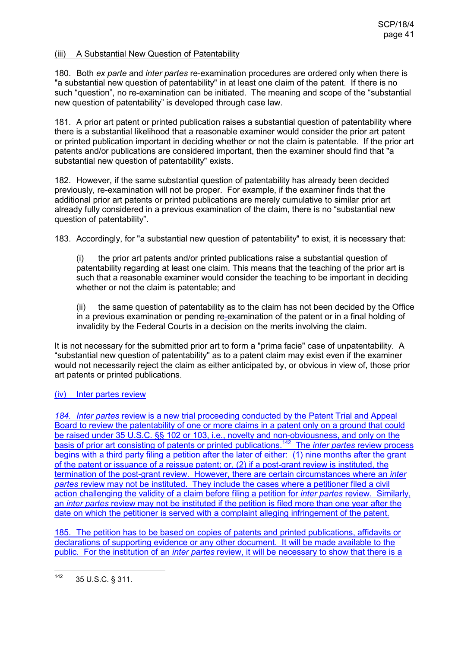#### (iii) A Substantial New Question of Patentability

180. Both *ex parte* and *inter partes* re-examination procedures are ordered only when there is "a substantial new question of patentability" in at least one claim of the patent. If there is no such "question", no re-examination can be initiated. The meaning and scope of the "substantial new question of patentability" is developed through case law.

181. A prior art patent or printed publication raises a substantial question of patentability where there is a substantial likelihood that a reasonable examiner would consider the prior art patent or printed publication important in deciding whether or not the claim is patentable. If the prior art patents and/or publications are considered important, then the examiner should find that "a substantial new question of patentability" exists.

182. However, if the same substantial question of patentability has already been decided previously, re-examination will not be proper. For example, if the examiner finds that the additional prior art patents or printed publications are merely cumulative to similar prior art already fully considered in a previous examination of the claim, there is no "substantial new question of patentability".

183. Accordingly, for "a substantial new question of patentability" to exist, it is necessary that:

(i) the prior art patents and/or printed publications raise a substantial question of patentability regarding at least one claim. This means that the teaching of the prior art is such that a reasonable examiner would consider the teaching to be important in deciding whether or not the claim is patentable; and

(ii) the same question of patentability as to the claim has not been decided by the Office in a previous examination or pending re-examination of the patent or in a final holding of invalidity by the Federal Courts in a decision on the merits involving the claim.

It is not necessary for the submitted prior art to form a "prima facie" case of unpatentability. A "substantial new question of patentability" as to a patent claim may exist even if the examiner would not necessarily reject the claim as either anticipated by, or obvious in view of, those prior art patents or printed publications.

### (iv) Inter partes review

*184. Inter partes* review is a new trial proceeding conducted by the Patent Trial and Appeal Board to review the patentability of one or more claims in a patent only on a ground that could be raised under 35 U.S.C. §§ 102 or 103, i.e., novelty and non-obviousness, and only on the basis of prior art consisting of patents or printed publications.<sup>142</sup> The *inter partes* review process begins with a third party filing a petition after the later of either: (1) nine months after the grant of the patent or issuance of a reissue patent; or, (2) if a post-grant review is instituted, the termination of the post-grant review. However, there are certain circumstances where an *inter partes* review may not be instituted. They include the cases where a petitioner filed a civil action challenging the validity of a claim before filing a petition for *inter partes* review. Similarly, an *inter partes* review may not be instituted if the petition is filed more than one year after the date on which the petitioner is served with a complaint alleging infringement of the patent.

185. The petition has to be based on copies of patents and printed publications, affidavits or declarations of supporting evidence or any other document. It will be made available to the public. For the institution of an *inter partes* review, it will be necessary to show that there is a

<sup>142</sup> 35 U.S.C. § 311.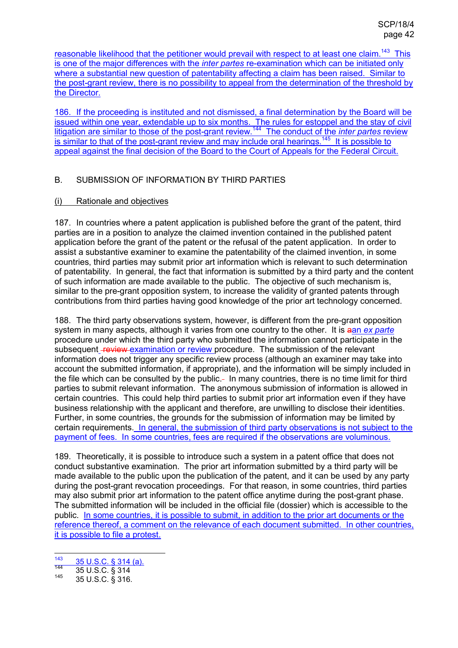reasonable likelihood that the petitioner would prevail with respect to at least one claim.<sup>143</sup> This is one of the major differences with the *inter partes* re-examination which can be initiated only where a substantial new question of patentability affecting a claim has been raised. Similar to the post-grant review, there is no possibility to appeal from the determination of the threshold by the Director.

186. If the proceeding is instituted and not dismissed, a final determination by the Board will be issued within one year, extendable up to six months. The rules for estoppel and the stay of civil litigation are similar to those of the post-grant review.<sup>144</sup> The conduct of the *inter partes* review is similar to that of the post-grant review and may include oral hearings.<sup>145</sup> It is possible to appeal against the final decision of the Board to the Court of Appeals for the Federal Circuit.

## B. SUBMISSION OF INFORMATION BY THIRD PARTIES

### (i) Rationale and objectives

187. In countries where a patent application is published before the grant of the patent, third parties are in a position to analyze the claimed invention contained in the published patent application before the grant of the patent or the refusal of the patent application. In order to assist a substantive examiner to examine the patentability of the claimed invention, in some countries, third parties may submit prior art information which is relevant to such determination of patentability. In general, the fact that information is submitted by a third party and the content of such information are made available to the public. The objective of such mechanism is, similar to the pre-grant opposition system, to increase the validity of granted patents through contributions from third parties having good knowledge of the prior art technology concerned.

188. The third party observations system, however, is different from the pre-grant opposition system in many aspects, although it varies from one country to the other. It is aan *ex parte* procedure under which the third party who submitted the information cannot participate in the subsequent **review** examination or review procedure. The submission of the relevant information does not trigger any specific review process (although an examiner may take into account the submitted information, if appropriate), and the information will be simply included in the file which can be consulted by the public.- In many countries, there is no time limit for third parties to submit relevant information. The anonymous submission of information is allowed in certain countries. This could help third parties to submit prior art information even if they have business relationship with the applicant and therefore, are unwilling to disclose their identities. Further, in some countries, the grounds for the submission of information may be limited by certain requirements. In general, the submission of third party observations is not subject to the payment of fees. In some countries, fees are required if the observations are voluminous.

189. Theoretically, it is possible to introduce such a system in a patent office that does not conduct substantive examination. The prior art information submitted by a third party will be made available to the public upon the publication of the patent, and it can be used by any party during the post-grant revocation proceedings. For that reason, in some countries, third parties may also submit prior art information to the patent office anytime during the post-grant phase. The submitted information will be included in the official file (dossier) which is accessible to the public. In some countries, it is possible to submit, in addition to the prior art documents or the reference thereof, a comment on the relevance of each document submitted. In other countries, it is possible to file a protest.

<sup>143</sup>  $\frac{143}{144}$  35 U.S.C. § 314 (a).

 $\frac{144}{145}$  35 U.S.C.  $\frac{6}{5}$  314

<sup>145</sup> 35 U.S.C. § 316.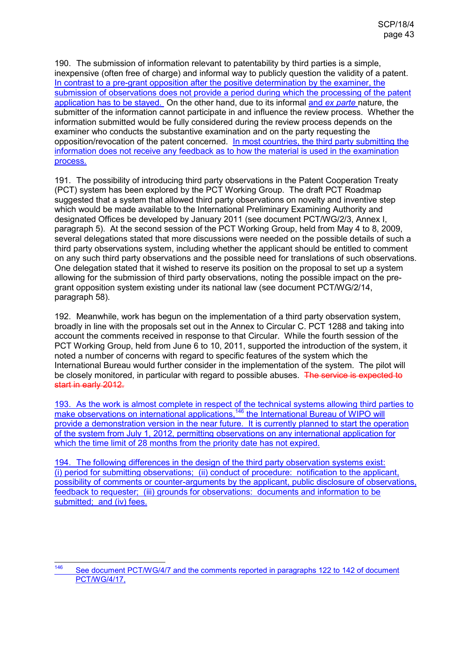190. The submission of information relevant to patentability by third parties is a simple, inexpensive (often free of charge) and informal way to publicly question the validity of a patent. In contrast to a pre-grant opposition after the positive determination by the examiner, the submission of observations does not provide a period during which the processing of the patent application has to be stayed. On the other hand, due to its informal and *ex parte* nature, the submitter of the information cannot participate in and influence the review process. Whether the information submitted would be fully considered during the review process depends on the examiner who conducts the substantive examination and on the party requesting the opposition/revocation of the patent concerned. In most countries, the third party submitting the information does not receive any feedback as to how the material is used in the examination process.

191. The possibility of introducing third party observations in the Patent Cooperation Treaty (PCT) system has been explored by the PCT Working Group. The draft PCT Roadmap suggested that a system that allowed third party observations on novelty and inventive step which would be made available to the International Preliminary Examining Authority and designated Offices be developed by January 2011 (see document PCT/WG/2/3, Annex I, paragraph 5). At the second session of the PCT Working Group, held from May 4 to 8, 2009, several delegations stated that more discussions were needed on the possible details of such a third party observations system, including whether the applicant should be entitled to comment on any such third party observations and the possible need for translations of such observations. One delegation stated that it wished to reserve its position on the proposal to set up a system allowing for the submission of third party observations, noting the possible impact on the pregrant opposition system existing under its national law (see document PCT/WG/2/14, paragraph 58).

192. Meanwhile, work has begun on the implementation of a third party observation system, broadly in line with the proposals set out in the Annex to Circular C. PCT 1288 and taking into account the comments received in response to that Circular. While the fourth session of the PCT Working Group, held from June 6 to 10, 2011, supported the introduction of the system, it noted a number of concerns with regard to specific features of the system which the International Bureau would further consider in the implementation of the system. The pilot will be closely monitored, in particular with regard to possible abuses. The service is expected to start in early 2012.

193. As the work is almost complete in respect of the technical systems allowing third parties to make observations on international applications,<sup>146</sup> the International Bureau of WIPO will provide a demonstration version in the near future. It is currently planned to start the operation of the system from July 1, 2012, permitting observations on any international application for which the time limit of 28 months from the priority date has not expired.

194. The following differences in the design of the third party observation systems exist: (i) period for submitting observations; (ii) conduct of procedure: notification to the applicant, possibility of comments or counter-arguments by the applicant, public disclosure of observations, feedback to requester; (iii) grounds for observations: documents and information to be submitted; and (iv) fees.

<sup>146</sup> See document PCT/WG/4/7 and the comments reported in paragraphs 122 to 142 of document PCT/WG/4/17,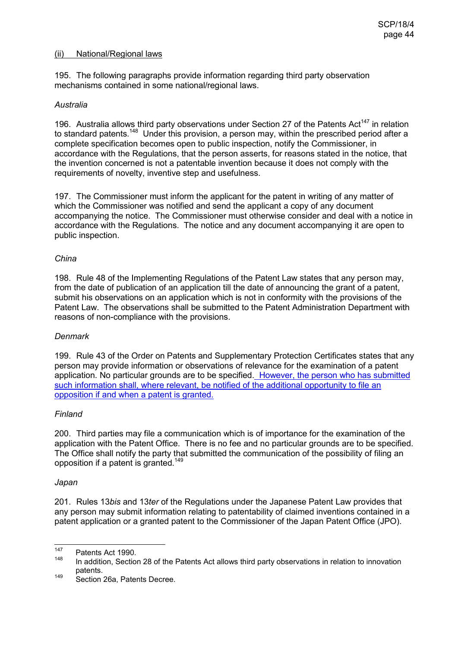#### (ii) National/Regional laws

195. The following paragraphs provide information regarding third party observation mechanisms contained in some national/regional laws.

#### *Australia*

196. Australia allows third party observations under Section 27 of the Patents Act<sup>147</sup> in relation to standard patents.<sup>148</sup> Under this provision, a person may, within the prescribed period after a complete specification becomes open to public inspection, notify the Commissioner, in accordance with the Regulations, that the person asserts, for reasons stated in the notice, that the invention concerned is not a patentable invention because it does not comply with the requirements of novelty, inventive step and usefulness.

197. The Commissioner must inform the applicant for the patent in writing of any matter of which the Commissioner was notified and send the applicant a copy of any document accompanying the notice. The Commissioner must otherwise consider and deal with a notice in accordance with the Regulations. The notice and any document accompanying it are open to public inspection.

#### *China*

198. Rule 48 of the Implementing Regulations of the Patent Law states that any person may, from the date of publication of an application till the date of announcing the grant of a patent, submit his observations on an application which is not in conformity with the provisions of the Patent Law. The observations shall be submitted to the Patent Administration Department with reasons of non-compliance with the provisions.

### *Denmark*

199. Rule 43 of the Order on Patents and Supplementary Protection Certificates states that any person may provide information or observations of relevance for the examination of a patent application. No particular grounds are to be specified. However, the person who has submitted such information shall, where relevant, be notified of the additional opportunity to file an opposition if and when a patent is granted.

### *Finland*

200. Third parties may file a communication which is of importance for the examination of the application with the Patent Office. There is no fee and no particular grounds are to be specified. The Office shall notify the party that submitted the communication of the possibility of filing an opposition if a patent is granted.<sup>149</sup>

#### *Japan*

201. Rules 13*bis* and 13*ter* of the Regulations under the Japanese Patent Law provides that any person may submit information relating to patentability of claimed inventions contained in a patent application or a granted patent to the Commissioner of the Japan Patent Office (JPO).

<sup>147</sup>  $147$  Patents Act 1990.

In addition, Section 28 of the Patents Act allows third party observations in relation to innovation patents.

<sup>149</sup> Section 26a, Patents Decree.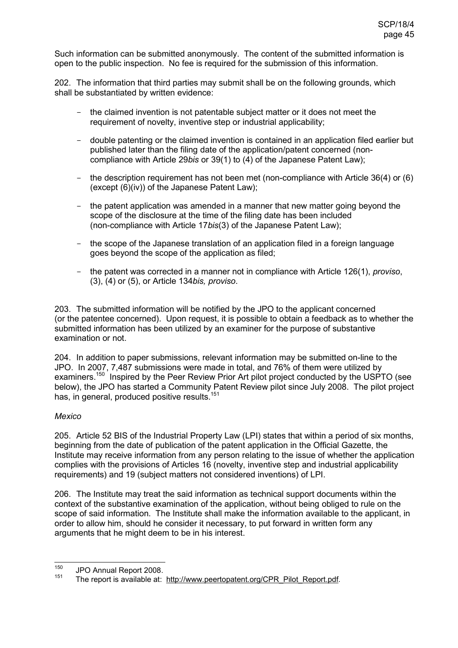Such information can be submitted anonymously. The content of the submitted information is open to the public inspection. No fee is required for the submission of this information.

202. The information that third parties may submit shall be on the following grounds, which shall be substantiated by written evidence:

- the claimed invention is not patentable subject matter or it does not meet the requirement of novelty, inventive step or industrial applicability;
- double patenting or the claimed invention is contained in an application filed earlier but published later than the filing date of the application/patent concerned (noncompliance with Article 29*bis* or 39(1) to (4) of the Japanese Patent Law);
- the description requirement has not been met (non-compliance with Article 36(4) or (6) (except (6)(iv)) of the Japanese Patent Law);
- the patent application was amended in a manner that new matter going beyond the scope of the disclosure at the time of the filing date has been included (non-compliance with Article 17*bis*(3) of the Japanese Patent Law);
- the scope of the Japanese translation of an application filed in a foreign language goes beyond the scope of the application as filed;
- the patent was corrected in a manner not in compliance with Article 126(1), *proviso*, (3), (4) or (5), or Article 134*bis, proviso*.

203. The submitted information will be notified by the JPO to the applicant concerned (or the patentee concerned). Upon request, it is possible to obtain a feedback as to whether the submitted information has been utilized by an examiner for the purpose of substantive examination or not.

204. In addition to paper submissions, relevant information may be submitted on-line to the JPO. In 2007, 7,487 submissions were made in total, and 76% of them were utilized by examiners.<sup>150</sup> Inspired by the Peer Review Prior Art pilot project conducted by the USPTO (see below), the JPO has started a Community Patent Review pilot since July 2008. The pilot project has, in general, produced positive results.<sup>151</sup>

### *Mexico*

205. Article 52 BIS of the Industrial Property Law (LPI) states that within a period of six months, beginning from the date of publication of the patent application in the Official Gazette, the Institute may receive information from any person relating to the issue of whether the application complies with the provisions of Articles 16 (novelty, inventive step and industrial applicability requirements) and 19 (subject matters not considered inventions) of LPI.

206. The Institute may treat the said information as technical support documents within the context of the substantive examination of the application, without being obliged to rule on the scope of said information. The Institute shall make the information available to the applicant, in order to allow him, should he consider it necessary, to put forward in written form any arguments that he might deem to be in his interest.

<sup>150</sup>  $^{150}$  JPO Annual Report 2008.

The report is available at: http://www.peertopatent.org/CPR\_Pilot\_Report.pdf.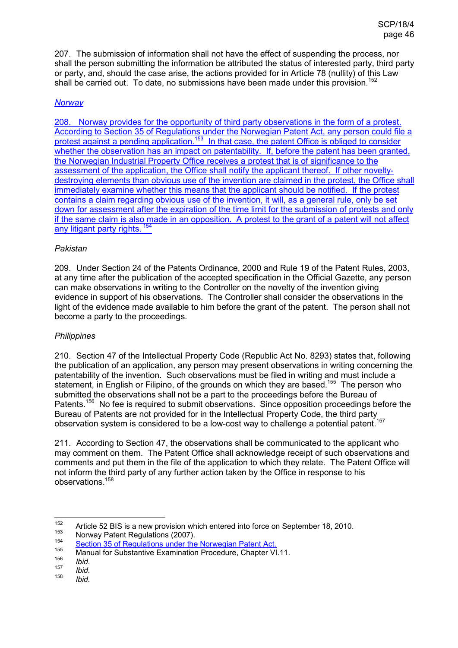207. The submission of information shall not have the effect of suspending the process, nor shall the person submitting the information be attributed the status of interested party, third party or party, and, should the case arise, the actions provided for in Article 78 (nullity) of this Law shall be carried out. To date, no submissions have been made under this provision.<sup>152</sup>

### *Norway*

208. Norway provides for the opportunity of third party observations in the form of a protest. According to Section 35 of Regulations under the Norwegian Patent Act, any person could file a protest against a pending application.<sup>153</sup> In that case, the patent Office is obliged to consider whether the observation has an impact on patentability. If, before the patent has been granted, the Norwegian Industrial Property Office receives a protest that is of significance to the assessment of the application, the Office shall notify the applicant thereof. If other noveltydestroying elements than obvious use of the invention are claimed in the protest, the Office shall immediately examine whether this means that the applicant should be notified. If the protest contains a claim regarding obvious use of the invention, it will, as a general rule, only be set down for assessment after the expiration of the time limit for the submission of protests and only if the same claim is also made in an opposition. A protest to the grant of a patent will not affect any litigant party rights.<sup>154</sup>

### *Pakistan*

209. Under Section 24 of the Patents Ordinance, 2000 and Rule 19 of the Patent Rules, 2003, at any time after the publication of the accepted specification in the Official Gazette, any person can make observations in writing to the Controller on the novelty of the invention giving evidence in support of his observations. The Controller shall consider the observations in the light of the evidence made available to him before the grant of the patent. The person shall not become a party to the proceedings.

### *Philippines*

210. Section 47 of the Intellectual Property Code (Republic Act No. 8293) states that, following the publication of an application, any person may present observations in writing concerning the patentability of the invention. Such observations must be filed in writing and must include a statement, in English or Filipino, of the grounds on which they are based.<sup>155</sup> The person who submitted the observations shall not be a part to the proceedings before the Bureau of Patents.<sup>156</sup> No fee is required to submit observations. Since opposition proceedings before the Bureau of Patents are not provided for in the Intellectual Property Code, the third party observation system is considered to be a low-cost way to challenge a potential patent.<sup>157</sup>

211. According to Section 47, the observations shall be communicated to the applicant who may comment on them. The Patent Office shall acknowledge receipt of such observations and comments and put them in the file of the application to which they relate. The Patent Office will not inform the third party of any further action taken by the Office in response to his observations.<sup>158</sup>

<sup>152</sup> <sup>152</sup> Article 52 BIS is a new provision which entered into force on September 18, 2010.

Norway Patent Regulations (2007).

<sup>154</sup> <sup>154</sup> Section 35 of Regulations under the Norwegian Patent Act.

Manual for Substantive Examination Procedure, Chapter VI.11. 156

*Ibid.* 157

*Ibid.* 158

*Ibid.*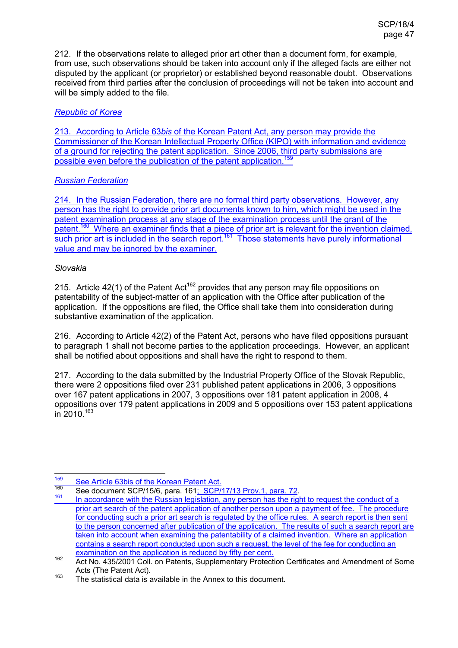212. If the observations relate to alleged prior art other than a document form, for example, from use, such observations should be taken into account only if the alleged facts are either not disputed by the applicant (or proprietor) or established beyond reasonable doubt. Observations received from third parties after the conclusion of proceedings will not be taken into account and will be simply added to the file.

## *Republic of Korea*

213. According to Article 63*bis* of the Korean Patent Act, any person may provide the Commissioner of the Korean Intellectual Property Office (KIPO) with information and evidence of a ground for rejecting the patent application. Since 2006, third party submissions are possible even before the publication of the patent application.<sup>159</sup>

## *Russian Federation*

214. In the Russian Federation, there are no formal third party observations. However, any person has the right to provide prior art documents known to him, which might be used in the patent examination process at any stage of the examination process until the grant of the patent.<sup>160</sup> Where an examiner finds that a piece of prior art is relevant for the invention claimed, such prior art is included in the search report.<sup>161</sup> Those statements have purely informational value and may be ignored by the examiner.

## *Slovakia*

215. Article 42(1) of the Patent Act<sup>162</sup> provides that any person may file oppositions on patentability of the subject-matter of an application with the Office after publication of the application. If the oppositions are filed, the Office shall take them into consideration during substantive examination of the application.

216. According to Article 42(2) of the Patent Act, persons who have filed oppositions pursuant to paragraph 1 shall not become parties to the application proceedings. However, an applicant shall be notified about oppositions and shall have the right to respond to them.

217. According to the data submitted by the Industrial Property Office of the Slovak Republic, there were 2 oppositions filed over 231 published patent applications in 2006, 3 oppositions over 167 patent applications in 2007, 3 oppositions over 181 patent application in 2008, 4 oppositions over 179 patent applications in 2009 and 5 oppositions over 153 patent applications in 2010.<sup>163</sup>

<sup>159</sup> <sup>159</sup> See Article 63bis of the Korean Patent Act.

<sup>&</sup>lt;sup>160</sup> See document SCP/15/6, para. 161; SCP/17/13 Prov.1, para. 72.

In accordance with the Russian legislation, any person has the right to request the conduct of a prior art search of the patent application of another person upon a payment of fee. The procedure for conducting such a prior art search is regulated by the office rules. A search report is then sent to the person concerned after publication of the application. The results of such a search report are taken into account when examining the patentability of a claimed invention. Where an application contains a search report conducted upon such a request, the level of the fee for conducting an examination on the application is reduced by fifty per cent.

<sup>162</sup> Act No. 435/2001 Coll. on Patents, Supplementary Protection Certificates and Amendment of Some Acts (The Patent Act).

 $163$  The statistical data is available in the Annex to this document.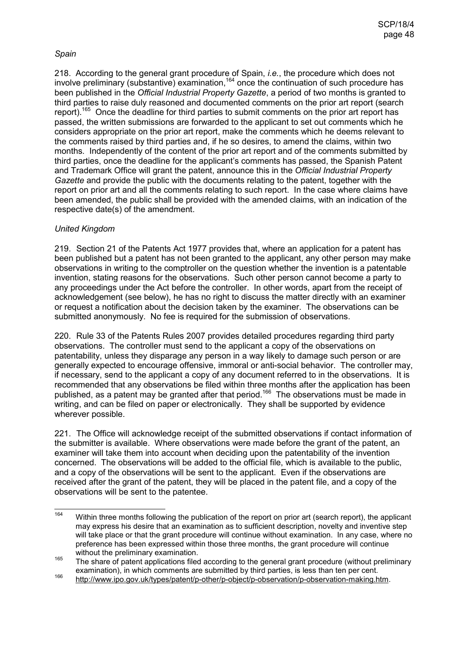### *Spain*

218. According to the general grant procedure of Spain, *i.e.*, the procedure which does not involve preliminary (substantive) examination,<sup>164</sup> once the continuation of such procedure has been published in the *Official Industrial Property Gazette*, a period of two months is granted to third parties to raise duly reasoned and documented comments on the prior art report (search report).<sup>165</sup> Once the deadline for third parties to submit comments on the prior art report has passed, the written submissions are forwarded to the applicant to set out comments which he considers appropriate on the prior art report, make the comments which he deems relevant to the comments raised by third parties and, if he so desires, to amend the claims, within two months. Independently of the content of the prior art report and of the comments submitted by third parties, once the deadline for the applicant's comments has passed, the Spanish Patent and Trademark Office will grant the patent, announce this in the *Official Industrial Property Gazette* and provide the public with the documents relating to the patent, together with the report on prior art and all the comments relating to such report. In the case where claims have been amended, the public shall be provided with the amended claims, with an indication of the respective date(s) of the amendment.

## *United Kingdom*

219. Section 21 of the Patents Act 1977 provides that, where an application for a patent has been published but a patent has not been granted to the applicant, any other person may make observations in writing to the comptroller on the question whether the invention is a patentable invention, stating reasons for the observations. Such other person cannot become a party to any proceedings under the Act before the controller. In other words, apart from the receipt of acknowledgement (see below), he has no right to discuss the matter directly with an examiner or request a notification about the decision taken by the examiner. The observations can be submitted anonymously. No fee is required for the submission of observations.

220. Rule 33 of the Patents Rules 2007 provides detailed procedures regarding third party observations. The controller must send to the applicant a copy of the observations on patentability, unless they disparage any person in a way likely to damage such person or are generally expected to encourage offensive, immoral or anti-social behavior. The controller may, if necessary, send to the applicant a copy of any document referred to in the observations. It is recommended that any observations be filed within three months after the application has been published, as a patent may be granted after that period.<sup>166</sup> The observations must be made in writing, and can be filed on paper or electronically. They shall be supported by evidence wherever possible.

221. The Office will acknowledge receipt of the submitted observations if contact information of the submitter is available. Where observations were made before the grant of the patent, an examiner will take them into account when deciding upon the patentability of the invention concerned. The observations will be added to the official file, which is available to the public, and a copy of the observations will be sent to the applicant. Even if the observations are received after the grant of the patent, they will be placed in the patent file, and a copy of the observations will be sent to the patentee.

<sup>164</sup> Within three months following the publication of the report on prior art (search report), the applicant may express his desire that an examination as to sufficient description, novelty and inventive step will take place or that the grant procedure will continue without examination. In any case, where no preference has been expressed within those three months, the grant procedure will continue without the preliminary examination.

<sup>165</sup> The share of patent applications filed according to the general grant procedure (without preliminary examination), in which comments are submitted by third parties, is less than ten per cent.

<sup>166</sup> http://www.ipo.gov.uk/types/patent/p-other/p-object/p-observation/p-observation-making.htm.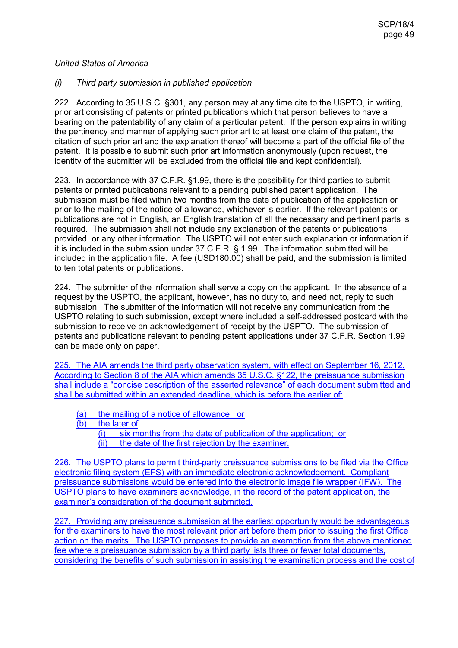#### *United States of America*

### *(i) Third party submission in published application*

222. According to 35 U.S.C. §301, any person may at any time cite to the USPTO, in writing, prior art consisting of patents or printed publications which that person believes to have a bearing on the patentability of any claim of a particular patent. If the person explains in writing the pertinency and manner of applying such prior art to at least one claim of the patent, the citation of such prior art and the explanation thereof will become a part of the official file of the patent. It is possible to submit such prior art information anonymously (upon request, the identity of the submitter will be excluded from the official file and kept confidential).

223. In accordance with 37 C.F.R. §1.99, there is the possibility for third parties to submit patents or printed publications relevant to a pending published patent application. The submission must be filed within two months from the date of publication of the application or prior to the mailing of the notice of allowance, whichever is earlier. If the relevant patents or publications are not in English, an English translation of all the necessary and pertinent parts is required. The submission shall not include any explanation of the patents or publications provided, or any other information. The USPTO will not enter such explanation or information if it is included in the submission under 37 C.F.R. § 1.99. The information submitted will be included in the application file. A fee (USD180.00) shall be paid, and the submission is limited to ten total patents or publications.

224. The submitter of the information shall serve a copy on the applicant. In the absence of a request by the USPTO, the applicant, however, has no duty to, and need not, reply to such submission. The submitter of the information will not receive any communication from the USPTO relating to such submission, except where included a self-addressed postcard with the submission to receive an acknowledgement of receipt by the USPTO. The submission of patents and publications relevant to pending patent applications under 37 C.F.R. Section 1.99 can be made only on paper.

225. The AIA amends the third party observation system, with effect on September 16, 2012. According to Section 8 of the AIA which amends 35 U.S.C. §122, the preissuance submission shall include a "concise description of the asserted relevance" of each document submitted and shall be submitted within an extended deadline, which is before the earlier of:

(a) the mailing of a notice of allowance; or

(b) the later of

- (i) six months from the date of publication of the application; or
- $(iii)$  the date of the first rejection by the examiner.

226. The USPTO plans to permit third-party preissuance submissions to be filed via the Office electronic filing system (EFS) with an immediate electronic acknowledgement. Compliant preissuance submissions would be entered into the electronic image file wrapper (IFW). The USPTO plans to have examiners acknowledge, in the record of the patent application, the examiner's consideration of the document submitted.

227. Providing any preissuance submission at the earliest opportunity would be advantageous for the examiners to have the most relevant prior art before them prior to issuing the first Office action on the merits. The USPTO proposes to provide an exemption from the above mentioned fee where a preissuance submission by a third party lists three or fewer total documents, considering the benefits of such submission in assisting the examination process and the cost of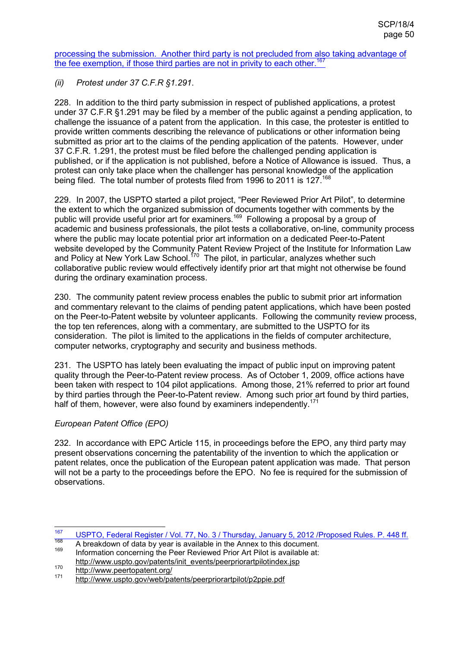processing the submission. Another third party is not precluded from also taking advantage of the fee exemption, if those third parties are not in privity to each other.<sup>167</sup>

*(ii) Protest under 37 C.F.R §1.291*.

228. In addition to the third party submission in respect of published applications, a protest under 37 C.F.R §1.291 may be filed by a member of the public against a pending application, to challenge the issuance of a patent from the application. In this case, the protester is entitled to provide written comments describing the relevance of publications or other information being submitted as prior art to the claims of the pending application of the patents. However, under 37 C.F.R. 1.291, the protest must be filed before the challenged pending application is published, or if the application is not published, before a Notice of Allowance is issued. Thus, a protest can only take place when the challenger has personal knowledge of the application being filed. The total number of protests filed from 1996 to 2011 is 127.<sup>168</sup>

229. In 2007, the USPTO started a pilot project, "Peer Reviewed Prior Art Pilot", to determine the extent to which the organized submission of documents together with comments by the public will provide useful prior art for examiners.<sup>169</sup> Following a proposal by a group of academic and business professionals, the pilot tests a collaborative, on-line, community process where the public may locate potential prior art information on a dedicated Peer-to-Patent website developed by the Community Patent Review Project of the Institute for Information Law and Policy at New York Law School.<sup>170</sup> The pilot, in particular, analyzes whether such collaborative public review would effectively identify prior art that might not otherwise be found during the ordinary examination process.

230. The community patent review process enables the public to submit prior art information and commentary relevant to the claims of pending patent applications, which have been posted on the Peer-to-Patent website by volunteer applicants. Following the community review process, the top ten references, along with a commentary, are submitted to the USPTO for its consideration. The pilot is limited to the applications in the fields of computer architecture, computer networks, cryptography and security and business methods.

231. The USPTO has lately been evaluating the impact of public input on improving patent quality through the Peer-to-Patent review process. As of October 1, 2009, office actions have been taken with respect to 104 pilot applications. Among those, 21% referred to prior art found by third parties through the Peer-to-Patent review. Among such prior art found by third parties, half of them, however, were also found by examiners independently.<sup>171</sup>

## *European Patent Office (EPO)*

232. In accordance with EPC Article 115, in proceedings before the EPO, any third party may present observations concerning the patentability of the invention to which the application or patent relates, once the publication of the European patent application was made. That person will not be a party to the proceedings before the EPO. No fee is required for the submission of observations.

<sup>167</sup> 167 USPTO, Federal Register / Vol. 77, No. 3 / Thursday, January 5, 2012 / Proposed Rules. P. 448 ff.

<sup>&</sup>lt;sup>168</sup> A breakdown of data by year is available in the Annex to this document.

Information concerning the Peer Reviewed Prior Art Pilot is available at: http://www.uspto.gov/patents/init\_events/peerpriorartpilotindex.jsp

<sup>170</sup> http://www.peertopatent.org/<br>171 http://www.peertopatent.org/

http://www.uspto.gov/web/patents/peerpriorartpilot/p2ppie.pdf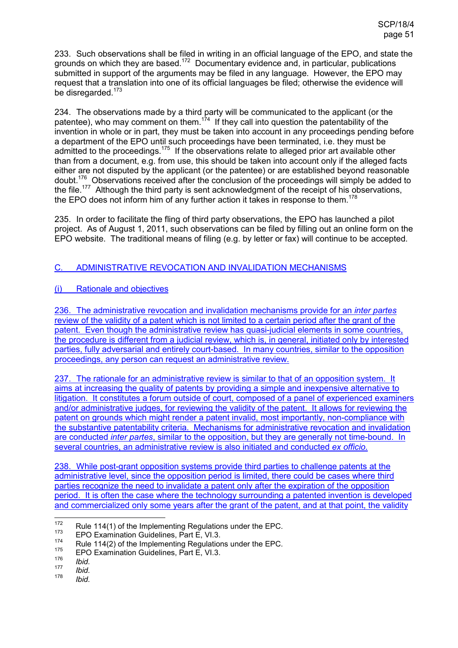233. Such observations shall be filed in writing in an official language of the EPO, and state the grounds on which they are based.<sup>172</sup> Documentary evidence and, in particular, publications submitted in support of the arguments may be filed in any language. However, the EPO may request that a translation into one of its official languages be filed; otherwise the evidence will be disregarded.<sup>173</sup>

234. The observations made by a third party will be communicated to the applicant (or the patentee), who may comment on them.<sup>174</sup> If they call into question the patentability of the invention in whole or in part, they must be taken into account in any proceedings pending before a department of the EPO until such proceedings have been terminated, i.e. they must be admitted to the proceedings.<sup>175</sup> If the observations relate to alleged prior art available other than from a document, e.g. from use, this should be taken into account only if the alleged facts either are not disputed by the applicant (or the patentee) or are established beyond reasonable doubt.<sup>176</sup> Observations received after the conclusion of the proceedings will simply be added to the file.<sup>177</sup> Although the third party is sent acknowledgment of the receipt of his observations, the EPO does not inform him of any further action it takes in response to them.<sup>178</sup>

235. In order to facilitate the fling of third party observations, the EPO has launched a pilot project. As of August 1, 2011, such observations can be filed by filling out an online form on the EPO website. The traditional means of filing (e.g. by letter or fax) will continue to be accepted.

## C. ADMINISTRATIVE REVOCATION AND INVALIDATION MECHANISMS

## (i) Rationale and objectives

236. The administrative revocation and invalidation mechanisms provide for an *inter partes* review of the validity of a patent which is not limited to a certain period after the grant of the patent. Even though the administrative review has quasi-judicial elements in some countries the procedure is different from a judicial review, which is, in general, initiated only by interested parties, fully adversarial and entirely court-based. In many countries, similar to the opposition proceedings, any person can request an administrative review.

237. The rationale for an administrative review is similar to that of an opposition system. It aims at increasing the quality of patents by providing a simple and inexpensive alternative to litigation. It constitutes a forum outside of court, composed of a panel of experienced examiners and/or administrative judges, for reviewing the validity of the patent. It allows for reviewing the patent on grounds which might render a patent invalid, most importantly, non-compliance with the substantive patentability criteria. Mechanisms for administrative revocation and invalidation are conducted *inter partes*, similar to the opposition, but they are generally not time-bound. In several countries, an administrative review is also initiated and conducted *ex officio*.

238. While post-grant opposition systems provide third parties to challenge patents at the administrative level, since the opposition period is limited, there could be cases where third parties recognize the need to invalidate a patent only after the expiration of the opposition period. It is often the case where the technology surrounding a patented invention is developed and commercialized only some years after the grant of the patent, and at that point, the validity

<sup>172</sup> <sup>172</sup> Rule 114(1) of the Implementing Regulations under the EPC.<br><sup>173</sup> FPO Examination Quidelines, Bart E, M.2.

 $173$  EPO Examination Guidelines, Part E, VI.3.

<sup>&</sup>lt;sup>174</sup> Rule 114(2) of the Implementing Regulations under the EPC.

EPO Examination Guidelines, Part E, VI.3. 176

*Ibid.* 177

*Ibid.* 178

*Ibid.*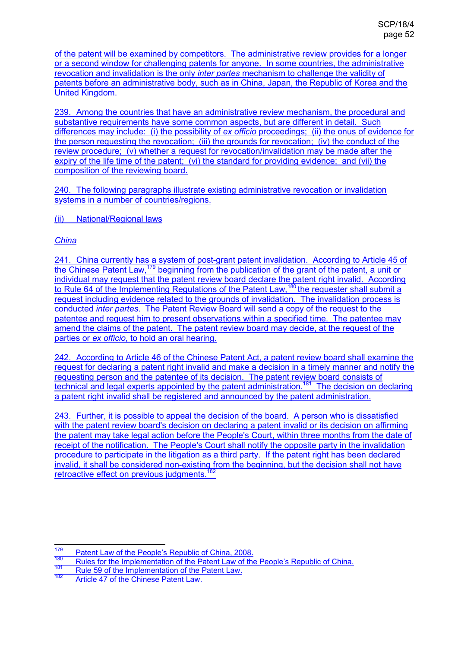of the patent will be examined by competitors. The administrative review provides for a longer or a second window for challenging patents for anyone. In some countries, the administrative revocation and invalidation is the only *inter partes* mechanism to challenge the validity of patents before an administrative body, such as in China, Japan, the Republic of Korea and the United Kingdom.

239. Among the countries that have an administrative review mechanism, the procedural and substantive requirements have some common aspects, but are different in detail. Such differences may include: (i) the possibility of *ex officio* proceedings; (ii) the onus of evidence for the person requesting the revocation; (iii) the grounds for revocation; (iv) the conduct of the review procedure; (v) whether a request for revocation/invalidation may be made after the expiry of the life time of the patent; (vi) the standard for providing evidence; and (vii) the composition of the reviewing board.

240. The following paragraphs illustrate existing administrative revocation or invalidation systems in a number of countries/regions.

(ii) National/Regional laws

## *China*

241. China currently has a system of post-grant patent invalidation. According to Article 45 of the Chinese Patent Law,<sup>179</sup> beginning from the publication of the grant of the patent, a unit or individual may request that the patent review board declare the patent right invalid. According to Rule 64 of the Implementing Regulations of the Patent Law,<sup>180</sup> the requester shall submit a request including evidence related to the grounds of invalidation. The invalidation process is conducted *inter partes*. The Patent Review Board will send a copy of the request to the patentee and request him to present observations within a specified time. The patentee may amend the claims of the patent. The patent review board may decide, at the request of the parties or *ex officio*, to hold an oral hearing.

242. According to Article 46 of the Chinese Patent Act, a patent review board shall examine the request for declaring a patent right invalid and make a decision in a timely manner and notify the requesting person and the patentee of its decision. The patent review board consists of technical and legal experts appointed by the patent administration.<sup>181</sup> The decision on declaring a patent right invalid shall be registered and announced by the patent administration.

243. Further, it is possible to appeal the decision of the board. A person who is dissatisfied with the patent review board's decision on declaring a patent invalid or its decision on affirming the patent may take legal action before the People's Court, within three months from the date of receipt of the notification. The People's Court shall notify the opposite party in the invalidation procedure to participate in the litigation as a third party. If the patent right has been declared invalid, it shall be considered non-existing from the beginning, but the decision shall not have retroactive effect on previous judgments.<sup>182</sup>

<sup>179</sup>  $\frac{179}{180}$  Patent Law of the People's Republic of China, 2008.

<sup>&</sup>lt;sup>180</sup> Rules for the Implementation of the Patent Law of the People's Republic of China.

 $\frac{181}{182}$  Rule 59 of the Implementation of the Patent Law.

Article 47 of the Chinese Patent Law.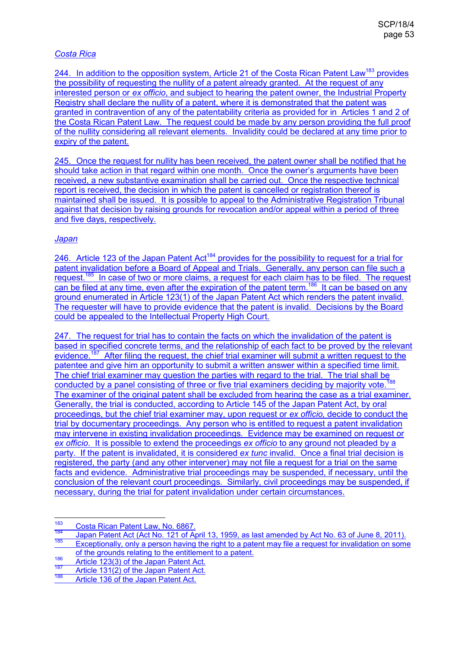## *Costa Rica*

244. In addition to the opposition system, Article 21 of the Costa Rican Patent Law<sup>183</sup> provides the possibility of requesting the nullity of a patent already granted. At the request of any interested person or *ex officio*, and subject to hearing the patent owner, the Industrial Property Registry shall declare the nullity of a patent, where it is demonstrated that the patent was granted in contravention of any of the patentability criteria as provided for in Articles 1 and 2 of the Costa Rican Patent Law. The request could be made by any person providing the full proof of the nullity considering all relevant elements. Invalidity could be declared at any time prior to expiry of the patent.

245. Once the request for nullity has been received, the patent owner shall be notified that he should take action in that regard within one month. Once the owner's arguments have been received, a new substantive examination shall be carried out. Once the respective technical report is received, the decision in which the patent is cancelled or registration thereof is maintained shall be issued. It is possible to appeal to the Administrative Registration Tribunal against that decision by raising grounds for revocation and/or appeal within a period of three and five days, respectively.

### *Japan*

246. Article 123 of the Japan Patent Act<sup>184</sup> provides for the possibility to request for a trial for patent invalidation before a Board of Appeal and Trials. Generally, any person can file such a request.<sup>185</sup> In case of two or more claims, a request for each claim has to be filed. The request can be filed at any time, even after the expiration of the patent term.<sup>186</sup> It can be based on any ground enumerated in Article 123(1) of the Japan Patent Act which renders the patent invalid. The requester will have to provide evidence that the patent is invalid. Decisions by the Board could be appealed to the Intellectual Property High Court.

247. The request for trial has to contain the facts on which the invalidation of the patent is based in specified concrete terms, and the relationship of each fact to be proved by the relevant evidence.<sup>187</sup> After filing the request, the chief trial examiner will submit a written request to the patentee and give him an opportunity to submit a written answer within a specified time limit. The chief trial examiner may question the parties with regard to the trial. The trial shall be conducted by a panel consisting of three or five trial examiners deciding by majority vote.<sup>188</sup> The examiner of the original patent shall be excluded from hearing the case as a trial examiner. Generally, the trial is conducted, according to Article 145 of the Japan Patent Act, by oral proceedings, but the chief trial examiner may, upon request or *ex officio,* decide to conduct the trial by documentary proceedings. Any person who is entitled to request a patent invalidation may intervene in existing invalidation proceedings. Evidence may be examined on request or *ex officio*. It is possible to extend the proceedings *ex officio* to any ground not pleaded by a party. If the patent is invalidated, it is considered *ex tunc* invalid. Once a final trial decision is registered, the party (and any other intervener) may not file a request for a trial on the same facts and evidence. Administrative trial proceedings may be suspended, if necessary, until the conclusion of the relevant court proceedings. Similarly, civil proceedings may be suspended, if necessary, during the trial for patent invalidation under certain circumstances.

<sup>183</sup> <sup>183</sup> Costa Rican Patent Law, No. 6867.

<sup>184</sup> Japan Patent Act (Act No. 121 of April 13, 1959, as last amended by Act No. 63 of June 8, 2011). Exceptionally, only a person having the right to a patent may file a request for invalidation on some

of the grounds relating to the entitlement to a patent.

<sup>186</sup> Article 123(3) of the Japan Patent Act.<br>187 Article 123(3) of the Japan Patent Act.

 $\frac{187}{188}$  Article 131(2) of the Japan Patent Act.

Article 136 of the Japan Patent Act.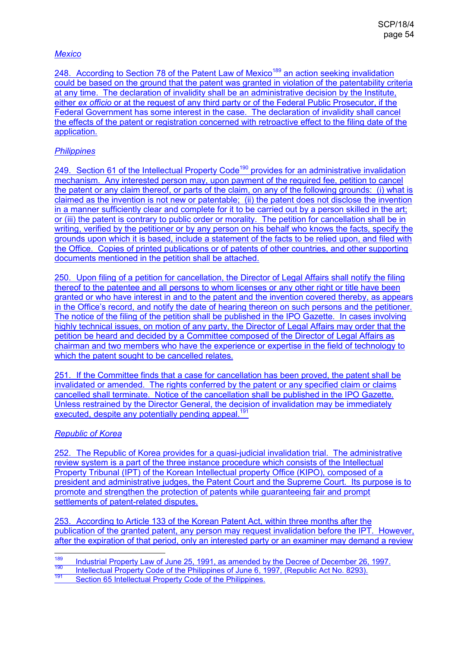## *Mexico*

248. According to Section 78 of the Patent Law of Mexico<sup>189</sup> an action seeking invalidation could be based on the ground that the patent was granted in violation of the patentability criteria at any time. The declaration of invalidity shall be an administrative decision by the Institute, either *ex officio* or at the request of any third party or of the Federal Public Prosecutor, if the Federal Government has some interest in the case. The declaration of invalidity shall cancel the effects of the patent or registration concerned with retroactive effect to the filing date of the application.

## *Philippines*

249. Section 61 of the Intellectual Property Code<sup>190</sup> provides for an administrative invalidation mechanism. Any interested person may, upon payment of the required fee, petition to cancel the patent or any claim thereof, or parts of the claim, on any of the following grounds: (i) what is claimed as the invention is not new or patentable; (ii) the patent does not disclose the invention in a manner sufficiently clear and complete for it to be carried out by a person skilled in the art; or (iii) the patent is contrary to public order or morality. The petition for cancellation shall be in writing, verified by the petitioner or by any person on his behalf who knows the facts, specify the grounds upon which it is based, include a statement of the facts to be relied upon, and filed with the Office. Copies of printed publications or of patents of other countries, and other supporting documents mentioned in the petition shall be attached.

250. Upon filing of a petition for cancellation, the Director of Legal Affairs shall notify the filing thereof to the patentee and all persons to whom licenses or any other right or title have been granted or who have interest in and to the patent and the invention covered thereby, as appears in the Office's record, and notify the date of hearing thereon on such persons and the petitioner. The notice of the filing of the petition shall be published in the IPO Gazette. In cases involving highly technical issues, on motion of any party, the Director of Legal Affairs may order that the petition be heard and decided by a Committee composed of the Director of Legal Affairs as chairman and two members who have the experience or expertise in the field of technology to which the patent sought to be cancelled relates.

251. If the Committee finds that a case for cancellation has been proved, the patent shall be invalidated or amended. The rights conferred by the patent or any specified claim or claims cancelled shall terminate. Notice of the cancellation shall be published in the IPO Gazette. Unless restrained by the Director General, the decision of invalidation may be immediately executed, despite any potentially pending appeal.<sup>191</sup>

### *Republic of Korea*

252. The Republic of Korea provides for a quasi-judicial invalidation trial. The administrative review system is a part of the three instance procedure which consists of the Intellectual Property Tribunal (IPT) of the Korean Intellectual property Office (KIPO), composed of a president and administrative judges, the Patent Court and the Supreme Court. Its purpose is to promote and strengthen the protection of patents while guaranteeing fair and prompt settlements of patent-related disputes.

253. According to Article 133 of the Korean Patent Act, within three months after the publication of the granted patent, any person may request invalidation before the IPT. However, after the expiration of that period, only an interested party or an examiner may demand a review

189 <sup>189</sup> Industrial Property Law of June 25, 1991, as amended by the Decree of December 26, 1997.

<sup>190</sup> Intellectual Property Code of the Philippines of June 6, 1997, (Republic Act No. 8293).

Section 65 Intellectual Property Code of the Philippines.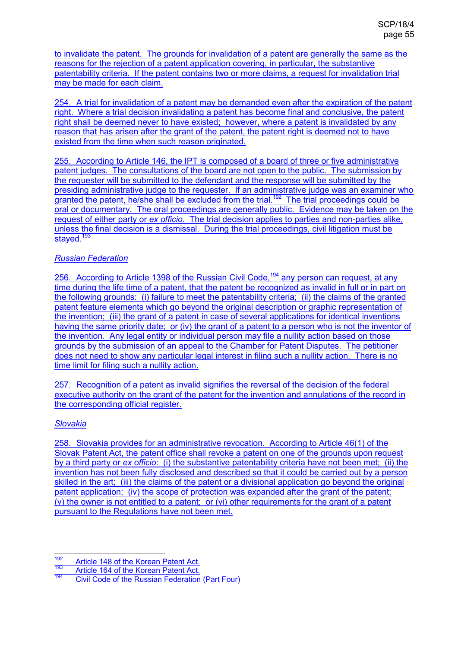to invalidate the patent. The grounds for invalidation of a patent are generally the same as the reasons for the rejection of a patent application covering, in particular, the substantive patentability criteria. If the patent contains two or more claims, a request for invalidation trial may be made for each claim.

254. A trial for invalidation of a patent may be demanded even after the expiration of the patent right. Where a trial decision invalidating a patent has become final and conclusive, the patent right shall be deemed never to have existed; however, where a patent is invalidated by any reason that has arisen after the grant of the patent, the patent right is deemed not to have existed from the time when such reason originated.

255. According to Article 146, the IPT is composed of a board of three or five administrative patent judges. The consultations of the board are not open to the public. The submission by the requester will be submitted to the defendant and the response will be submitted by the presiding administrative judge to the requester. If an administrative judge was an examiner who granted the patent, he/she shall be excluded from the trial.<sup>192</sup> The trial proceedings could be oral or documentary. The oral proceedings are generally public. Evidence may be taken on the request of either party or *ex officio*. The trial decision applies to parties and non-parties alike, unless the final decision is a dismissal. During the trial proceedings, civil litigation must be stayed.<sup>193</sup>

## *Russian Federation*

256. According to Article 1398 of the Russian Civil Code,<sup>194</sup> any person can request, at any time during the life time of a patent, that the patent be recognized as invalid in full or in part on the following grounds: (i) failure to meet the patentability criteria; (ii) the claims of the granted patent feature elements which go beyond the original description or graphic representation of the invention; (iii) the grant of a patent in case of several applications for identical inventions having the same priority date; or (iy) the grant of a patent to a person who is not the inventor of the invention. Any legal entity or individual person may file a nullity action based on those grounds by the submission of an appeal to the Chamber for Patent Disputes. The petitioner does not need to show any particular legal interest in filing such a nullity action. There is no time limit for filing such a nullity action.

257. Recognition of a patent as invalid signifies the reversal of the decision of the federal executive authority on the grant of the patent for the invention and annulations of the record in the corresponding official register.

## *Slovakia*

258. Slovakia provides for an administrative revocation. According to Article 46(1) of the Slovak Patent Act, the patent office shall revoke a patent on one of the grounds upon request by a third party or *ex officio*: (i) the substantive patentability criteria have not been met; (ii) the invention has not been fully disclosed and described so that it could be carried out by a person skilled in the art; (iii) the claims of the patent or a divisional application go beyond the original patent application; (iv) the scope of protection was expanded after the grant of the patent; (v) the owner is not entitled to a patent; or (vi) other requirements for the grant of a patent pursuant to the Regulations have not been met.

<sup>192</sup>  $\frac{192}{193}$  Article 148 of the Korean Patent Act.

 $\frac{193}{194}$  Article 164 of the Korean Patent Act.

Civil Code of the Russian Federation (Part Four)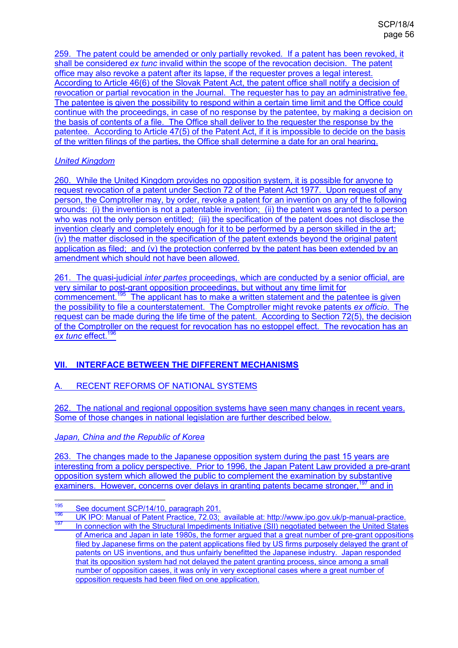259. The patent could be amended or only partially revoked. If a patent has been revoked, it shall be considered *ex tunc* invalid within the scope of the revocation decision. The patent office may also revoke a patent after its lapse, if the requester proves a legal interest. According to Article 46(6) of the Slovak Patent Act, the patent office shall notify a decision of revocation or partial revocation in the Journal. The requester has to pay an administrative fee. The patentee is given the possibility to respond within a certain time limit and the Office could continue with the proceedings, in case of no response by the patentee, by making a decision on the basis of contents of a file. The Office shall deliver to the requester the response by the patentee. According to Article 47(5) of the Patent Act, if it is impossible to decide on the basis of the written filings of the parties, the Office shall determine a date for an oral hearing.

## *United Kingdom*

260. While the United Kingdom provides no opposition system, it is possible for anyone to request revocation of a patent under Section 72 of the Patent Act 1977. Upon request of any person, the Comptroller may, by order, revoke a patent for an invention on any of the following grounds: (i) the invention is not a patentable invention; (ii) the patent was granted to a person who was not the only person entitled; (iii) the specification of the patent does not disclose the invention clearly and completely enough for it to be performed by a person skilled in the art; (iv) the matter disclosed in the specification of the patent extends beyond the original patent application as filed; and (v) the protection conferred by the patent has been extended by an amendment which should not have been allowed.

261. The quasi-judicial *inter partes* proceedings, which are conducted by a senior official, are very similar to post-grant opposition proceedings, but without any time limit for commencement.<sup>195</sup> The applicant has to make a written statement and the patentee is given the possibility to file a counterstatement. The Comptroller might revoke patents *ex officio*. The request can be made during the life time of the patent. According to Section 72(5), the decision of the Comptroller on the request for revocation has no estoppel effect. The revocation has an **ex tunc effect.**<sup>196</sup>

## **VII. INTERFACE BETWEEN THE DIFFERENT MECHANISMS**

## A. RECENT REFORMS OF NATIONAL SYSTEMS

262. The national and regional opposition systems have seen many changes in recent years. Some of those changes in national legislation are further described below.

### *Japan, China and the Republic of Korea*

263. The changes made to the Japanese opposition system during the past 15 years are interesting from a policy perspective. Prior to 1996, the Japan Patent Law provided a pre-grant opposition system which allowed the public to complement the examination by substantive examiners. However, concerns over delays in granting patents became stronger,<sup>197</sup> and in

<sup>195</sup>  $\frac{195}{196}$  See document SCP/14/10, paragraph 201.

<sup>196</sup> UK IPO: Manual of Patent Practice, 72.03; available at: http://www.ipo.gov.uk/p-manual-practice. In connection with the Structural Impediments Initiative (SII) negotiated between the United States of America and Japan in late 1980s, the former argued that a great number of pre-grant oppositions filed by Japanese firms on the patent applications filed by US firms purposely delayed the grant of patents on US inventions, and thus unfairly benefitted the Japanese industry. Japan responded that its opposition system had not delayed the patent granting process, since among a small number of opposition cases, it was only in very exceptional cases where a great number of opposition requests had been filed on one application.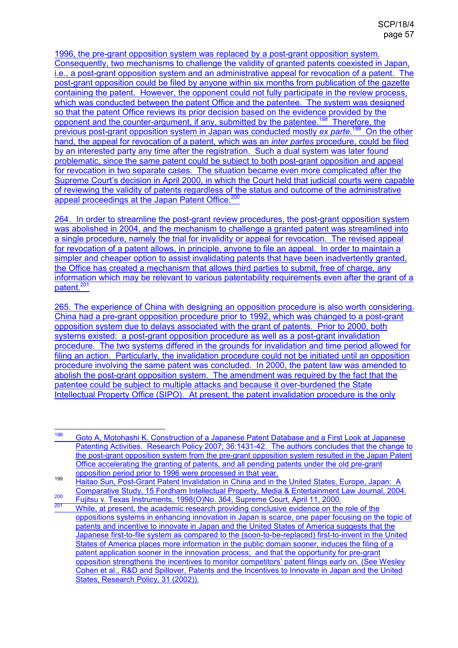1996, the pre-grant opposition system was replaced by a post-grant opposition system. Consequently, two mechanisms to challenge the validity of granted patents coexisted in Japan, i.e., a post-grant opposition system and an administrative appeal for revocation of a patent. The post-grant opposition could be filed by anyone within six months from publication of the gazette containing the patent. However, the opponent could not fully participate in the review process, which was conducted between the patent Office and the patentee. The system was designed so that the patent Office reviews its prior decision based on the evidence provided by the opponent and the counter-argument, if any, submitted by the patentee.<sup>198</sup> Therefore, the previous post-grant opposition system in Japan was conducted mostly *ex parte*.<sup>199</sup> On the other hand, the appeal for revocation of a patent, which was an *inter partes* procedure, could be filed by an interested party any time after the registration. Such a dual system was later found problematic, since the same patent could be subject to both post-grant opposition and appeal for revocation in two separate cases. The situation became even more complicated after the Supreme Court's decision in April 2000, in which the Court held that judicial courts were capable of reviewing the validity of patents regardless of the status and outcome of the administrative appeal proceedings at the Japan Patent Office.<sup>200</sup>

264. In order to streamline the post-grant review procedures, the post-grant opposition system was abolished in 2004, and the mechanism to challenge a granted patent was streamlined into a single procedure, namely the trial for invalidity or appeal for revocation. The revised appeal for revocation of a patent allows, in principle, anyone to file an appeal. In order to maintain a simpler and cheaper option to assist invalidating patents that have been inadvertently granted. the Office has created a mechanism that allows third parties to submit, free of charge, any information which may be relevant to various patentability requirements even after the grant of a patent.<sup>201</sup>

265. The experience of China with designing an opposition procedure is also worth considering. China had a pre-grant opposition procedure prior to 1992, which was changed to a post-grant opposition system due to delays associated with the grant of patents. Prior to 2000, both systems existed: a post-grant opposition procedure as well as a post-grant invalidation procedure. The two systems differed in the grounds for invalidation and time period allowed for filing an action. Particularly, the invalidation procedure could not be initiated until an opposition procedure involving the same patent was concluded. In 2000, the patent law was amended to abolish the post-grant opposition system. The amendment was required by the fact that the patentee could be subject to multiple attacks and because it over-burdened the State Intellectual Property Office (SIPO). At present, the patent invalidation procedure is the only

<sup>198</sup> <sup>198</sup> Goto A, Motohashi K. Construction of a Japanese Patent Database and a First Look at Japanese Patenting Activities. Research Policy 2007; 36:1431-42. The authors concludes that the change to the post-grant opposition system from the pre-grant opposition system resulted in the Japan Patent Office accelerating the granting of patents, and all pending patents under the old pre-grant opposition period prior to 1996 were processed in that year.

<sup>199</sup> Haitao Sun, Post-Grant Patent Invalidation in China and in the United States, Europe, Japan: A Comparative Study, 15 Fordham Intellectual Property, Media & Entertainment Law Journal, 2004.

<sup>200</sup> Fujitsu v. Texas Instruments, 1998(O)No. 364, Supreme Court, April 11, 2000.

While, at present, the academic research providing conclusive evidence on the role of the oppositions systems in enhancing innovation in Japan is scarce, one paper focusing on the topic of patents and incentive to innovate in Japan and the United States of America suggests that the Japanese first-to-file system as compared to the (soon-to-be-replaced) first-to-invent in the United States of America places more information in the public domain sooner, induces the filing of a patent application sooner in the innovation process; and that the opportunity for pre-grant opposition strengthens the incentives to monitor competitors' patent filings early on. (See Wesley Cohen et al., R&D and Spillover, Patents and the Incentives to Innovate in Japan and the United States, Research Policy, 31 (2002)).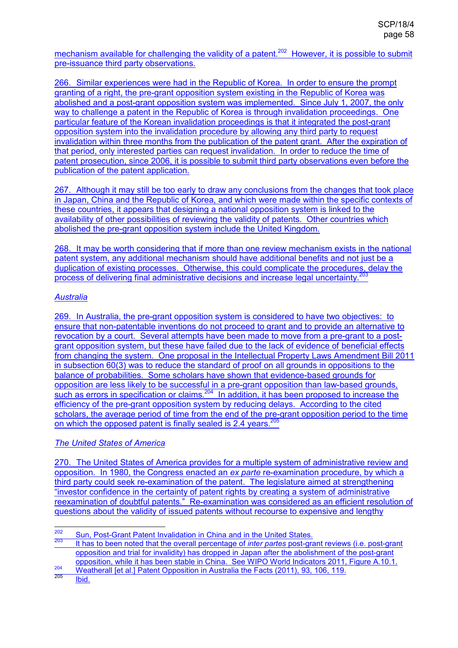mechanism available for challenging the validity of a patent.<sup>202</sup> However, it is possible to submit pre-issuance third party observations.

266. Similar experiences were had in the Republic of Korea. In order to ensure the prompt granting of a right, the pre-grant opposition system existing in the Republic of Korea was abolished and a post-grant opposition system was implemented. Since July 1, 2007, the only way to challenge a patent in the Republic of Korea is through invalidation proceedings. One particular feature of the Korean invalidation proceedings is that it integrated the post-grant opposition system into the invalidation procedure by allowing any third party to request invalidation within three months from the publication of the patent grant. After the expiration of that period, only interested parties can request invalidation. In order to reduce the time of patent prosecution, since 2006, it is possible to submit third party observations even before the publication of the patent application.

267. Although it may still be too early to draw any conclusions from the changes that took place in Japan, China and the Republic of Korea, and which were made within the specific contexts of these countries, it appears that designing a national opposition system is linked to the availability of other possibilities of reviewing the validity of patents. Other countries which abolished the pre-grant opposition system include the United Kingdom.

268. It may be worth considering that if more than one review mechanism exists in the national patent system, any additional mechanism should have additional benefits and not just be a duplication of existing processes. Otherwise, this could complicate the procedures, delay the process of delivering final administrative decisions and increase legal uncertainty.<sup>203</sup> i<br>.

## *Australia*

269. In Australia, the pre-grant opposition system is considered to have two objectives: to ensure that non-patentable inventions do not proceed to grant and to provide an alternative to revocation by a court. Several attempts have been made to move from a pre-grant to a postgrant opposition system, but these have failed due to the lack of evidence of beneficial effects from changing the system. One proposal in the Intellectual Property Laws Amendment Bill 2011 in subsection 60(3) was to reduce the standard of proof on all grounds in oppositions to the balance of probabilities. Some scholars have shown that evidence-based grounds for opposition are less likely to be successful in a pre-grant opposition than law-based grounds, such as errors in specification or claims.<sup>204</sup> In addition, it has been proposed to increase the efficiency of the pre-grant opposition system by reducing delays. According to the cited scholars, the average period of time from the end of the pre-grant opposition period to the time on which the opposed patent is finally sealed is 2.4 years.<sup>205</sup>

## *The United States of America*

270. The United States of America provides for a multiple system of administrative review and opposition. In 1980, the Congress enacted an *ex parte* re-examination procedure, by which a third party could seek re-examination of the patent. The legislature aimed at strengthening "investor confidence in the certainty of patent rights by creating a system of administrative reexamination of doubtful patents." Re-examination was considered as an efficient resolution of questions about the validity of issued patents without recourse to expensive and lengthy

<sup>202</sup> <sup>202</sup> Sun, Post-Grant Patent Invalidation in China and in the United States.

<sup>203</sup>It has to been noted that the overall percentage of *inter partes* post-grant reviews (i.e. post-grant opposition and trial for invalidity) has dropped in Japan after the abolishment of the post-grant opposition, while it has been stable in China. See WIPO World Indicators 2011, Figure A.10.1.

<sup>204</sup>  $\frac{204}{205}$  Weatherall [et al.] Patent Opposition in Australia the Facts (2011), 93, 106, 119.

Ibid.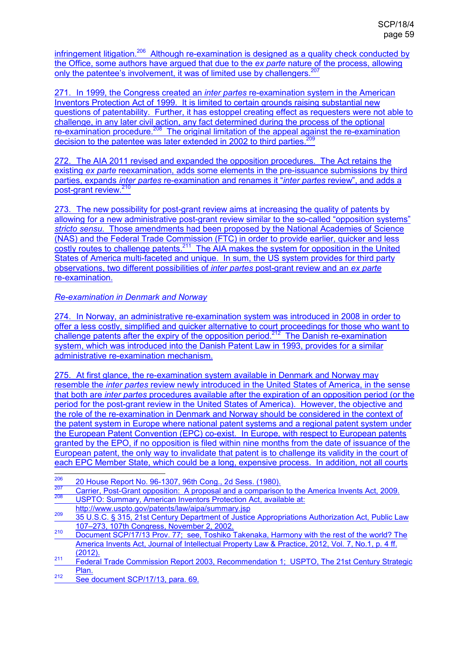infringement litigation.<sup>206</sup> Although re-examination is designed as a quality check conducted by the Office, some authors have argued that due to the *ex parte* nature of the process, allowing only the patentee's involvement, it was of limited use by challengers.<sup>207</sup>

271. In 1999, the Congress created an *inter partes* re-examination system in the American Inventors Protection Act of 1999. It is limited to certain grounds raising substantial new questions of patentability. Further, it has estoppel creating effect as requesters were not able to challenge, in any later civil action, any fact determined during the process of the optional re-examination procedure.<sup>208</sup> The original limitation of the appeal against the re-examination decision to the patentee was later extended in 2002 to third parties.<sup>209</sup>

272. The AIA 2011 revised and expanded the opposition procedures. The Act retains the existing *ex parte* reexamination, adds some elements in the pre-issuance submissions by third parties, expands *inter partes* re-examination and renames it "*inter partes* review", and adds a post-grant review.<sup>210</sup>

273. The new possibility for post-grant review aims at increasing the quality of patents by allowing for a new administrative post-grant review similar to the so-called "opposition systems" *stricto sensu*. Those amendments had been proposed by the National Academies of Science (NAS) and the Federal Trade Commission (FTC) in order to provide earlier, quicker and less costly routes to challenge patents.<sup>211</sup> The AIA makes the system for opposition in the United States of America multi-faceted and unique. In sum, the US system provides for third party observations, two different possibilities of *inter partes* post-grant review and an *ex parte* re-examination.

### *Re-examination in Denmark and Norway*

274. In Norway, an administrative re-examination system was introduced in 2008 in order to offer a less costly, simplified and quicker alternative to court proceedings for those who want to challenge patents after the expiry of the opposition period.<sup>212</sup> The Danish re-examination system, which was introduced into the Danish Patent Law in 1993, provides for a similar administrative re-examination mechanism.

275. At first glance, the re-examination system available in Denmark and Norway may resemble the *inter partes* review newly introduced in the United States of America, in the sense that both are *inter partes* procedures available after the expiration of an opposition period (or the period for the post-grant review in the United States of America). However, the objective and the role of the re-examination in Denmark and Norway should be considered in the context of the patent system in Europe where national patent systems and a regional patent system under the European Patent Convention (EPC) co-exist. In Europe, with respect to European patents granted by the EPO, if no opposition is filed within nine months from the date of issuance of the European patent, the only way to invalidate that patent is to challenge its validity in the court of each EPC Member State, which could be a long, expensive process. In addition, not all courts

USPTO: Summary, American Inventors Protection Act, available at: http://www.uspto.gov/patents/law/aipa/summary.jsp

<sup>206</sup>  $\frac{206}{207}$  20 House Report No. 96-1307, 96th Cong., 2d Sess. (1980).

<sup>&</sup>lt;sup>207</sup> Carrier, Post-Grant opposition: A proposal and a comparison to the America Invents Act, 2009.<br><sup>208</sup> LISBTO: Summary, American Inventors Protection Act, available at:

<sup>&</sup>lt;sup>209</sup> 35 U.S.C. § 315, 21st Century Department of Justice Appropriations Authorization Act, Public Law 107–273, 107th Congress, November 2, 2002.

<sup>&</sup>lt;sup>210</sup> Document SCP/17/13 Prov. 77; see, Toshiko Takenaka, Harmony with the rest of the world? The America Invents Act, Journal of Intellectual Property Law & Practice, 2012, Vol. 7, No.1, p. 4 ff. (2012).

<sup>&</sup>lt;sup>211</sup> Federal Trade Commission Report 2003, Recommendation 1; USPTO, The 21st Century Strategic Plan.

<sup>&</sup>lt;sup>212</sup> See document SCP/17/13, para. 69.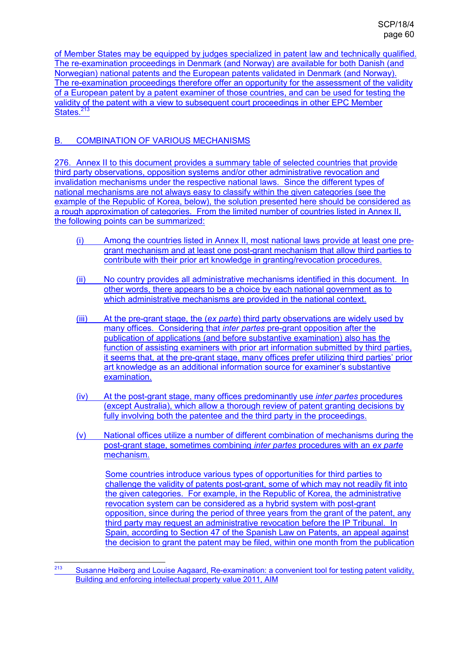of Member States may be equipped by judges specialized in patent law and technically qualified. The re-examination proceedings in Denmark (and Norway) are available for both Danish (and Norwegian) national patents and the European patents validated in Denmark (and Norway). The re-examination proceedings therefore offer an opportunity for the assessment of the validity of a European patent by a patent examiner of those countries, and can be used for testing the validity of the patent with a view to subsequent court proceedings in other EPC Member States. $213$ 

## B. COMBINATION OF VARIOUS MECHANISMS

276. Annex II to this document provides a summary table of selected countries that provide third party observations, opposition systems and/or other administrative revocation and invalidation mechanisms under the respective national laws. Since the different types of national mechanisms are not always easy to classify within the given categories (see the example of the Republic of Korea, below), the solution presented here should be considered as a rough approximation of categories. From the limited number of countries listed in Annex II, the following points can be summarized:

- (i) Among the countries listed in Annex II, most national laws provide at least one pregrant mechanism and at least one post-grant mechanism that allow third parties to contribute with their prior art knowledge in granting/revocation procedures.
- (ii) No country provides all administrative mechanisms identified in this document. In other words, there appears to be a choice by each national government as to which administrative mechanisms are provided in the national context.
- (iii) At the pre-grant stage, the (*ex parte*) third party observations are widely used by many offices. Considering that *inter partes* pre-grant opposition after the publication of applications (and before substantive examination) also has the function of assisting examiners with prior art information submitted by third parties, it seems that, at the pre-grant stage, many offices prefer utilizing third parties' prior art knowledge as an additional information source for examiner's substantive examination.
- (iv) At the post-grant stage, many offices predominantly use *inter partes* procedures (except Australia), which allow a thorough review of patent granting decisions by fully involving both the patentee and the third party in the proceedings.
- (v) National offices utilize a number of different combination of mechanisms during the post-grant stage, sometimes combining *inter partes* procedures with an *ex parte* mechanism.

Some countries introduce various types of opportunities for third parties to challenge the validity of patents post-grant, some of which may not readily fit into the given categories. For example, in the Republic of Korea, the administrative revocation system can be considered as a hybrid system with post-grant opposition, since during the period of three years from the grant of the patent, any third party may request an administrative revocation before the IP Tribunal. In Spain, according to Section 47 of the Spanish Law on Patents, an appeal against the decision to grant the patent may be filed, within one month from the publication

 $\frac{1}{213}$  Susanne Høiberg and Louise Aagaard, Re-examination: a convenient tool for testing patent validity, Building and enforcing intellectual property value 2011, AIM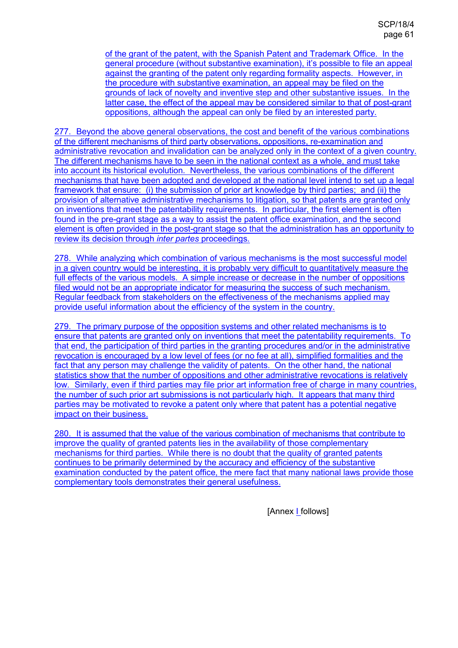of the grant of the patent, with the Spanish Patent and Trademark Office. In the general procedure (without substantive examination), it's possible to file an appeal against the granting of the patent only regarding formality aspects. However, in the procedure with substantive examination, an appeal may be filed on the grounds of lack of novelty and inventive step and other substantive issues. In the latter case, the effect of the appeal may be considered similar to that of post-grant oppositions, although the appeal can only be filed by an interested party.

277. Beyond the above general observations, the cost and benefit of the various combinations of the different mechanisms of third party observations, oppositions, re-examination and administrative revocation and invalidation can be analyzed only in the context of a given country. The different mechanisms have to be seen in the national context as a whole, and must take into account its historical evolution. Nevertheless, the various combinations of the different mechanisms that have been adopted and developed at the national level intend to set up a legal framework that ensure: (i) the submission of prior art knowledge by third parties; and (ii) the provision of alternative administrative mechanisms to litigation, so that patents are granted only on inventions that meet the patentability requirements. In particular, the first element is often found in the pre-grant stage as a way to assist the patent office examination, and the second element is often provided in the post-grant stage so that the administration has an opportunity to review its decision through *inter partes* proceedings.

278. While analyzing which combination of various mechanisms is the most successful model in a given country would be interesting, it is probably very difficult to quantitatively measure the full effects of the various models. A simple increase or decrease in the number of oppositions filed would not be an appropriate indicator for measuring the success of such mechanism. Regular feedback from stakeholders on the effectiveness of the mechanisms applied may provide useful information about the efficiency of the system in the country.

279. The primary purpose of the opposition systems and other related mechanisms is to ensure that patents are granted only on inventions that meet the patentability requirements. To that end, the participation of third parties in the granting procedures and/or in the administrative revocation is encouraged by a low level of fees (or no fee at all), simplified formalities and the fact that any person may challenge the validity of patents. On the other hand, the national statistics show that the number of oppositions and other administrative revocations is relatively low. Similarly, even if third parties may file prior art information free of charge in many countries, the number of such prior art submissions is not particularly high. It appears that many third parties may be motivated to revoke a patent only where that patent has a potential negative impact on their business.

280. It is assumed that the value of the various combination of mechanisms that contribute to improve the quality of granted patents lies in the availability of those complementary mechanisms for third parties. While there is no doubt that the quality of granted patents continues to be primarily determined by the accuracy and efficiency of the substantive examination conducted by the patent office, the mere fact that many national laws provide those complementary tools demonstrates their general usefulness.

[Annex I follows]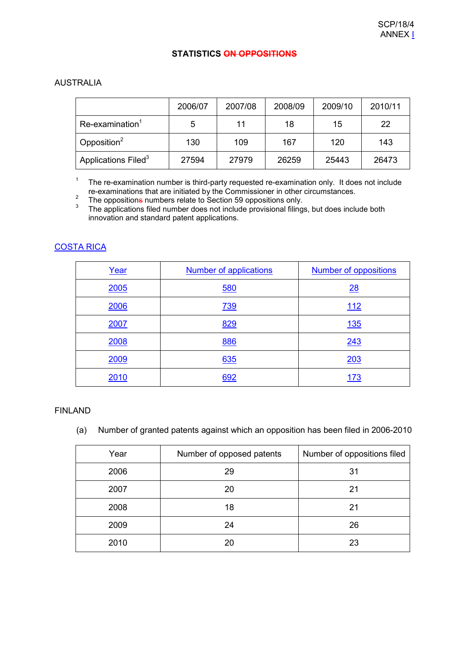#### **STATISTICS ON OPPOSITIONS**

### AUSTRALIA

|                                 | 2006/07 | 2007/08 | 2008/09 | 2009/10 | 2010/11 |
|---------------------------------|---------|---------|---------|---------|---------|
| $Re-examination1$               | 5       | 11      | 18      | 15      | 22      |
| Opposition $2$                  | 130     | 109     | 167     | 120     | 143     |
| Applications Filed <sup>3</sup> | 27594   | 27979   | 26259   | 25443   | 26473   |

<sup>1</sup> The re-examination number is third-party requested re-examination only. It does not include re-examinations that are initiated by the Commissioner in other circumstances.

2 The oppositions numbers relate to Section 59 oppositions only.

3 The applications filed number does not include provisional filings, but does include both innovation and standard patent applications.

## COSTA RICA

| Year | <b>Number of applications</b> | <b>Number of oppositions</b> |
|------|-------------------------------|------------------------------|
| 2005 | <b>580</b>                    | 28                           |
| 2006 | 739                           | <u>112</u>                   |
| 2007 | 829                           | <u>135</u>                   |
| 2008 | 886                           | 243                          |
| 2009 | 635                           | 203                          |
| 2010 | 692                           | 173                          |

### FINLAND

### (a) Number of granted patents against which an opposition has been filed in 2006-2010

| Year | Number of opposed patents | Number of oppositions filed |
|------|---------------------------|-----------------------------|
| 2006 | 29                        | 31                          |
| 2007 | 20                        | 21                          |
| 2008 | 18                        | 21                          |
| 2009 | 24                        | 26                          |
| 2010 | 20                        | 23                          |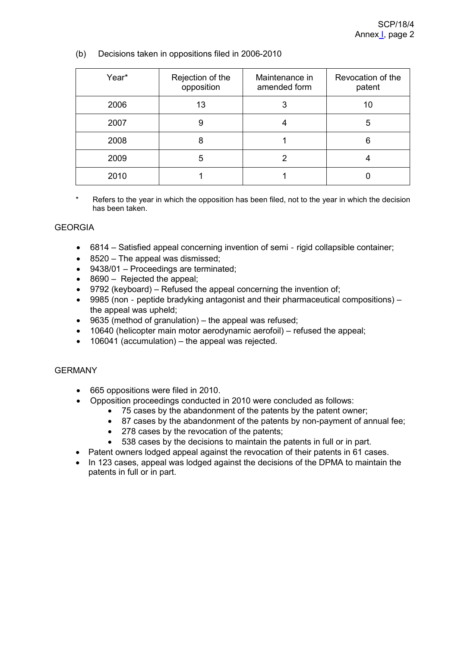(b) Decisions taken in oppositions filed in 2006-2010

| Year* | Rejection of the<br>opposition | Maintenance in<br>amended form | Revocation of the<br>patent |
|-------|--------------------------------|--------------------------------|-----------------------------|
| 2006  | 13                             | 3                              | 10                          |
| 2007  | 9                              |                                |                             |
| 2008  | 8                              |                                |                             |
| 2009  | 5                              |                                |                             |
| 2010  |                                |                                |                             |

Refers to the year in which the opposition has been filed, not to the year in which the decision has been taken.

### **GEORGIA**

- 6814 Satisfied appeal concerning invention of semi rigid collapsible container;
- 8520 The appeal was dismissed;
- 9438/01 Proceedings are terminated;
- 8690 Rejected the appeal;
- 9792 (keyboard) Refused the appeal concerning the invention of;
- 9985 (non peptide bradyking antagonist and their pharmaceutical compositions) the appeal was upheld;
- 9635 (method of granulation) the appeal was refused;
- 10640 (helicopter main motor aerodynamic aerofoil) refused the appeal;
- 106041 (accumulation) the appeal was rejected.

### GERMANY

- 665 oppositions were filed in 2010.
- Opposition proceedings conducted in 2010 were concluded as follows:
	- 75 cases by the abandonment of the patents by the patent owner;
	- 87 cases by the abandonment of the patents by non-payment of annual fee;
	- 278 cases by the revocation of the patents;
	- 538 cases by the decisions to maintain the patents in full or in part.
- Patent owners lodged appeal against the revocation of their patents in 61 cases.
- In 123 cases, appeal was lodged against the decisions of the DPMA to maintain the patents in full or in part.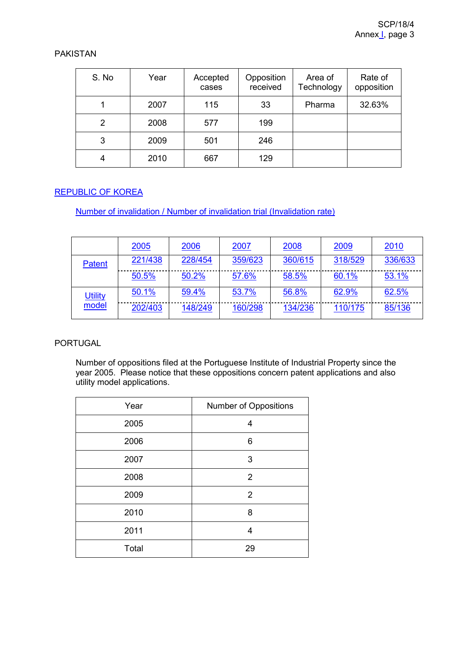### PAKISTAN

| S. No | Year | Accepted<br>cases | Opposition<br>received | Area of<br>Technology | Rate of<br>opposition |
|-------|------|-------------------|------------------------|-----------------------|-----------------------|
|       | 2007 | 115               | 33                     | Pharma                | 32.63%                |
| 2     | 2008 | 577               | 199                    |                       |                       |
| 3     | 2009 | 501               | 246                    |                       |                       |
| 4     | 2010 | 667               | 129                    |                       |                       |

## REPUBLIC OF KOREA

Number of invalidation / Number of invalidation trial (Invalidation rate)

|                | 2005    | 2006    | 2007    | 2008    | 2009    | 2010    |
|----------------|---------|---------|---------|---------|---------|---------|
| Patent         | 221/438 | 228/454 | 359/623 | 360/615 | 318/529 | 336/633 |
|                | 50.5%   | 50.2%   | 57.6%   | 58.5%   | 60.1%   | 53.1%   |
| <b>Utility</b> | 50.1%   | 59.4%   | 53.7%   | 56.8%   | 62.9%   | 62.5%   |
| model          | 202/403 | 148/249 | 160/298 | 134/236 | 110/175 | 85/136  |

## PORTUGAL

Number of oppositions filed at the Portuguese Institute of Industrial Property since the year 2005. Please notice that these oppositions concern patent applications and also utility model applications.

| Year  | Number of Oppositions |
|-------|-----------------------|
| 2005  | 4                     |
| 2006  | 6                     |
| 2007  | 3                     |
| 2008  | $\overline{2}$        |
| 2009  | $\overline{2}$        |
| 2010  | 8                     |
| 2011  | 4                     |
| Total | 29                    |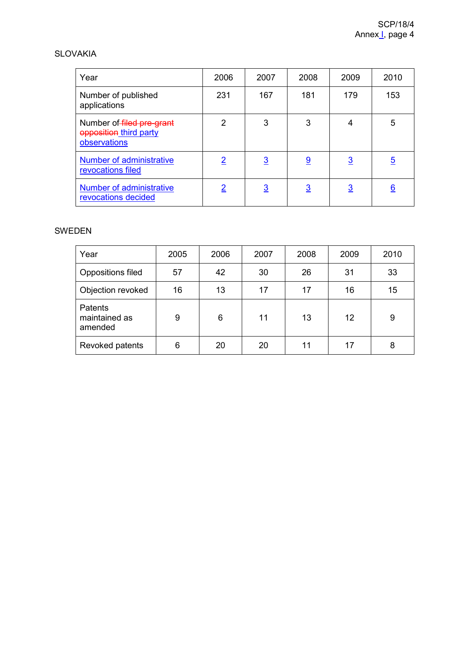#### SLOVAKIA

| Year                                                                | 2006     | 2007           | 2008           | 2009     | 2010           |
|---------------------------------------------------------------------|----------|----------------|----------------|----------|----------------|
| Number of published<br>applications                                 | 231      | 167            | 181            | 179      | 153            |
| Number of filed pre-grant<br>opposition third party<br>observations | 2        | 3              | 3              | 4        | 5              |
| Number of administrative<br>revocations filed                       | <u>2</u> | <u>3</u>       | $\overline{9}$ | <u>3</u> | $\overline{5}$ |
| Number of administrative<br>revocations decided                     | <u>2</u> | $\overline{3}$ | $\overline{3}$ | <u>3</u> | <u>6</u>       |

## SWEDEN

| Year                                       | 2005 | 2006 | 2007 | 2008 | 2009 | 2010 |
|--------------------------------------------|------|------|------|------|------|------|
| Oppositions filed                          | 57   | 42   | 30   | 26   | 31   | 33   |
| Objection revoked                          | 16   | 13   | 17   | 17   | 16   | 15   |
| <b>Patents</b><br>maintained as<br>amended | 9    | 6    | 11   | 13   | 12   | 9    |
| Revoked patents                            | 6    | 20   | 20   | 11   | 17   | 8    |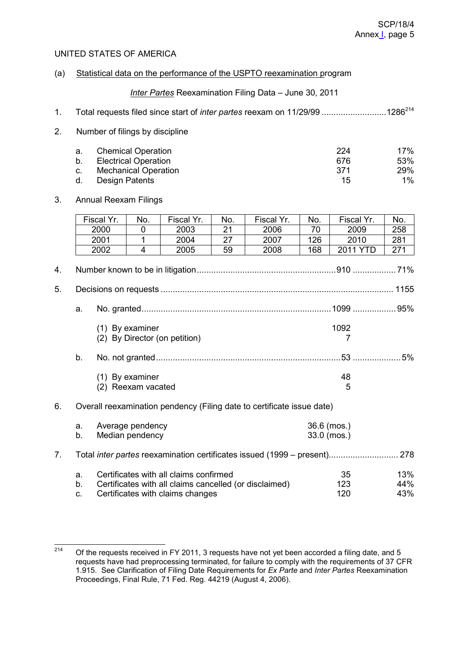### UNITED STATES OF AMERICA

#### (a) Statistical data on the performance of the USPTO reexamination program

*Inter Partes* Reexamination Filing Data – June 30, 2011

| 1. | Total requests filed since start of inter partes reexam on 11/29/99 1286 <sup>214</sup>                                                                |                                    |                                            |                                    |                       |                                                                           |                            |                                        |                            |
|----|--------------------------------------------------------------------------------------------------------------------------------------------------------|------------------------------------|--------------------------------------------|------------------------------------|-----------------------|---------------------------------------------------------------------------|----------------------------|----------------------------------------|----------------------------|
| 2. |                                                                                                                                                        | Number of filings by discipline    |                                            |                                    |                       |                                                                           |                            |                                        |                            |
|    | <b>Chemical Operation</b><br>a.<br>b.<br><b>Electrical Operation</b><br><b>Mechanical Operation</b><br>C.<br><b>Design Patents</b><br>d.               |                                    |                                            |                                    |                       |                                                                           |                            | 224<br>676<br>371<br>15                | 17%<br>53%<br>29%<br>$1\%$ |
| 3. |                                                                                                                                                        | <b>Annual Reexam Filings</b>       |                                            |                                    |                       |                                                                           |                            |                                        |                            |
|    |                                                                                                                                                        | Fiscal Yr.<br>2000<br>2001<br>2002 | No.<br>0<br>$\mathbf{1}$<br>$\overline{4}$ | Fiscal Yr.<br>2003<br>2004<br>2005 | No.<br>21<br>27<br>59 | Fiscal Yr.<br>2006<br>2007<br>2008                                        | No.<br>70<br>126<br>168    | Fiscal Yr.<br>2009<br>2010<br>2011 YTD | No.<br>258<br>281<br>271   |
| 4. |                                                                                                                                                        |                                    |                                            |                                    |                       |                                                                           |                            |                                        |                            |
| 5. |                                                                                                                                                        |                                    |                                            |                                    |                       |                                                                           |                            |                                        |                            |
|    | a.                                                                                                                                                     |                                    |                                            |                                    |                       |                                                                           |                            |                                        |                            |
|    |                                                                                                                                                        |                                    | (1) By examiner                            | (2) By Director (on petition)      |                       |                                                                           |                            | 1092<br>7                              |                            |
|    | b.                                                                                                                                                     |                                    |                                            |                                    |                       |                                                                           |                            |                                        |                            |
|    |                                                                                                                                                        |                                    | (1) By examiner<br>(2) Reexam vacated      |                                    |                       |                                                                           |                            | 48<br>5                                |                            |
| 6. |                                                                                                                                                        |                                    |                                            |                                    |                       | Overall reexamination pendency (Filing date to certificate issue date)    |                            |                                        |                            |
|    | Average pendency<br>a.<br>Median pendency<br>b.                                                                                                        |                                    |                                            |                                    |                       |                                                                           | 36.6 (mos.)<br>33.0 (mos.) |                                        |                            |
| 7. |                                                                                                                                                        |                                    |                                            |                                    |                       | Total inter partes reexamination certificates issued (1999 – present) 278 |                            |                                        |                            |
|    | Certificates with all claims confirmed<br>a.<br>Certificates with all claims cancelled (or disclaimed)<br>b.<br>Certificates with claims changes<br>C. |                                    |                                            |                                    |                       |                                                                           |                            | 35<br>123<br>120                       | 13%<br>44%<br>43%          |

<sup>214</sup> Of the requests received in FY 2011, 3 requests have not yet been accorded a filing date, and 5 requests have had preprocessing terminated, for failure to comply with the requirements of 37 CFR 1.915. See Clarification of Filing Date Requirements for *Ex Parte* and *Inter Partes* Reexamination Proceedings, Final Rule, 71 Fed. Reg. 44219 (August 4, 2006).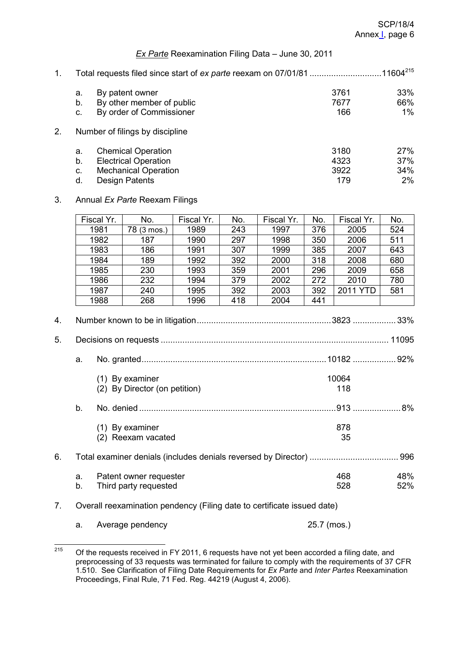### *Ex Parte* Reexamination Filing Data – June 30, 2011

| 1. | Total requests filed since start of ex parte reexam on 07/01/81 11604 <sup>215</sup> |                             |      |            |  |  |  |
|----|--------------------------------------------------------------------------------------|-----------------------------|------|------------|--|--|--|
|    | a.                                                                                   | By patent owner             | 3761 | 33%        |  |  |  |
|    | b.                                                                                   | By other member of public   | 7677 | 66%        |  |  |  |
|    | C.                                                                                   | By order of Commissioner    | 166  | 1%         |  |  |  |
| 2. | Number of filings by discipline                                                      |                             |      |            |  |  |  |
|    | a.                                                                                   | <b>Chemical Operation</b>   | 3180 | <b>27%</b> |  |  |  |
|    | b.                                                                                   | <b>Electrical Operation</b> | 4323 | 37%        |  |  |  |
|    | C.                                                                                   | <b>Mechanical Operation</b> | 3922 | 34%        |  |  |  |
|    | d.                                                                                   | <b>Design Patents</b>       | 179  | 2%         |  |  |  |

### 3. Annual *Ex Parte* Reexam Filings

| Fiscal Yr.<br>1981                 | No.                                  | Fiscal Yr.      | No.                                                 | Fiscal Yr. | No. | Fiscal Yr. | No. |
|------------------------------------|--------------------------------------|-----------------|-----------------------------------------------------|------------|-----|------------|-----|
|                                    |                                      |                 |                                                     |            |     |            |     |
|                                    | 78 (3 mos.)                          | 1989            | 243                                                 | 1997       | 376 | 2005       | 524 |
| 1982                               | 187                                  | 1990            | 297                                                 | 1998       | 350 | 2006       | 511 |
| 1983<br>186<br>307<br>1991<br>1999 |                                      |                 |                                                     |            |     | 2007       | 643 |
|                                    | 189                                  | 1992            | 392                                                 | 2000       | 318 | 2008       | 680 |
|                                    | 230                                  | 1993            | 359                                                 | 2001       | 296 | 2009       | 658 |
|                                    | 232                                  | 1994            | 379                                                 | 2002       | 272 | 2010       | 780 |
|                                    | 240                                  | 1995            | 392                                                 | 2003       | 392 | 2011 YTD   | 581 |
|                                    | 268                                  | 1996            | 418                                                 | 2004       | 441 |            |     |
|                                    |                                      |                 |                                                     |            |     |            |     |
|                                    |                                      |                 |                                                     |            |     |            |     |
| 10064                              |                                      |                 |                                                     |            |     |            |     |
|                                    |                                      |                 |                                                     |            |     | 118        |     |
|                                    |                                      |                 |                                                     |            |     |            |     |
| 878<br>(1) By examiner             |                                      |                 |                                                     |            |     |            |     |
|                                    |                                      |                 |                                                     |            |     | 35         |     |
|                                    |                                      |                 |                                                     |            |     |            |     |
| Patent owner requester<br>a.       |                                      |                 |                                                     |            |     | 468        | 48% |
| 528<br>b.<br>Third party requested |                                      |                 |                                                     |            |     | 52%        |     |
|                                    | 1984<br>1985<br>1986<br>1987<br>1988 | (1) By examiner | (2) By Director (on petition)<br>(2) Reexam vacated |            |     | 385        |     |

## 7. Overall reexamination pendency (Filing date to certificate issued date)

a. Average pendency 25.7 (mos.)

<sup>215</sup> Of the requests received in FY 2011, 6 requests have not yet been accorded a filing date, and preprocessing of 33 requests was terminated for failure to comply with the requirements of 37 CFR 1.510. See Clarification of Filing Date Requirements for *Ex Parte* and *Inter Partes* Reexamination Proceedings, Final Rule, 71 Fed. Reg. 44219 (August 4, 2006).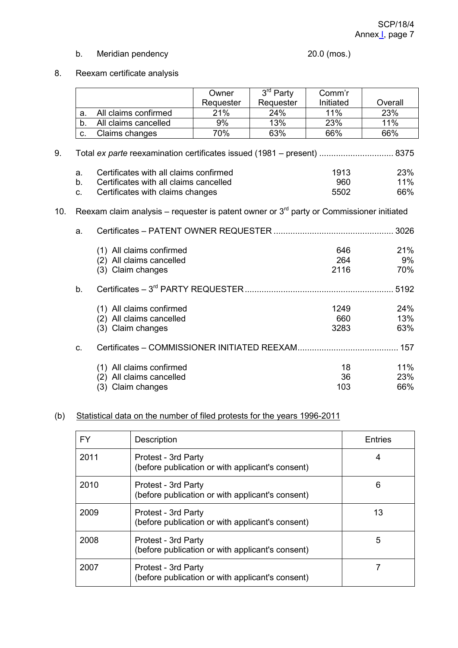## b. Meridian pendency 20.0 (mos.)

# 8. Reexam certificate analysis

|     |                |                                                                                            | Owner     | $3rd$ Party | Comm'r    |         |  |  |
|-----|----------------|--------------------------------------------------------------------------------------------|-----------|-------------|-----------|---------|--|--|
|     |                |                                                                                            | Requester | Requester   | Initiated | Overall |  |  |
|     | a.             | All claims confirmed                                                                       | 21%       | 24%         | 11%       | 23%     |  |  |
|     | b.             | All claims cancelled                                                                       | 9%        | 13%         | 23%       | 11%     |  |  |
|     | C.             | Claims changes                                                                             | 70%       | 63%         | 66%       | 66%     |  |  |
| 9.  |                |                                                                                            |           |             |           |         |  |  |
|     | a.             | Certificates with all claims confirmed                                                     |           |             | 1913      | 23%     |  |  |
|     | b.             | Certificates with all claims cancelled                                                     |           |             | 960       | 11%     |  |  |
|     | C.             | Certificates with claims changes                                                           |           |             | 5502      | 66%     |  |  |
| 10. | a.             | Reexam claim analysis – requester is patent owner or $3rd$ party or Commissioner initiated |           |             |           | 3026    |  |  |
|     |                | (1) All claims confirmed                                                                   |           |             | 646       | 21%     |  |  |
|     |                | (2) All claims cancelled                                                                   |           |             | 264       | 9%      |  |  |
|     |                | (3) Claim changes                                                                          |           |             | 2116      | 70%     |  |  |
|     | b <sub>1</sub> | 5192                                                                                       |           |             |           |         |  |  |
|     |                | (1) All claims confirmed                                                                   |           |             | 1249      | 24%     |  |  |
|     |                | (2) All claims cancelled                                                                   |           |             | 660       | 13%     |  |  |
|     |                | (3) Claim changes                                                                          |           |             | 3283      | 63%     |  |  |
|     | C.             |                                                                                            |           |             |           |         |  |  |
|     |                | (1) All claims confirmed                                                                   |           |             | 18        | 11%     |  |  |
|     |                | (2) All claims cancelled                                                                   |           |             | 36        | 23%     |  |  |
|     |                | (3) Claim changes                                                                          |           |             | 103       | 66%     |  |  |
|     |                |                                                                                            |           |             |           |         |  |  |

## (b) Statistical data on the number of filed protests for the years 1996-2011

| FY   | Description                                                             | <b>Entries</b> |
|------|-------------------------------------------------------------------------|----------------|
| 2011 | Protest - 3rd Party<br>(before publication or with applicant's consent) | 4              |
| 2010 | Protest - 3rd Party<br>(before publication or with applicant's consent) | 6              |
| 2009 | Protest - 3rd Party<br>(before publication or with applicant's consent) | 13             |
| 2008 | Protest - 3rd Party<br>(before publication or with applicant's consent) | 5              |
| 2007 | Protest - 3rd Party<br>(before publication or with applicant's consent) |                |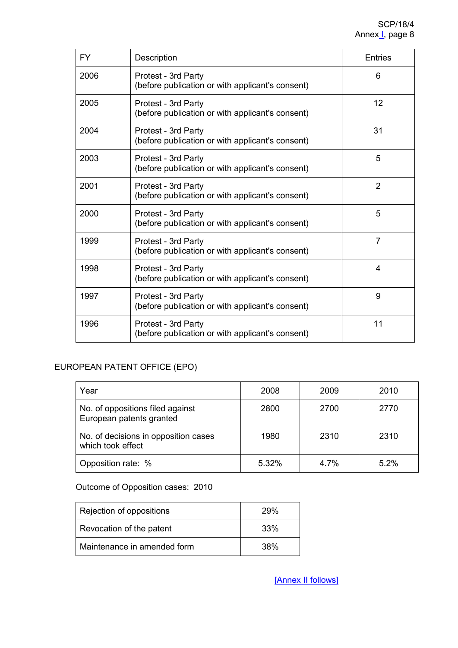| <b>FY</b> | Description                                                             | Entries        |
|-----------|-------------------------------------------------------------------------|----------------|
| 2006      | Protest - 3rd Party<br>(before publication or with applicant's consent) | 6              |
| 2005      | Protest - 3rd Party<br>(before publication or with applicant's consent) | 12             |
| 2004      | Protest - 3rd Party<br>(before publication or with applicant's consent) | 31             |
| 2003      | Protest - 3rd Party<br>(before publication or with applicant's consent) | 5              |
| 2001      | Protest - 3rd Party<br>(before publication or with applicant's consent) | $\overline{2}$ |
| 2000      | Protest - 3rd Party<br>(before publication or with applicant's consent) | 5              |
| 1999      | Protest - 3rd Party<br>(before publication or with applicant's consent) | $\overline{7}$ |
| 1998      | Protest - 3rd Party<br>(before publication or with applicant's consent) | 4              |
| 1997      | Protest - 3rd Party<br>(before publication or with applicant's consent) | 9              |
| 1996      | Protest - 3rd Party<br>(before publication or with applicant's consent) | 11             |

## EUROPEAN PATENT OFFICE (EPO)

| Year                                                         | 2008  | 2009 | 2010 |
|--------------------------------------------------------------|-------|------|------|
| No. of oppositions filed against<br>European patents granted | 2800  | 2700 | 2770 |
| No. of decisions in opposition cases<br>which took effect    | 1980  | 2310 | 2310 |
| Opposition rate: %                                           | 5.32% | 4.7% | 52%  |

Outcome of Opposition cases: 2010

| Rejection of oppositions    | 29% |
|-----------------------------|-----|
| Revocation of the patent    | 33% |
| Maintenance in amended form | 38% |

[Annex II follows]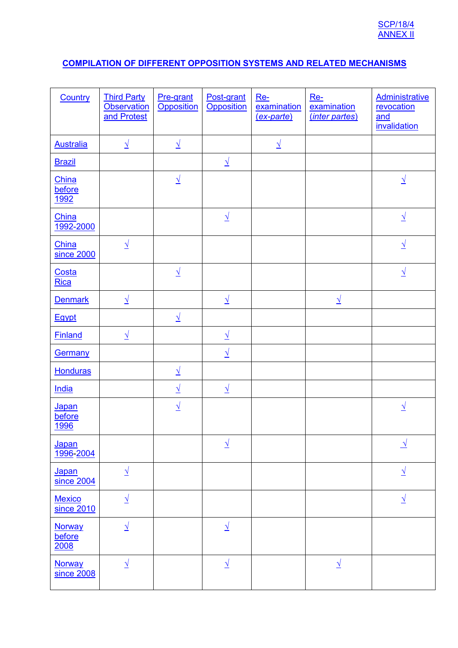## **COMPILATION OF DIFFERENT OPPOSITION SYSTEMS AND RELATED MECHANISMS**

| Country                         | <b>Third Party</b><br><b>Observation</b><br>and Protest | Pre-grant<br><b>Opposition</b> | Post-grant<br><b>Opposition</b> | $Re-$<br>examination<br>(ex-parte) | $Re-$<br>examination<br>(inter partes) | <b>Administrative</b><br>revocation<br>and<br><i>invalidation</i> |
|---------------------------------|---------------------------------------------------------|--------------------------------|---------------------------------|------------------------------------|----------------------------------------|-------------------------------------------------------------------|
| <b>Australia</b>                | $\overline{\Lambda}$                                    | $\sqrt{ }$                     |                                 | $\overline{\Lambda}$               |                                        |                                                                   |
| <b>Brazil</b>                   |                                                         |                                | $\underline{\sqrt{}}$           |                                    |                                        |                                                                   |
| China<br>before<br><u>1992</u>  |                                                         | $\underline{\sqrt{}}$          |                                 |                                    |                                        | $\overline{\sqrt{2}}$                                             |
| China<br>1992-2000              |                                                         |                                | $\overline{\Lambda}$            |                                    |                                        | $\sqrt{ }$                                                        |
| China<br>since 2000             | $\underline{\sqrt{ }}$                                  |                                |                                 |                                    |                                        | $\underline{\sqrt{}}$                                             |
| Costa<br>Rica                   |                                                         | $\underline{\sqrt{}}$          |                                 |                                    |                                        | $\underline{\sqrt{}}$                                             |
| <b>Denmark</b>                  | $\overline{\sqrt{2}}$                                   |                                | $\sqrt{ }$                      |                                    | $\sqrt{ }$                             |                                                                   |
| Egypt                           |                                                         | $\sqrt{ }$                     |                                 |                                    |                                        |                                                                   |
| <b>Finland</b>                  | $\sqrt{ }$                                              |                                | $\sqrt{2}$                      |                                    |                                        |                                                                   |
| <b>Germany</b>                  |                                                         |                                | $\overline{\sqrt{2}}$           |                                    |                                        |                                                                   |
| <b>Honduras</b>                 |                                                         | $\overline{\lambda}$           |                                 |                                    |                                        |                                                                   |
| India                           |                                                         | $\underline{\sqrt{}}$          | $\overline{\Lambda}$            |                                    |                                        |                                                                   |
| Japan<br>before<br>1996         |                                                         | $\underline{\sqrt{ }}$         |                                 |                                    |                                        | $\overline{\sqrt{2}}$                                             |
| Japan<br>1996-2004              |                                                         |                                | $\overline{\Lambda}$            |                                    |                                        | <u> 1</u>                                                         |
| Japan<br>since 2004             | $\overline{\Lambda}$                                    |                                |                                 |                                    |                                        | $\overline{\Lambda}$                                              |
| <b>Mexico</b><br>since 2010     | $\overline{\Lambda}$                                    |                                |                                 |                                    |                                        | $\sqrt{ }$                                                        |
| <b>Norway</b><br>before<br>2008 | $\overline{\gamma}$                                     |                                | $\overline{\sqrt{2}}$           |                                    |                                        |                                                                   |
| <b>Norway</b><br>since 2008     | $\sqrt{ }$                                              |                                | $\overline{\sqrt{2}}$           |                                    | <u> 1</u>                              |                                                                   |